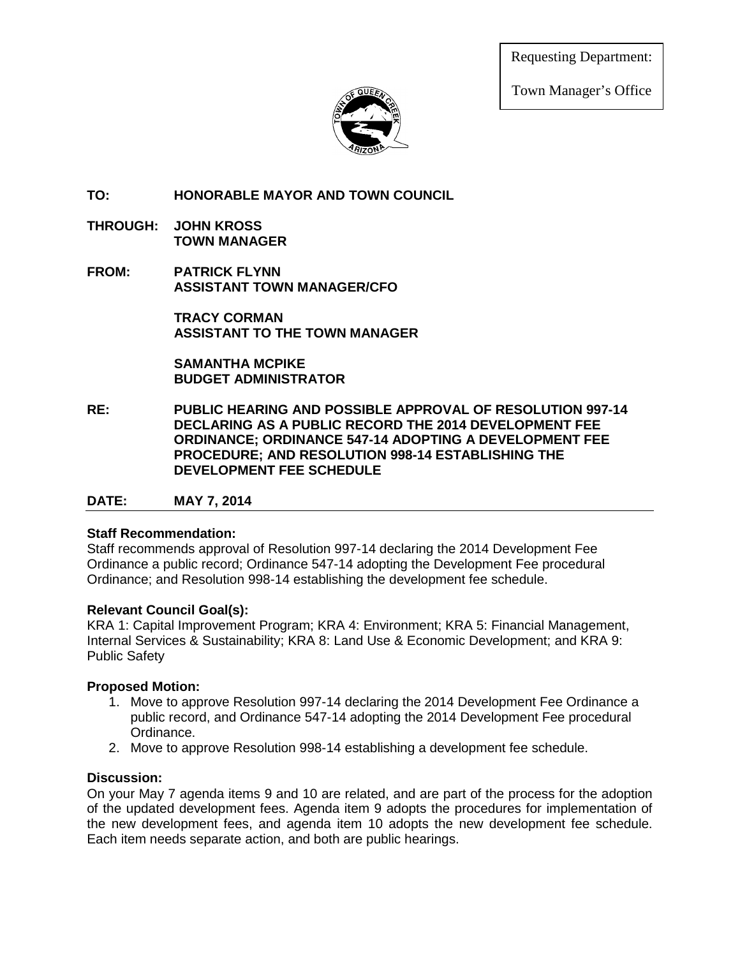Requesting Department:

Town Manager's Office



**TO: HONORABLE MAYOR AND TOWN COUNCIL**

- **THROUGH: JOHN KROSS TOWN MANAGER**
- **FROM: PATRICK FLYNN ASSISTANT TOWN MANAGER/CFO**

**TRACY CORMAN ASSISTANT TO THE TOWN MANAGER**

**SAMANTHA MCPIKE BUDGET ADMINISTRATOR**

**RE: PUBLIC HEARING AND POSSIBLE APPROVAL OF RESOLUTION 997-14 DECLARING AS A PUBLIC RECORD THE 2014 DEVELOPMENT FEE ORDINANCE; ORDINANCE 547-14 ADOPTING A DEVELOPMENT FEE PROCEDURE; AND RESOLUTION 998-14 ESTABLISHING THE DEVELOPMENT FEE SCHEDULE**

#### **DATE: MAY 7, 2014**

#### **Staff Recommendation:**

Staff recommends approval of Resolution 997-14 declaring the 2014 Development Fee Ordinance a public record; Ordinance 547-14 adopting the Development Fee procedural Ordinance; and Resolution 998-14 establishing the development fee schedule.

#### **Relevant Council Goal(s):**

KRA 1: Capital Improvement Program; KRA 4: Environment; KRA 5: Financial Management, Internal Services & Sustainability; KRA 8: Land Use & Economic Development; and KRA 9: Public Safety

#### **Proposed Motion:**

- 1. Move to approve Resolution 997-14 declaring the 2014 Development Fee Ordinance a public record, and Ordinance 547-14 adopting the 2014 Development Fee procedural Ordinance.
- 2. Move to approve Resolution 998-14 establishing a development fee schedule.

#### **Discussion:**

On your May 7 agenda items 9 and 10 are related, and are part of the process for the adoption of the updated development fees. Agenda item 9 adopts the procedures for implementation of the new development fees, and agenda item 10 adopts the new development fee schedule. Each item needs separate action, and both are public hearings.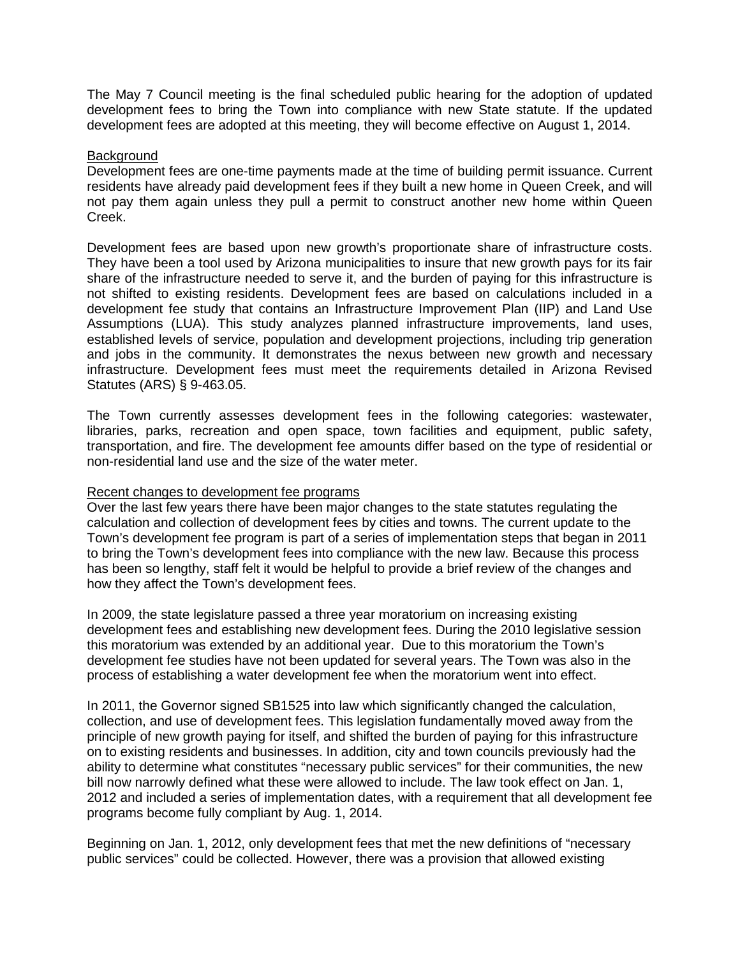The May 7 Council meeting is the final scheduled public hearing for the adoption of updated development fees to bring the Town into compliance with new State statute. If the updated development fees are adopted at this meeting, they will become effective on August 1, 2014.

#### **Background**

Development fees are one-time payments made at the time of building permit issuance. Current residents have already paid development fees if they built a new home in Queen Creek, and will not pay them again unless they pull a permit to construct another new home within Queen Creek.

Development fees are based upon new growth's proportionate share of infrastructure costs. They have been a tool used by Arizona municipalities to insure that new growth pays for its fair share of the infrastructure needed to serve it, and the burden of paying for this infrastructure is not shifted to existing residents. Development fees are based on calculations included in a development fee study that contains an Infrastructure Improvement Plan (IIP) and Land Use Assumptions (LUA). This study analyzes planned infrastructure improvements, land uses, established levels of service, population and development projections, including trip generation and jobs in the community. It demonstrates the nexus between new growth and necessary infrastructure. Development fees must meet the requirements detailed in Arizona Revised Statutes (ARS) § 9-463.05.

The Town currently assesses development fees in the following categories: wastewater, libraries, parks, recreation and open space, town facilities and equipment, public safety, transportation, and fire. The development fee amounts differ based on the type of residential or non-residential land use and the size of the water meter.

#### Recent changes to development fee programs

Over the last few years there have been major changes to the state statutes regulating the calculation and collection of development fees by cities and towns. The current update to the Town's development fee program is part of a series of implementation steps that began in 2011 to bring the Town's development fees into compliance with the new law. Because this process has been so lengthy, staff felt it would be helpful to provide a brief review of the changes and how they affect the Town's development fees.

In 2009, the state legislature passed a three year moratorium on increasing existing development fees and establishing new development fees. During the 2010 legislative session this moratorium was extended by an additional year. Due to this moratorium the Town's development fee studies have not been updated for several years. The Town was also in the process of establishing a water development fee when the moratorium went into effect.

In 2011, the Governor signed SB1525 into law which significantly changed the calculation, collection, and use of development fees. This legislation fundamentally moved away from the principle of new growth paying for itself, and shifted the burden of paying for this infrastructure on to existing residents and businesses. In addition, city and town councils previously had the ability to determine what constitutes "necessary public services" for their communities, the new bill now narrowly defined what these were allowed to include. The law took effect on Jan. 1, 2012 and included a series of implementation dates, with a requirement that all development fee programs become fully compliant by Aug. 1, 2014.

Beginning on Jan. 1, 2012, only development fees that met the new definitions of "necessary public services" could be collected. However, there was a provision that allowed existing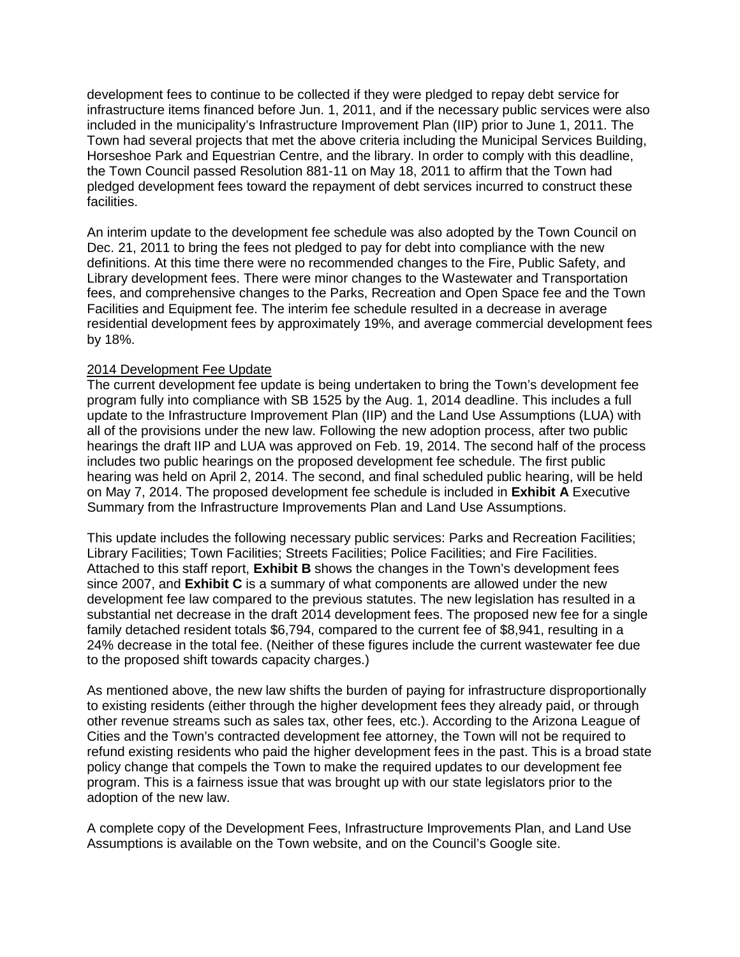development fees to continue to be collected if they were pledged to repay debt service for infrastructure items financed before Jun. 1, 2011, and if the necessary public services were also included in the municipality's Infrastructure Improvement Plan (IIP) prior to June 1, 2011. The Town had several projects that met the above criteria including the Municipal Services Building, Horseshoe Park and Equestrian Centre, and the library. In order to comply with this deadline, the Town Council passed Resolution 881-11 on May 18, 2011 to affirm that the Town had pledged development fees toward the repayment of debt services incurred to construct these facilities.

An interim update to the development fee schedule was also adopted by the Town Council on Dec. 21, 2011 to bring the fees not pledged to pay for debt into compliance with the new definitions. At this time there were no recommended changes to the Fire, Public Safety, and Library development fees. There were minor changes to the Wastewater and Transportation fees, and comprehensive changes to the Parks, Recreation and Open Space fee and the Town Facilities and Equipment fee. The interim fee schedule resulted in a decrease in average residential development fees by approximately 19%, and average commercial development fees by 18%.

#### 2014 Development Fee Update

The current development fee update is being undertaken to bring the Town's development fee program fully into compliance with SB 1525 by the Aug. 1, 2014 deadline. This includes a full update to the Infrastructure Improvement Plan (IIP) and the Land Use Assumptions (LUA) with all of the provisions under the new law. Following the new adoption process, after two public hearings the draft IIP and LUA was approved on Feb. 19, 2014. The second half of the process includes two public hearings on the proposed development fee schedule. The first public hearing was held on April 2, 2014. The second, and final scheduled public hearing, will be held on May 7, 2014. The proposed development fee schedule is included in **Exhibit A** Executive Summary from the Infrastructure Improvements Plan and Land Use Assumptions.

This update includes the following necessary public services: Parks and Recreation Facilities; Library Facilities; Town Facilities; Streets Facilities; Police Facilities; and Fire Facilities. Attached to this staff report, **Exhibit B** shows the changes in the Town's development fees since 2007, and **Exhibit C** is a summary of what components are allowed under the new development fee law compared to the previous statutes. The new legislation has resulted in a substantial net decrease in the draft 2014 development fees. The proposed new fee for a single family detached resident totals \$6,794, compared to the current fee of \$8,941, resulting in a 24% decrease in the total fee. (Neither of these figures include the current wastewater fee due to the proposed shift towards capacity charges.)

As mentioned above, the new law shifts the burden of paying for infrastructure disproportionally to existing residents (either through the higher development fees they already paid, or through other revenue streams such as sales tax, other fees, etc.). According to the Arizona League of Cities and the Town's contracted development fee attorney, the Town will not be required to refund existing residents who paid the higher development fees in the past. This is a broad state policy change that compels the Town to make the required updates to our development fee program. This is a fairness issue that was brought up with our state legislators prior to the adoption of the new law.

A complete copy of the Development Fees, Infrastructure Improvements Plan, and Land Use Assumptions is available on the Town website, and on the Council's Google site.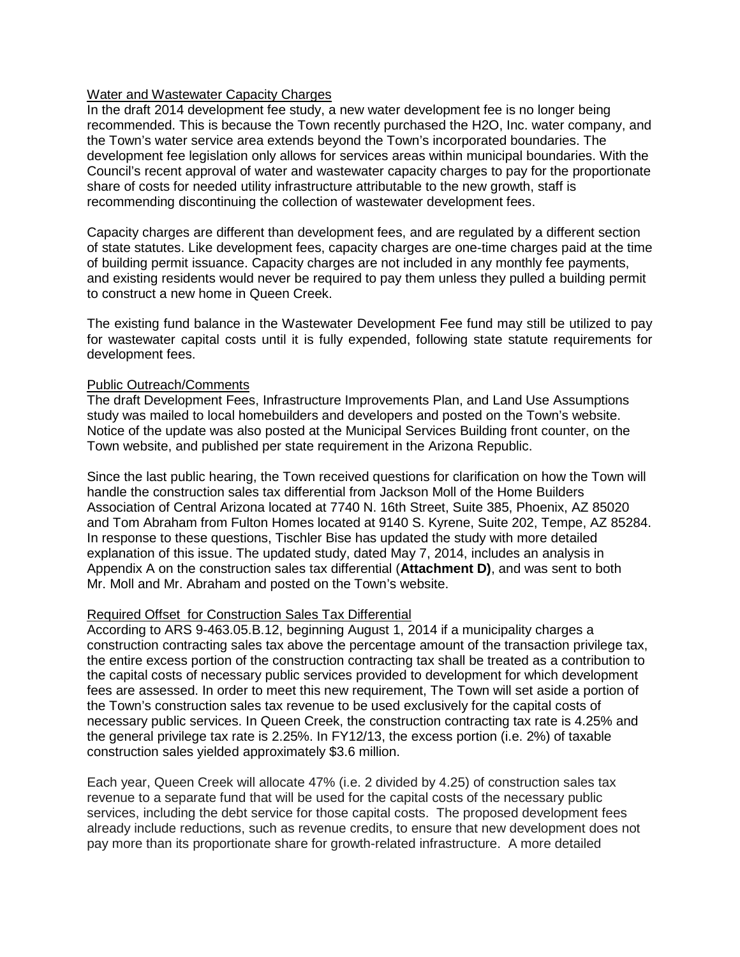#### Water and Wastewater Capacity Charges

In the draft 2014 development fee study, a new water development fee is no longer being recommended. This is because the Town recently purchased the H2O, Inc. water company, and the Town's water service area extends beyond the Town's incorporated boundaries. The development fee legislation only allows for services areas within municipal boundaries. With the Council's recent approval of water and wastewater capacity charges to pay for the proportionate share of costs for needed utility infrastructure attributable to the new growth, staff is recommending discontinuing the collection of wastewater development fees.

Capacity charges are different than development fees, and are regulated by a different section of state statutes. Like development fees, capacity charges are one-time charges paid at the time of building permit issuance. Capacity charges are not included in any monthly fee payments, and existing residents would never be required to pay them unless they pulled a building permit to construct a new home in Queen Creek.

The existing fund balance in the Wastewater Development Fee fund may still be utilized to pay for wastewater capital costs until it is fully expended, following state statute requirements for development fees.

#### Public Outreach/Comments

The draft Development Fees, Infrastructure Improvements Plan, and Land Use Assumptions study was mailed to local homebuilders and developers and posted on the Town's website. Notice of the update was also posted at the Municipal Services Building front counter, on the Town website, and published per state requirement in the Arizona Republic.

Since the last public hearing, the Town received questions for clarification on how the Town will handle the construction sales tax differential from Jackson Moll of the Home Builders Association of Central Arizona located at 7740 N. 16th Street, Suite 385, Phoenix, AZ 85020 and Tom Abraham from Fulton Homes located at 9140 S. Kyrene, Suite 202, Tempe, AZ 85284. In response to these questions, Tischler Bise has updated the study with more detailed explanation of this issue. The updated study, dated May 7, 2014, includes an analysis in Appendix A on the construction sales tax differential (**Attachment D)**, and was sent to both Mr. Moll and Mr. Abraham and posted on the Town's website.

#### Required Offset for Construction Sales Tax Differential

According to ARS 9-463.05.B.12, beginning August 1, 2014 if a municipality charges a construction contracting sales tax above the percentage amount of the transaction privilege tax, the entire excess portion of the construction contracting tax shall be treated as a contribution to the capital costs of necessary public services provided to development for which development fees are assessed. In order to meet this new requirement, The Town will set aside a portion of the Town's construction sales tax revenue to be used exclusively for the capital costs of necessary public services. In Queen Creek, the construction contracting tax rate is 4.25% and the general privilege tax rate is 2.25%. In FY12/13, the excess portion (i.e. 2%) of taxable construction sales yielded approximately \$3.6 million.

Each year, Queen Creek will allocate 47% (i.e. 2 divided by 4.25) of construction sales tax revenue to a separate fund that will be used for the capital costs of the necessary public services, including the debt service for those capital costs. The proposed development fees already include reductions, such as revenue credits, to ensure that new development does not pay more than its proportionate share for growth-related infrastructure. A more detailed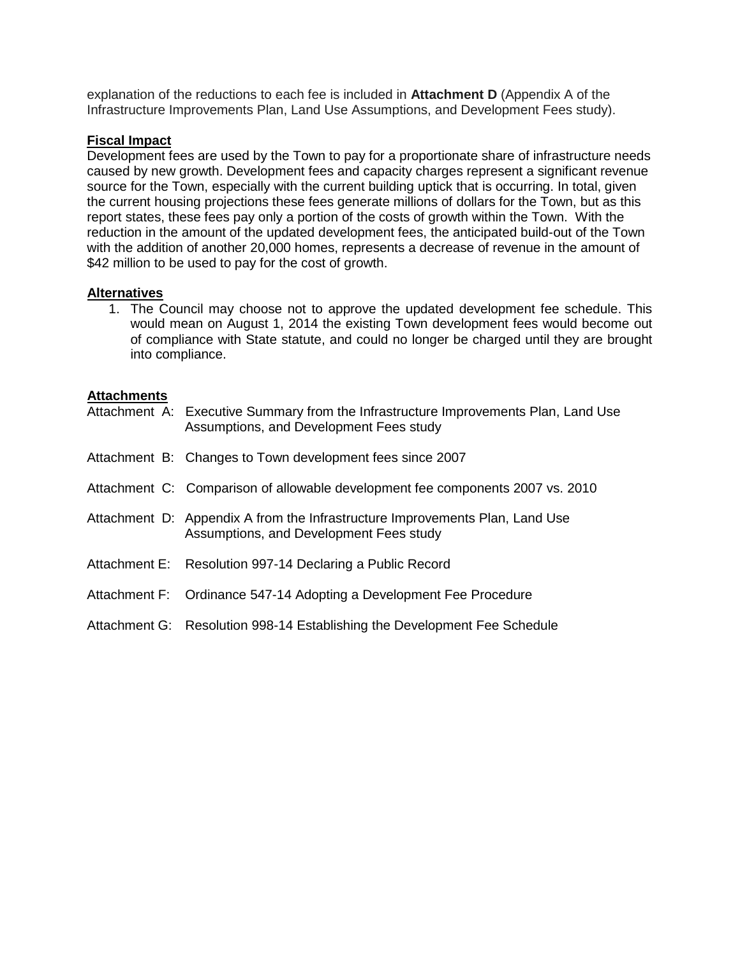explanation of the reductions to each fee is included in **Attachment D** (Appendix A of the Infrastructure Improvements Plan, Land Use Assumptions, and Development Fees study).

#### **Fiscal Impact**

Development fees are used by the Town to pay for a proportionate share of infrastructure needs caused by new growth. Development fees and capacity charges represent a significant revenue source for the Town, especially with the current building uptick that is occurring. In total, given the current housing projections these fees generate millions of dollars for the Town, but as this report states, these fees pay only a portion of the costs of growth within the Town. With the reduction in the amount of the updated development fees, the anticipated build-out of the Town with the addition of another 20,000 homes, represents a decrease of revenue in the amount of \$42 million to be used to pay for the cost of growth.

#### **Alternatives**

1. The Council may choose not to approve the updated development fee schedule. This would mean on August 1, 2014 the existing Town development fees would become out of compliance with State statute, and could no longer be charged until they are brought into compliance.

#### **Attachments**

| Attachment A: Executive Summary from the Infrastructure Improvements Plan, Land Use<br>Assumptions, and Development Fees study |
|--------------------------------------------------------------------------------------------------------------------------------|
| Attachment B: Changes to Town development fees since 2007                                                                      |
| Attachment C: Comparison of allowable development fee components 2007 vs. 2010                                                 |
| Attachment D: Appendix A from the Infrastructure Improvements Plan, Land Use<br>Assumptions, and Development Fees study        |
| Attachment E: Resolution 997-14 Declaring a Public Record                                                                      |
| Attachment F: Ordinance 547-14 Adopting a Development Fee Procedure                                                            |
| Attachment G: Resolution 998-14 Establishing the Development Fee Schedule                                                      |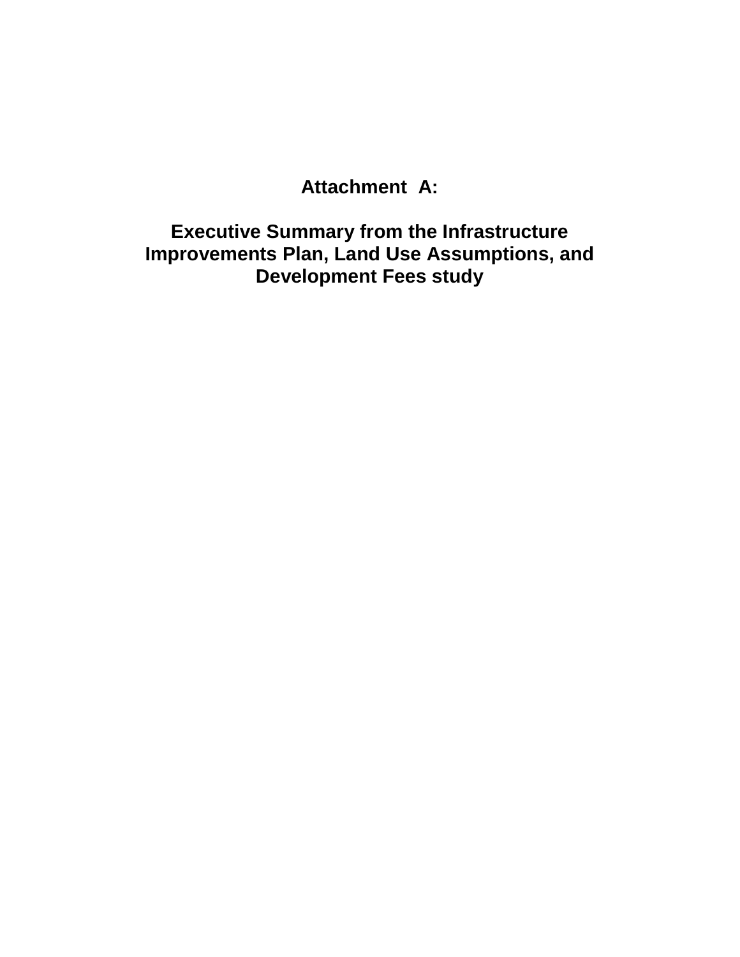# **Attachment A:**

**Executive Summary from the Infrastructure Improvements Plan, Land Use Assumptions, and Development Fees study**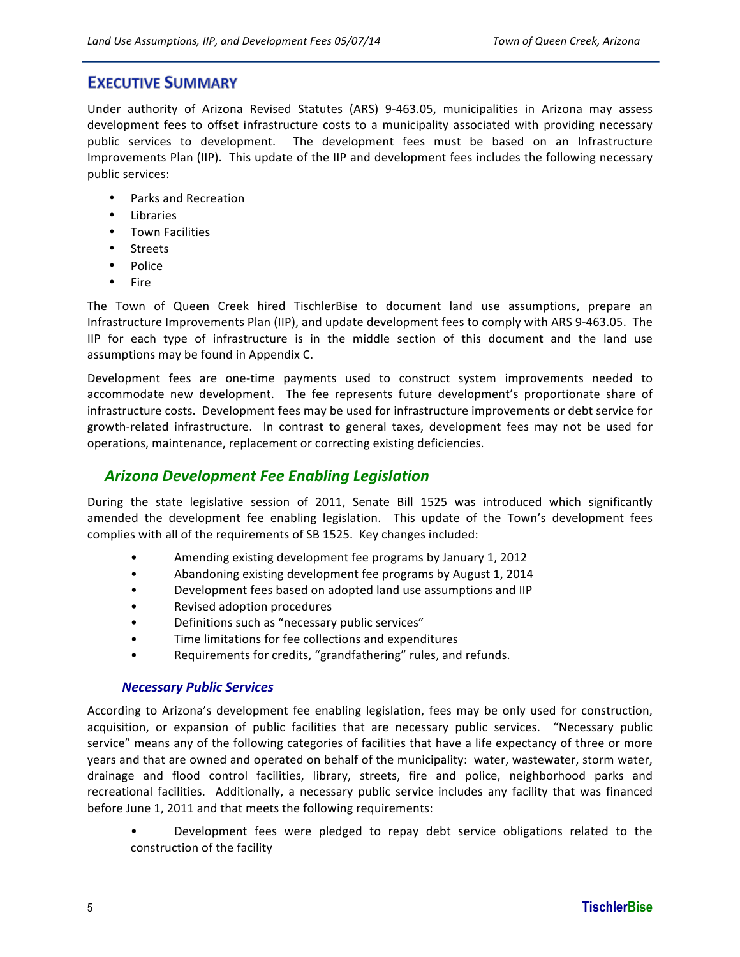#### **EXECUTIVE SUMMARY**

Under authority of Arizona Revised Statutes (ARS) 9-463.05, municipalities in Arizona may assess development fees to offset infrastructure costs to a municipality associated with providing necessary public services to development. The development fees must be based on an Infrastructure Improvements Plan (IIP). This update of the IIP and development fees includes the following necessary public services:

- Parks and Recreation
- **Libraries**
- Town Facilities
- Streets
- Police
- **Fire**

The Town of Queen Creek hired TischlerBise to document land use assumptions, prepare an Infrastructure Improvements Plan (IIP), and update development fees to comply with ARS 9-463.05. The IIP for each type of infrastructure is in the middle section of this document and the land use assumptions may be found in Appendix C.

Development fees are one-time payments used to construct system improvements needed to accommodate new development. The fee represents future development's proportionate share of infrastructure costs. Development fees may be used for infrastructure improvements or debt service for growth-related infrastructure. In contrast to general taxes, development fees may not be used for operations, maintenance, replacement or correcting existing deficiencies.

#### *Arizona Development Fee Enabling Legislation*

During the state legislative session of 2011, Senate Bill 1525 was introduced which significantly amended the development fee enabling legislation. This update of the Town's development fees complies with all of the requirements of SB 1525. Key changes included:

- Amending existing development fee programs by January 1, 2012
- Abandoning existing development fee programs by August 1, 2014
- Development fees based on adopted land use assumptions and IIP
- Revised adoption procedures
- Definitions such as "necessary public services"
- Time limitations for fee collections and expenditures
- Requirements for credits, "grandfathering" rules, and refunds.

#### *Necessary Public Services*

According to Arizona's development fee enabling legislation, fees may be only used for construction, acquisition, or expansion of public facilities that are necessary public services. "Necessary public service" means any of the following categories of facilities that have a life expectancy of three or more years and that are owned and operated on behalf of the municipality: water, wastewater, storm water, drainage and flood control facilities, library, streets, fire and police, neighborhood parks and recreational facilities. Additionally, a necessary public service includes any facility that was financed before June 1, 2011 and that meets the following requirements:

Development fees were pledged to repay debt service obligations related to the construction of the facility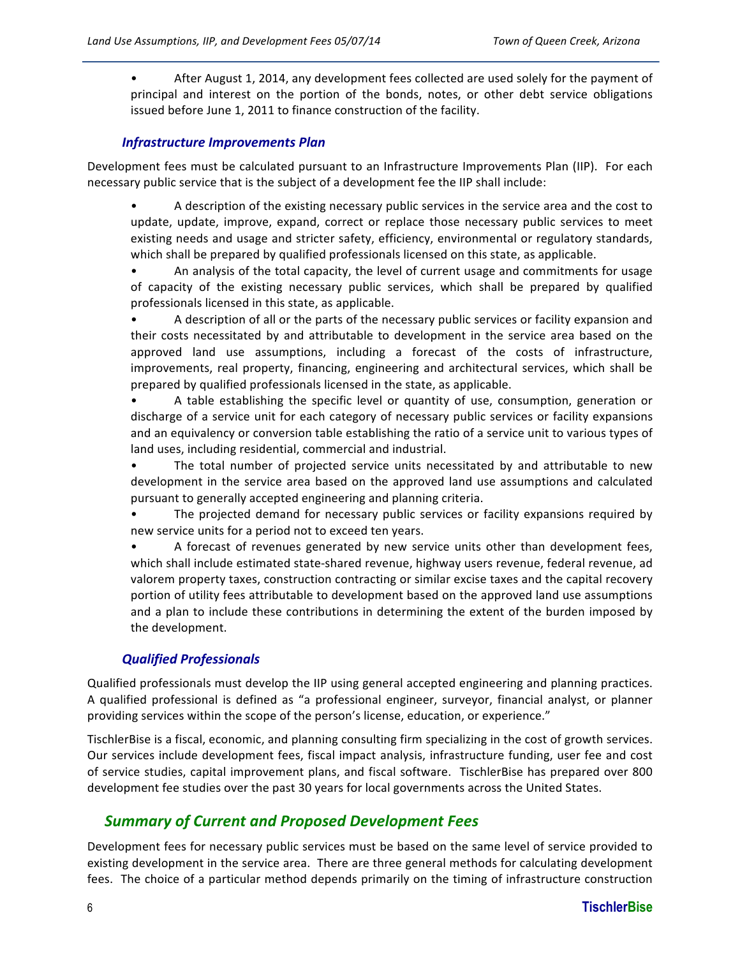• After August 1, 2014, any development fees collected are used solely for the payment of principal and interest on the portion of the bonds, notes, or other debt service obligations issued before June 1, 2011 to finance construction of the facility.

#### *Infrastructure Improvements Plan*

Development fees must be calculated pursuant to an Infrastructure Improvements Plan (IIP). For each necessary public service that is the subject of a development fee the IIP shall include:

A description of the existing necessary public services in the service area and the cost to update, update, improve, expand, correct or replace those necessary public services to meet existing needs and usage and stricter safety, efficiency, environmental or regulatory standards, which shall be prepared by qualified professionals licensed on this state, as applicable.

An analysis of the total capacity, the level of current usage and commitments for usage of capacity of the existing necessary public services, which shall be prepared by qualified professionals licensed in this state, as applicable.

A description of all or the parts of the necessary public services or facility expansion and their costs necessitated by and attributable to development in the service area based on the approved land use assumptions, including a forecast of the costs of infrastructure, improvements, real property, financing, engineering and architectural services, which shall be prepared by qualified professionals licensed in the state, as applicable.

A table establishing the specific level or quantity of use, consumption, generation or discharge of a service unit for each category of necessary public services or facility expansions and an equivalency or conversion table establishing the ratio of a service unit to various types of land uses, including residential, commercial and industrial.

The total number of projected service units necessitated by and attributable to new development in the service area based on the approved land use assumptions and calculated pursuant to generally accepted engineering and planning criteria.

The projected demand for necessary public services or facility expansions required by new service units for a period not to exceed ten years.

A forecast of revenues generated by new service units other than development fees, which shall include estimated state-shared revenue, highway users revenue, federal revenue, ad valorem property taxes, construction contracting or similar excise taxes and the capital recovery portion of utility fees attributable to development based on the approved land use assumptions and a plan to include these contributions in determining the extent of the burden imposed by the development.

#### *Qualified Professionals*

Qualified professionals must develop the IIP using general accepted engineering and planning practices. A qualified professional is defined as "a professional engineer, surveyor, financial analyst, or planner providing services within the scope of the person's license, education, or experience."

TischlerBise is a fiscal, economic, and planning consulting firm specializing in the cost of growth services. Our services include development fees, fiscal impact analysis, infrastructure funding, user fee and cost of service studies, capital improvement plans, and fiscal software. TischlerBise has prepared over 800 development fee studies over the past 30 years for local governments across the United States.

#### **Summary of Current and Proposed Development Fees**

Development fees for necessary public services must be based on the same level of service provided to existing development in the service area. There are three general methods for calculating development fees. The choice of a particular method depends primarily on the timing of infrastructure construction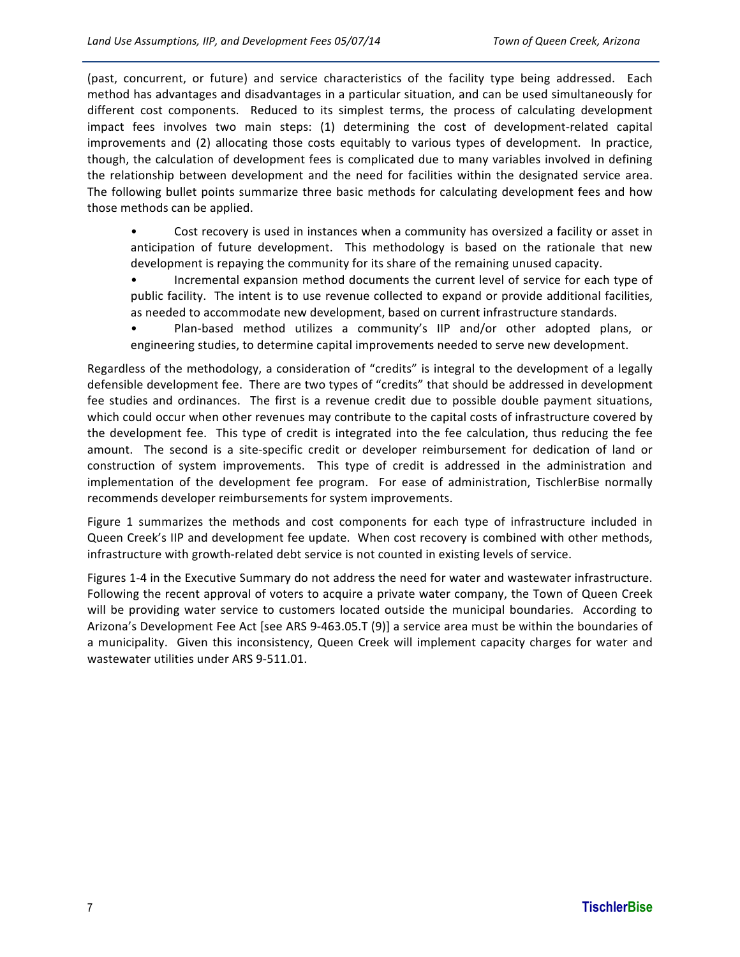(past, concurrent, or future) and service characteristics of the facility type being addressed. Each method has advantages and disadvantages in a particular situation, and can be used simultaneously for different cost components. Reduced to its simplest terms, the process of calculating development impact fees involves two main steps: (1) determining the cost of development-related capital improvements and (2) allocating those costs equitably to various types of development. In practice, though, the calculation of development fees is complicated due to many variables involved in defining the relationship between development and the need for facilities within the designated service area. The following bullet points summarize three basic methods for calculating development fees and how those methods can be applied.

• Cost recovery is used in instances when a community has oversized a facility or asset in anticipation of future development. This methodology is based on the rationale that new development is repaying the community for its share of the remaining unused capacity.

Incremental expansion method documents the current level of service for each type of public facility. The intent is to use revenue collected to expand or provide additional facilities, as needed to accommodate new development, based on current infrastructure standards.

Plan-based method utilizes a community's IIP and/or other adopted plans, or engineering studies, to determine capital improvements needed to serve new development.

Regardless of the methodology, a consideration of "credits" is integral to the development of a legally defensible development fee. There are two types of "credits" that should be addressed in development fee studies and ordinances. The first is a revenue credit due to possible double payment situations, which could occur when other revenues may contribute to the capital costs of infrastructure covered by the development fee. This type of credit is integrated into the fee calculation, thus reducing the fee amount. The second is a site-specific credit or developer reimbursement for dedication of land or construction of system improvements. This type of credit is addressed in the administration and implementation of the development fee program. For ease of administration, TischlerBise normally recommends developer reimbursements for system improvements.

Figure 1 summarizes the methods and cost components for each type of infrastructure included in Queen Creek's IIP and development fee update. When cost recovery is combined with other methods, infrastructure with growth-related debt service is not counted in existing levels of service.

Figures 1-4 in the Executive Summary do not address the need for water and wastewater infrastructure. Following the recent approval of voters to acquire a private water company, the Town of Queen Creek will be providing water service to customers located outside the municipal boundaries. According to Arizona's Development Fee Act [see ARS 9-463.05.T (9)] a service area must be within the boundaries of a municipality. Given this inconsistency, Queen Creek will implement capacity charges for water and wastewater utilities under ARS 9-511.01.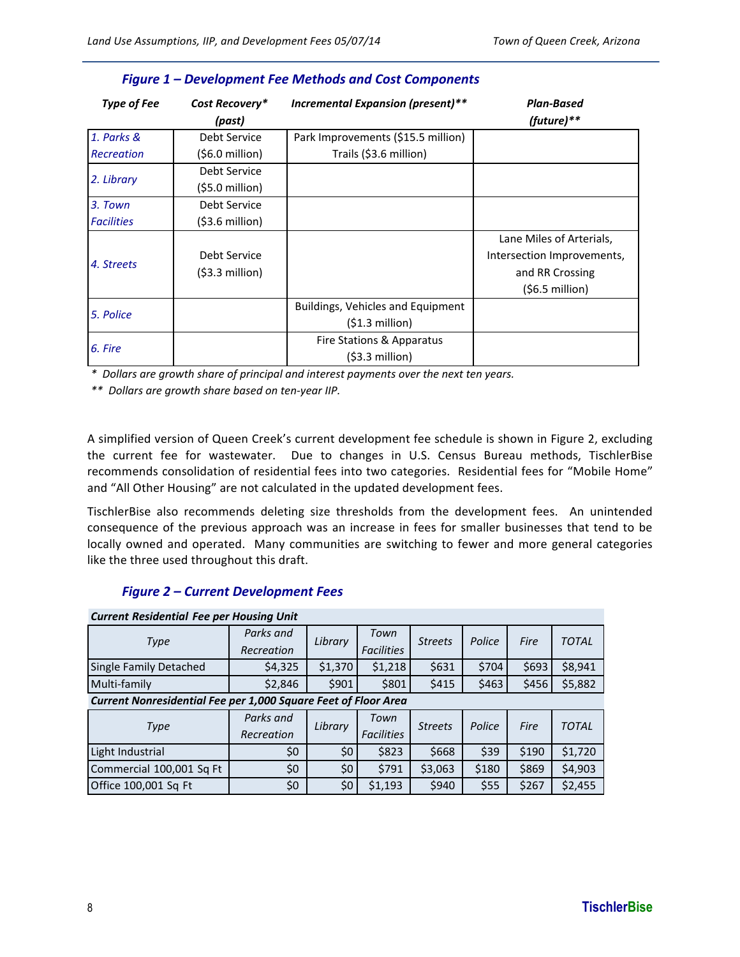| <b>Type of Fee</b> | Cost Recovery*   | Incremental Expansion (present)**  | <b>Plan-Based</b>          |
|--------------------|------------------|------------------------------------|----------------------------|
|                    | (past)           |                                    | (future) $**$              |
| 1. Parks &         | Debt Service     | Park Improvements (\$15.5 million) |                            |
| Recreation         | (\$6.0 million)  | Trails (\$3.6 million)             |                            |
|                    | Debt Service     |                                    |                            |
| 2. Library         | (\$5.0 million)  |                                    |                            |
| 3. Town            | Debt Service     |                                    |                            |
| <b>Facilities</b>  | $(53.6$ million) |                                    |                            |
|                    |                  |                                    | Lane Miles of Arterials,   |
|                    | Debt Service     |                                    | Intersection Improvements, |
| 4. Streets         | $(53.3$ million) |                                    | and RR Crossing            |
|                    |                  |                                    | $(56.5$ million)           |
|                    |                  | Buildings, Vehicles and Equipment  |                            |
| 5. Police          |                  | $(51.3$ million)                   |                            |
|                    |                  | Fire Stations & Apparatus          |                            |
| 6. Fire            |                  | $(53.3$ million)                   |                            |

#### *Figure 1 – Development Fee Methods and Cost Components*

\* Dollars are growth share of principal and interest payments over the next ten years.

*\*\*##Dollars#are#growth#share#based#on#tenHyear#IIP.*

A simplified version of Queen Creek's current development fee schedule is shown in Figure 2, excluding the current fee for wastewater. Due to changes in U.S. Census Bureau methods, TischlerBise recommends consolidation of residential fees into two categories. Residential fees for "Mobile Home" and "All Other Housing" are not calculated in the updated development fees.

TischlerBise also recommends deleting size thresholds from the development fees. An unintended consequence of the previous approach was an increase in fees for smaller businesses that tend to be locally owned and operated. Many communities are switching to fewer and more general categories like the three used throughout this draft.

#### *Figure 2 – Current Development Fees*

| <b>Current Residential Fee per Housing Unit</b>                |                       |                   |                   |                |        |       |              |  |  |  |
|----------------------------------------------------------------|-----------------------|-------------------|-------------------|----------------|--------|-------|--------------|--|--|--|
| Type                                                           | Parks and<br>Library  |                   | Town              | <b>Streets</b> | Police | Fire  | <b>TOTAL</b> |  |  |  |
|                                                                | Recreation            |                   | <b>Facilities</b> |                |        |       |              |  |  |  |
| Single Family Detached                                         | \$4,325               | \$1,370           | \$1,218           | \$631          | \$704  | \$693 | \$8,941      |  |  |  |
| Multi-family                                                   | \$2,846               | \$901             | \$801             | \$415          | \$463  | \$456 | \$5,882      |  |  |  |
| Current Nonresidential Fee per 1,000 Square Feet of Floor Area |                       |                   |                   |                |        |       |              |  |  |  |
|                                                                | Parks and             |                   | Town              | <b>Streets</b> | Police | Fire  | <b>TOTAL</b> |  |  |  |
| Type                                                           | Library<br>Recreation | <b>Facilities</b> |                   |                |        |       |              |  |  |  |
| Light Industrial                                               | \$0                   | \$0               | \$823             | \$668          | \$39   | \$190 | \$1,720      |  |  |  |
| Commercial 100,001 Sq Ft                                       | \$0                   | \$0               | \$791             | \$3,063        | \$180  | \$869 | \$4,903      |  |  |  |
| Office 100,001 Sq Ft                                           | \$0                   | \$0               | \$1,193           | \$940          | \$55   | \$267 | \$2,455      |  |  |  |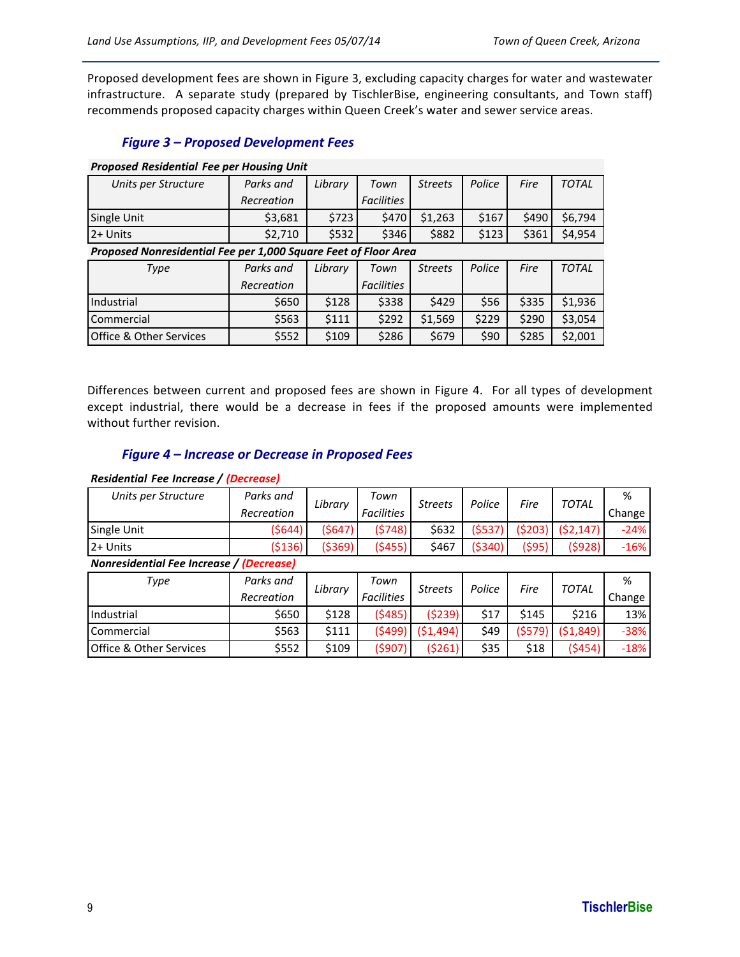Proposed development fees are shown in Figure 3, excluding capacity charges for water and wastewater infrastructure. A separate study (prepared by TischlerBise, engineering consultants, and Town staff) recommends proposed capacity charges within Queen Creek's water and sewer service areas.

#### *Figure 3 – Proposed Development Fees*

#### *Proposed Residential Fee per Housing Unit*

| Units per Structure     | Parks and                                                       | Library | Town              | <b>Streets</b> | Police | Fire  | <b>TOTAL</b> |  |  |  |
|-------------------------|-----------------------------------------------------------------|---------|-------------------|----------------|--------|-------|--------------|--|--|--|
|                         | Recreation                                                      |         | <b>Facilities</b> |                |        |       |              |  |  |  |
| Single Unit             | \$3,681                                                         | \$723   | \$470             | \$1,263        | \$167  | \$490 | \$6,794      |  |  |  |
| 12+ Units               | \$2,710                                                         | \$532   | \$346             | \$882          | \$123  | \$361 | \$4,954      |  |  |  |
|                         | Proposed Nonresidential Fee per 1,000 Square Feet of Floor Area |         |                   |                |        |       |              |  |  |  |
| Type                    | Parks and                                                       | Library | Town              | <b>Streets</b> | Police | Fire  | <b>TOTAL</b> |  |  |  |
|                         | Recreation                                                      |         | <b>Facilities</b> |                |        |       |              |  |  |  |
| Industrial              | \$650                                                           | \$128   | \$338             | \$429          | \$56   | \$335 | \$1,936      |  |  |  |
| l Commercial            | \$563                                                           | \$111   | \$292             | \$1,569        | \$229  | \$290 | \$3,054      |  |  |  |
| Office & Other Services | \$552                                                           | \$109   | \$286             | \$679          | \$90   | \$285 | \$2,001      |  |  |  |

Differences between current and proposed fees are shown in Figure 4. For all types of development except industrial, there would be a decrease in fees if the proposed amounts were implemented without further revision.

#### *Figure 4 – Increase or Decrease in Proposed Fees*

#### *Residential Fee\*Increase\*/\*(Decrease)*

| Units per Structure                      | Parks and  | Library | Town              | <b>Streets</b> | Police   | Fire   | <b>TOTAL</b> | %      |  |  |      |              |        |
|------------------------------------------|------------|---------|-------------------|----------------|----------|--------|--------------|--------|--|--|------|--------------|--------|
|                                          | Recreation |         | <b>Facilities</b> |                |          |        |              | Change |  |  |      |              |        |
| Single Unit                              | (\$644)    | (5647)  | (5748)            | \$632          | (5537)   | (5203) | (52, 147)    | $-24%$ |  |  |      |              |        |
| 2+ Units                                 | (\$136)    | (5369)  | (5455)            | \$467          | ( \$340) | (\$95) | (5928)       | $-16%$ |  |  |      |              |        |
| Nonresidential Fee Increase / (Decrease) |            |         |                   |                |          |        |              |        |  |  |      |              |        |
| Type                                     | Parks and  | Library | Town              | <b>Streets</b> | Police   |        |              | %      |  |  |      |              |        |
|                                          | Recreation |         | <b>Facilities</b> |                |          |        |              |        |  |  | Fire | <b>TOTAL</b> | Change |
| Industrial                               | \$650      | \$128   | (5485)            | (5239)         | \$17     | \$145  | \$216        | 13%    |  |  |      |              |        |
| Commercial                               | \$563      | \$111   | (5499)            | (51, 494)      | \$49     | (5579) | (\$1,849)    | $-38%$ |  |  |      |              |        |
| Office & Other Services                  | \$552      | \$109   | (5907)            | (5261)         | \$35     | \$18   | (5454)       | $-18%$ |  |  |      |              |        |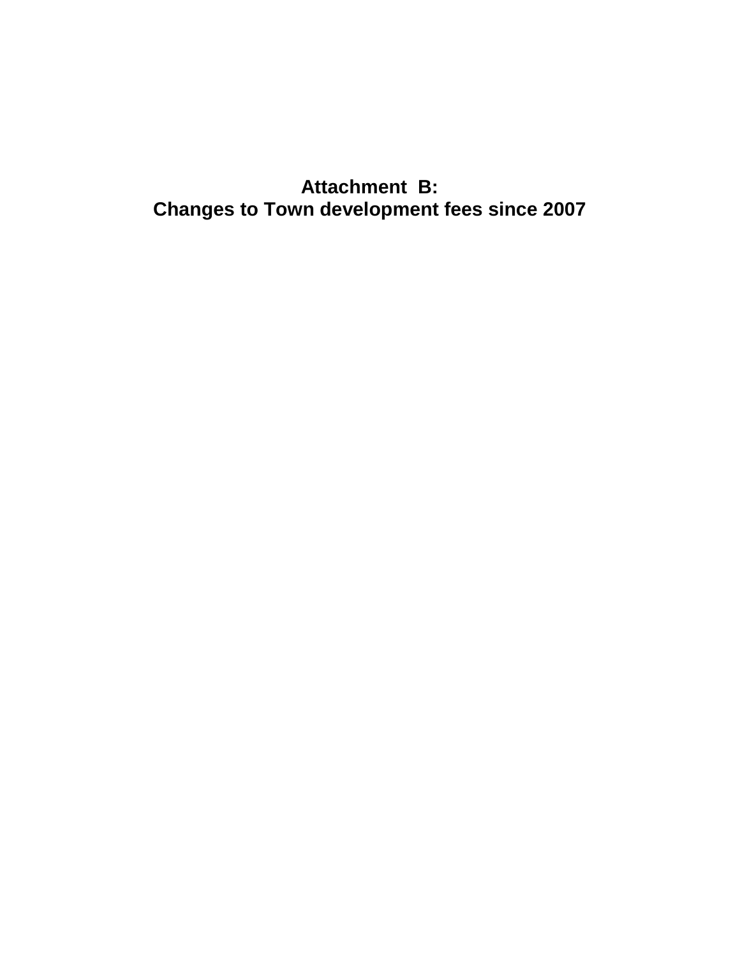# **Attachment B: Changes to Town development fees since 2007**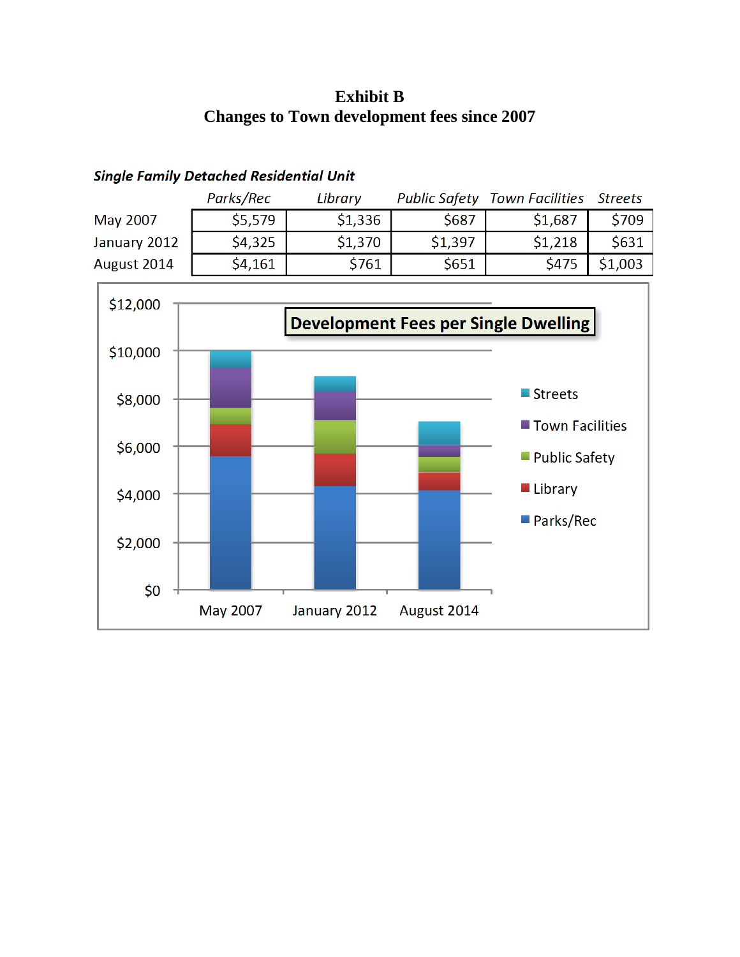## **Exhibit B Changes to Town development fees since 2007**





### **Single Family Detached Residential Unit**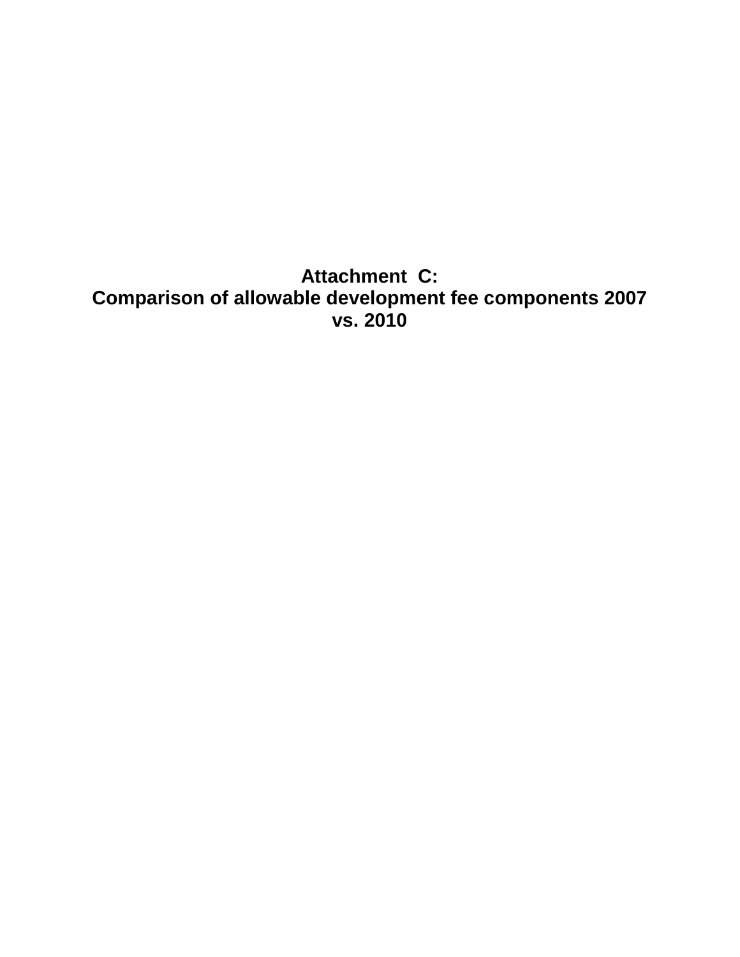**Attachment C: Comparison of allowable development fee components 2007 vs. 2010**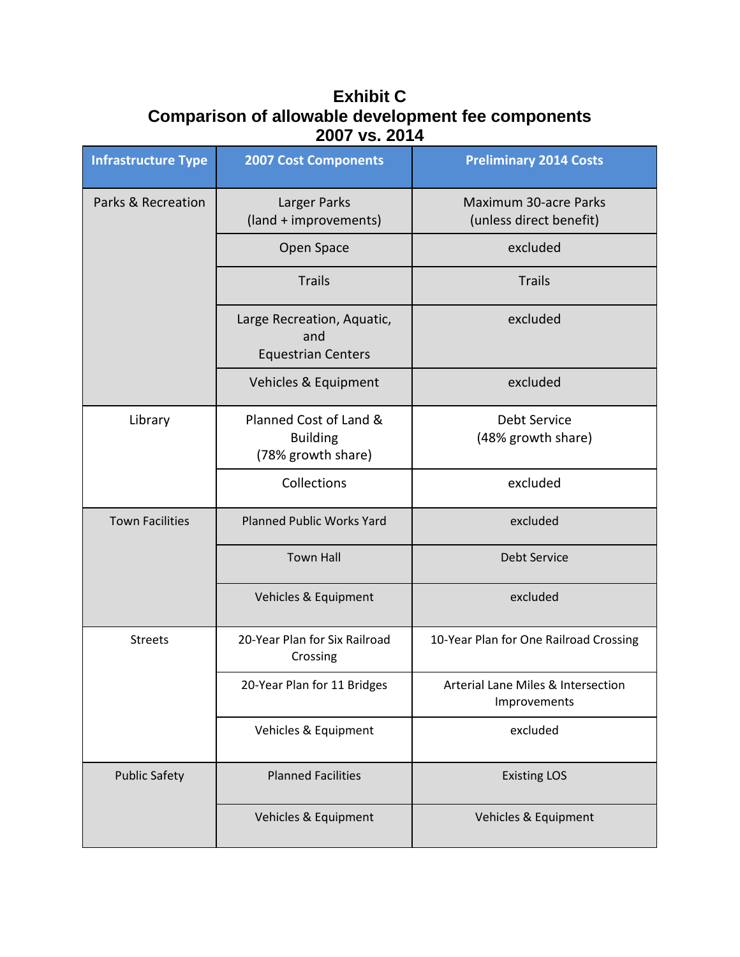# **Exhibit C Comparison of allowable development fee components 2007 vs. 2014**

| <b>Infrastructure Type</b> | <b>2007 Cost Components</b>                                     | <b>Preliminary 2014 Costs</b>                      |
|----------------------------|-----------------------------------------------------------------|----------------------------------------------------|
| Parks & Recreation         | Larger Parks<br>(land + improvements)                           | Maximum 30-acre Parks<br>(unless direct benefit)   |
|                            | Open Space                                                      | excluded                                           |
|                            | <b>Trails</b>                                                   | <b>Trails</b>                                      |
|                            | Large Recreation, Aquatic,<br>and<br><b>Equestrian Centers</b>  | excluded                                           |
|                            | Vehicles & Equipment                                            | excluded                                           |
| Library                    | Planned Cost of Land &<br><b>Building</b><br>(78% growth share) | <b>Debt Service</b><br>(48% growth share)          |
|                            | Collections                                                     | excluded                                           |
| <b>Town Facilities</b>     | <b>Planned Public Works Yard</b>                                | excluded                                           |
|                            | <b>Town Hall</b>                                                | <b>Debt Service</b>                                |
|                            | Vehicles & Equipment                                            | excluded                                           |
| <b>Streets</b>             | 20-Year Plan for Six Railroad<br>Crossing                       | 10-Year Plan for One Railroad Crossing             |
|                            | 20-Year Plan for 11 Bridges                                     | Arterial Lane Miles & Intersection<br>Improvements |
|                            | Vehicles & Equipment                                            | excluded                                           |
| <b>Public Safety</b>       | <b>Planned Facilities</b>                                       | <b>Existing LOS</b>                                |
|                            | Vehicles & Equipment                                            | Vehicles & Equipment                               |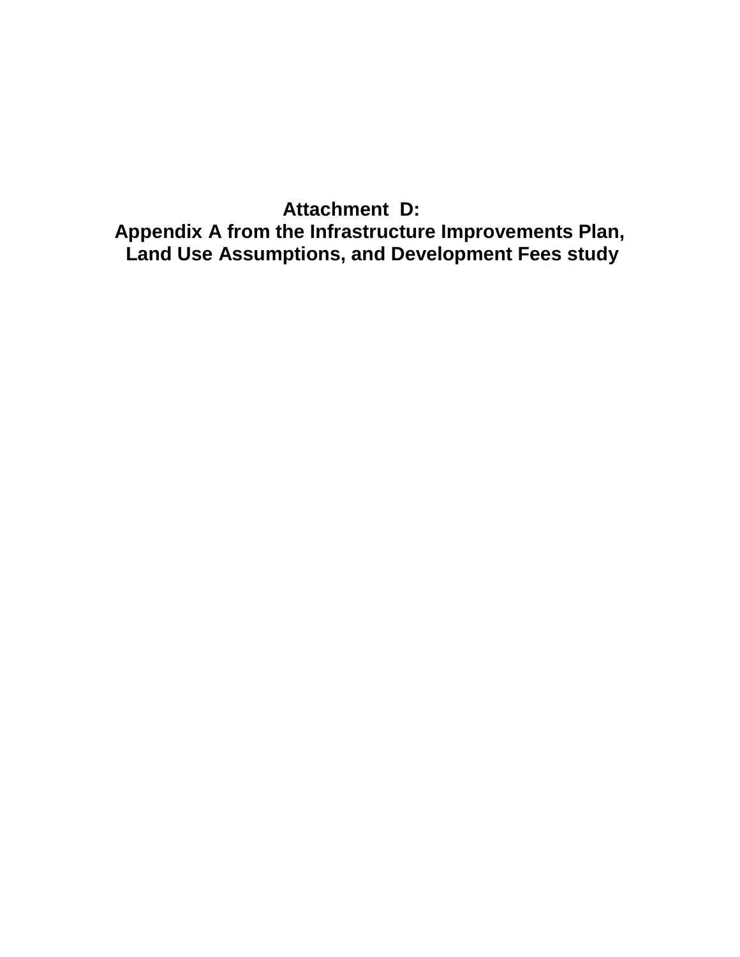**Attachment D: Appendix A from the Infrastructure Improvements Plan, Land Use Assumptions, and Development Fees study**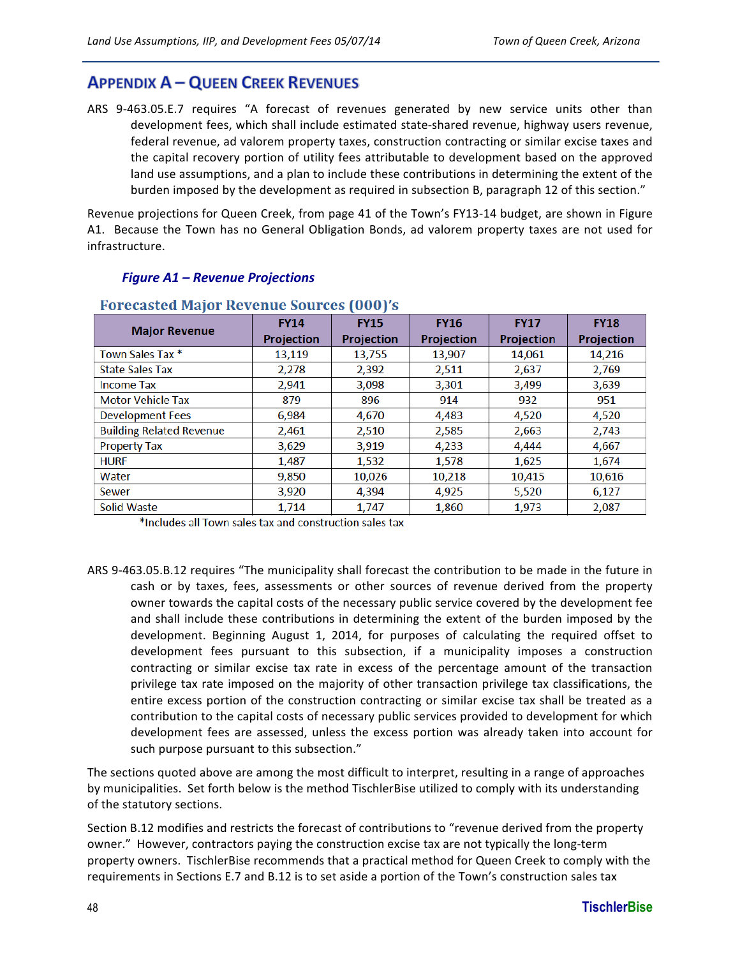## **APPENDIX A - QUEEN CREEK REVENUES**

ARS 9-463.05.E.7 requires "A forecast of revenues generated by new service units other than development fees, which shall include estimated state-shared revenue, highway users revenue, federal revenue, ad valorem property taxes, construction contracting or similar excise taxes and the capital recovery portion of utility fees attributable to development based on the approved land use assumptions, and a plan to include these contributions in determining the extent of the burden imposed by the development as required in subsection B, paragraph 12 of this section."

Revenue projections for Queen Creek, from page 41 of the Town's FY13-14 budget, are shown in Figure A1. Because the Town has no General Obligation Bonds, ad valorem property taxes are not used for infrastructure.

| PULCLASICU MAJUL REVEIIUE SUULLES (UUU) S |                            |                   |                   |                   |                   |  |  |  |  |
|-------------------------------------------|----------------------------|-------------------|-------------------|-------------------|-------------------|--|--|--|--|
|                                           | <b>FY14</b><br><b>FY15</b> |                   | <b>FY16</b>       | <b>FY17</b>       | <b>FY18</b>       |  |  |  |  |
| <b>Major Revenue</b>                      | <b>Projection</b>          | <b>Projection</b> | <b>Projection</b> | <b>Projection</b> | <b>Projection</b> |  |  |  |  |
| Town Sales Tax *                          | 13,119                     | 13,755            | 13,907            | 14,061            | 14,216            |  |  |  |  |
| <b>State Sales Tax</b>                    | 2,278                      | 2,392             | 2,511             | 2,637             | 2,769             |  |  |  |  |
| <b>Income Tax</b>                         | 2,941                      | 3,098             | 3,301             | 3,499             | 3,639             |  |  |  |  |
| <b>Motor Vehicle Tax</b>                  | 879                        | 896               | 914               | 932               | 951               |  |  |  |  |
| <b>Development Fees</b>                   | 6,984                      | 4,670             | 4,483             | 4,520             | 4,520             |  |  |  |  |
| <b>Building Related Revenue</b>           | 2,461                      | 2,510             | 2,585             | 2,663             | 2,743             |  |  |  |  |
| <b>Property Tax</b>                       | 3,629                      | 3,919             | 4,233             | 4,444             | 4,667             |  |  |  |  |
| <b>HURF</b>                               | 1,487                      | 1,532             | 1,578             | 1,625             | 1,674             |  |  |  |  |
| Water                                     | 9,850                      | 10,026            | 10,218            | 10,415            | 10,616            |  |  |  |  |
| Sewer                                     | 3,920                      | 4,394             | 4,925             | 5,520             | 6,127             |  |  |  |  |
| Solid Waste                               | 1.714                      | 1.747             | 1.860             | 1.973             | 2,087             |  |  |  |  |

#### *Figure A1 – Revenue Projections*

#### Egrocacted Maior Devenue Cources (000)'s

\*Includes all Town sales tax and construction sales tax

ARS 9-463.05.B.12 requires "The municipality shall forecast the contribution to be made in the future in cash or by taxes, fees, assessments or other sources of revenue derived from the property owner towards the capital costs of the necessary public service covered by the development fee and shall include these contributions in determining the extent of the burden imposed by the development. Beginning August 1, 2014, for purposes of calculating the required offset to development fees pursuant to this subsection, if a municipality imposes a construction contracting or similar excise tax rate in excess of the percentage amount of the transaction privilege tax rate imposed on the majority of other transaction privilege tax classifications, the entire excess portion of the construction contracting or similar excise tax shall be treated as a contribution to the capital costs of necessary public services provided to development for which development fees are assessed, unless the excess portion was already taken into account for such purpose pursuant to this subsection."

The sections quoted above are among the most difficult to interpret, resulting in a range of approaches by municipalities. Set forth below is the method TischlerBise utilized to comply with its understanding of the statutory sections.

Section B.12 modifies and restricts the forecast of contributions to "revenue derived from the property owner." However, contractors paying the construction excise tax are not typically the long-term property owners. TischlerBise recommends that a practical method for Queen Creek to comply with the requirements in Sections E.7 and B.12 is to set aside a portion of the Town's construction sales tax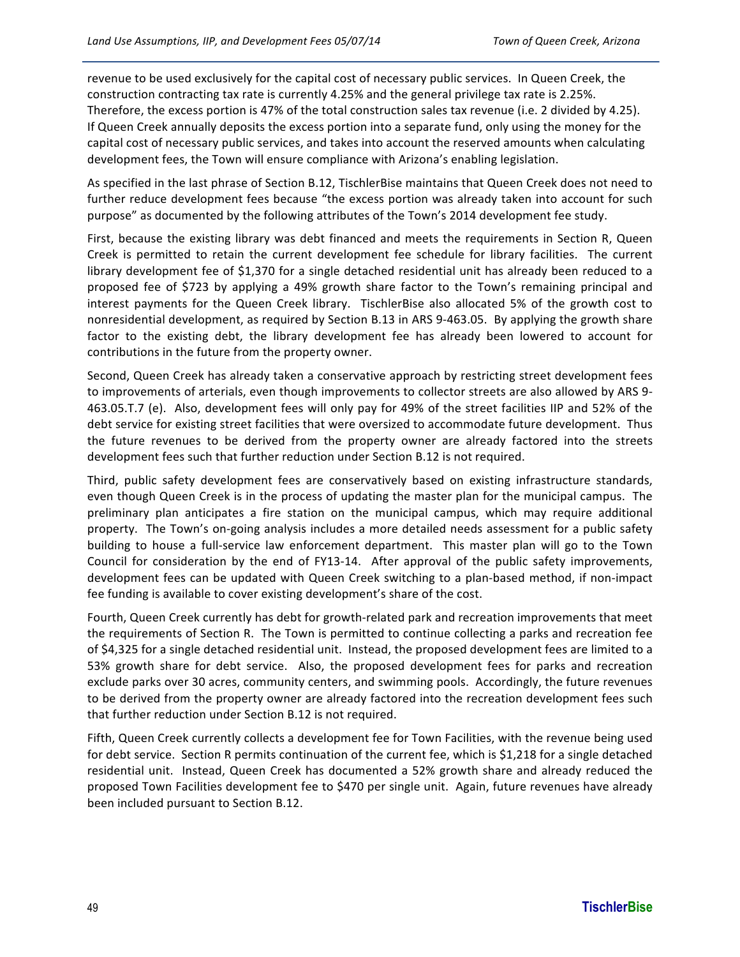revenue to be used exclusively for the capital cost of necessary public services. In Queen Creek, the construction contracting tax rate is currently 4.25% and the general privilege tax rate is 2.25%. Therefore, the excess portion is 47% of the total construction sales tax revenue (i.e. 2 divided by 4.25). If Queen Creek annually deposits the excess portion into a separate fund, only using the money for the capital cost of necessary public services, and takes into account the reserved amounts when calculating development fees, the Town will ensure compliance with Arizona's enabling legislation.

As specified in the last phrase of Section B.12, TischlerBise maintains that Queen Creek does not need to further reduce development fees because "the excess portion was already taken into account for such purpose" as documented by the following attributes of the Town's 2014 development fee study.

First, because the existing library was debt financed and meets the requirements in Section R, Queen Creek is permitted to retain the current development fee schedule for library facilities. The current library development fee of \$1,370 for a single detached residential unit has already been reduced to a proposed fee of \$723 by applying a 49% growth share factor to the Town's remaining principal and interest payments for the Queen Creek library. TischlerBise also allocated 5% of the growth cost to nonresidential development, as required by Section B.13 in ARS 9-463.05. By applying the growth share factor to the existing debt, the library development fee has already been lowered to account for contributions in the future from the property owner.

Second, Queen Creek has already taken a conservative approach by restricting street development fees to improvements of arterials, even though improvements to collector streets are also allowed by ARS 9-463.05.T.7 (e). Also, development fees will only pay for 49% of the street facilities IIP and 52% of the debt service for existing street facilities that were oversized to accommodate future development. Thus the future revenues to be derived from the property owner are already factored into the streets development fees such that further reduction under Section B.12 is not required.

Third, public safety development fees are conservatively based on existing infrastructure standards, even though Queen Creek is in the process of updating the master plan for the municipal campus. The preliminary plan anticipates a fire station on the municipal campus, which may require additional property. The Town's on-going analysis includes a more detailed needs assessment for a public safety building to house a full-service law enforcement department. This master plan will go to the Town Council for consideration by the end of FY13-14. After approval of the public safety improvements, development fees can be updated with Queen Creek switching to a plan-based method, if non-impact fee funding is available to cover existing development's share of the cost.

Fourth, Queen Creek currently has debt for growth-related park and recreation improvements that meet the requirements of Section R. The Town is permitted to continue collecting a parks and recreation fee of \$4,325 for a single detached residential unit. Instead, the proposed development fees are limited to a 53% growth share for debt service. Also, the proposed development fees for parks and recreation exclude parks over 30 acres, community centers, and swimming pools. Accordingly, the future revenues to be derived from the property owner are already factored into the recreation development fees such that further reduction under Section B.12 is not required.

Fifth, Queen Creek currently collects a development fee for Town Facilities, with the revenue being used for debt service. Section R permits continuation of the current fee, which is \$1,218 for a single detached residential unit. Instead, Queen Creek has documented a 52% growth share and already reduced the proposed Town Facilities development fee to \$470 per single unit. Again, future revenues have already been included pursuant to Section B.12.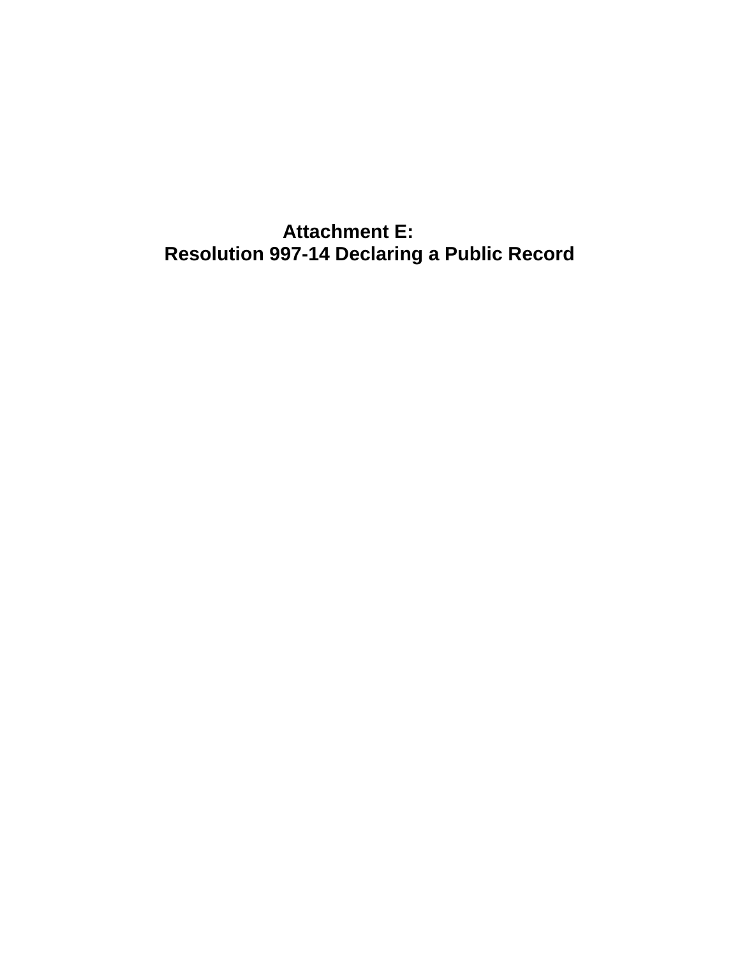**Attachment E: Resolution 997-14 Declaring a Public Record**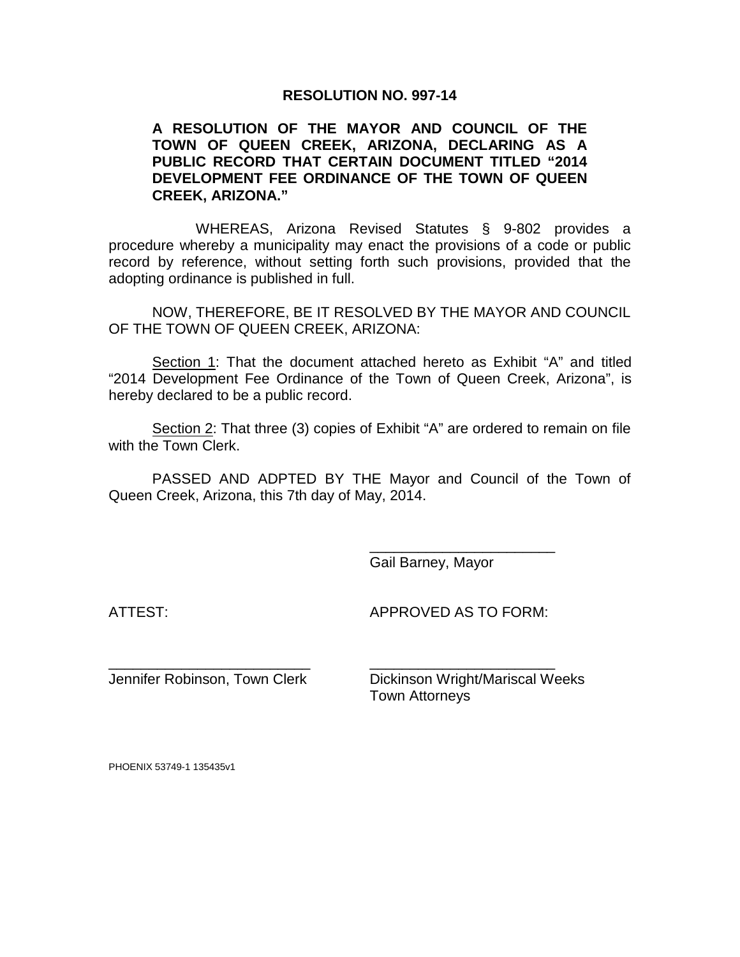#### **RESOLUTION NO. 997-14**

#### **A RESOLUTION OF THE MAYOR AND COUNCIL OF THE TOWN OF QUEEN CREEK, ARIZONA, DECLARING AS A PUBLIC RECORD THAT CERTAIN DOCUMENT TITLED "2014 DEVELOPMENT FEE ORDINANCE OF THE TOWN OF QUEEN CREEK, ARIZONA."**

WHEREAS, Arizona Revised Statutes § 9-802 provides a procedure whereby a municipality may enact the provisions of a code or public record by reference, without setting forth such provisions, provided that the adopting ordinance is published in full.

NOW, THEREFORE, BE IT RESOLVED BY THE MAYOR AND COUNCIL OF THE TOWN OF QUEEN CREEK, ARIZONA:

Section 1: That the document attached hereto as Exhibit "A" and titled "2014 Development Fee Ordinance of the Town of Queen Creek, Arizona", is hereby declared to be a public record.

Section 2: That three (3) copies of Exhibit "A" are ordered to remain on file with the Town Clerk.

PASSED AND ADPTED BY THE Mayor and Council of the Town of Queen Creek, Arizona, this 7th day of May, 2014.

\_\_\_\_\_\_\_\_\_\_\_\_\_\_\_\_\_\_\_\_\_\_\_\_\_ \_\_\_\_\_\_\_\_\_\_\_\_\_\_\_\_\_\_\_\_\_\_\_

Gail Barney, Mayor

ATTEST: APPROVED AS TO FORM:

\_\_\_\_\_\_\_\_\_\_\_\_\_\_\_\_\_\_\_\_\_\_\_

Jennifer Robinson, Town Clerk Dickinson Wright/Mariscal Weeks

Town Attorneys

PHOENIX 53749-1 135435v1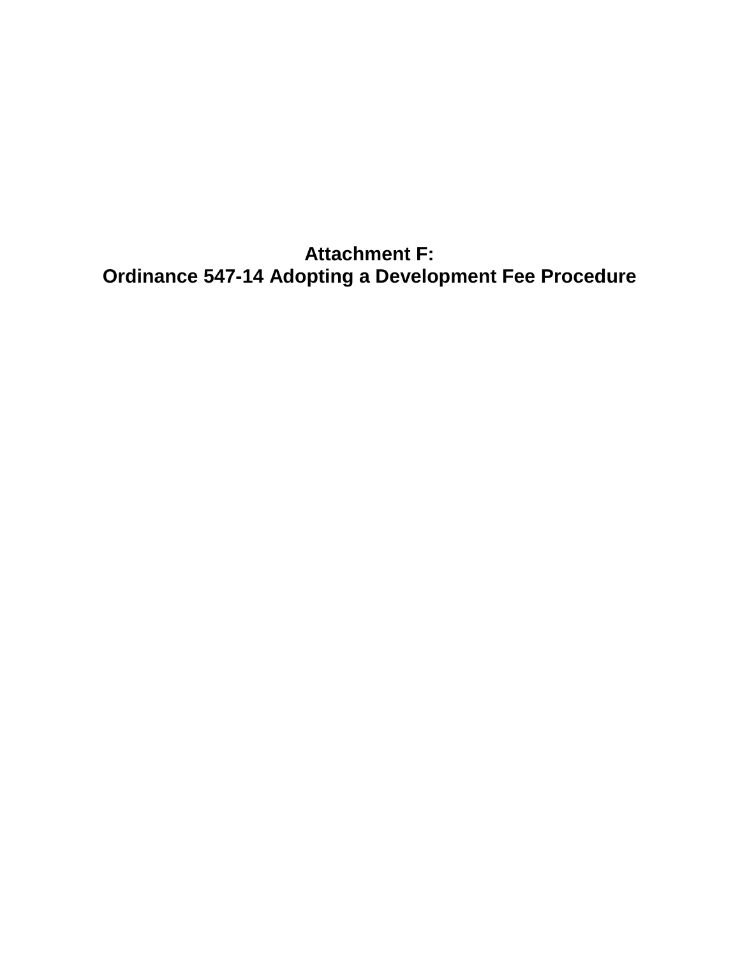**Attachment F: Ordinance 547-14 Adopting a Development Fee Procedure**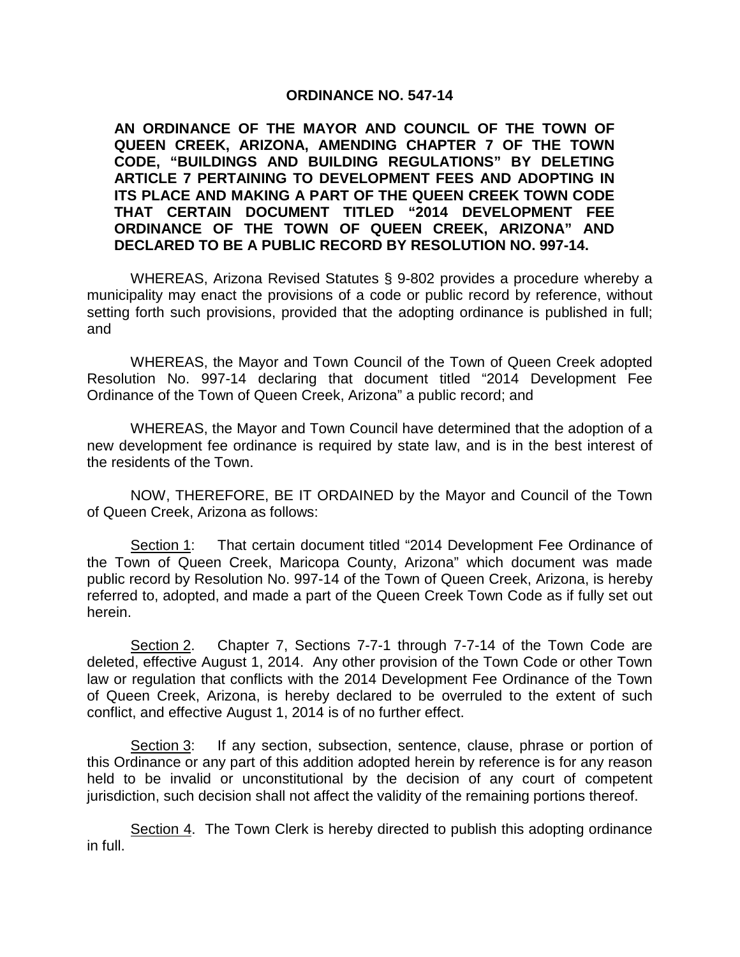#### **ORDINANCE NO. 547-14**

**AN ORDINANCE OF THE MAYOR AND COUNCIL OF THE TOWN OF QUEEN CREEK, ARIZONA, AMENDING CHAPTER 7 OF THE TOWN CODE, "BUILDINGS AND BUILDING REGULATIONS" BY DELETING ARTICLE 7 PERTAINING TO DEVELOPMENT FEES AND ADOPTING IN ITS PLACE AND MAKING A PART OF THE QUEEN CREEK TOWN CODE THAT CERTAIN DOCUMENT TITLED "2014 DEVELOPMENT FEE ORDINANCE OF THE TOWN OF QUEEN CREEK, ARIZONA" AND DECLARED TO BE A PUBLIC RECORD BY RESOLUTION NO. 997-14.** 

WHEREAS, Arizona Revised Statutes § 9-802 provides a procedure whereby a municipality may enact the provisions of a code or public record by reference, without setting forth such provisions, provided that the adopting ordinance is published in full; and

WHEREAS, the Mayor and Town Council of the Town of Queen Creek adopted Resolution No. 997-14 declaring that document titled "2014 Development Fee Ordinance of the Town of Queen Creek, Arizona" a public record; and

WHEREAS, the Mayor and Town Council have determined that the adoption of a new development fee ordinance is required by state law, and is in the best interest of the residents of the Town.

NOW, THEREFORE, BE IT ORDAINED by the Mayor and Council of the Town of Queen Creek, Arizona as follows:

Section 1: That certain document titled "2014 Development Fee Ordinance of the Town of Queen Creek, Maricopa County, Arizona" which document was made public record by Resolution No. 997-14 of the Town of Queen Creek, Arizona, is hereby referred to, adopted, and made a part of the Queen Creek Town Code as if fully set out herein.

Section 2. Chapter 7, Sections 7-7-1 through 7-7-14 of the Town Code are deleted, effective August 1, 2014. Any other provision of the Town Code or other Town law or regulation that conflicts with the 2014 Development Fee Ordinance of the Town of Queen Creek, Arizona, is hereby declared to be overruled to the extent of such conflict, and effective August 1, 2014 is of no further effect.

Section 3: If any section, subsection, sentence, clause, phrase or portion of this Ordinance or any part of this addition adopted herein by reference is for any reason held to be invalid or unconstitutional by the decision of any court of competent jurisdiction, such decision shall not affect the validity of the remaining portions thereof.

Section 4. The Town Clerk is hereby directed to publish this adopting ordinance in full.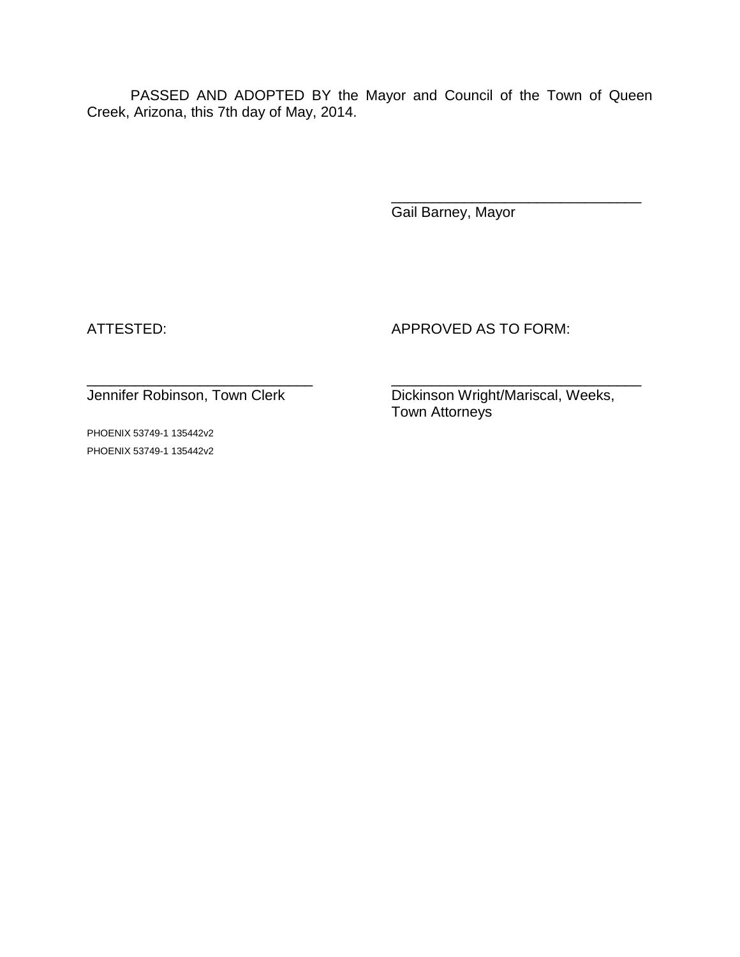PASSED AND ADOPTED BY the Mayor and Council of the Town of Queen Creek, Arizona, this 7th day of May, 2014.

Gail Barney, Mayor

ATTESTED: APPROVED AS TO FORM:

PHOENIX 53749-1 135442v2 PHOENIX 53749-1 135442v2

\_\_\_\_\_\_\_\_\_\_\_\_\_\_\_\_\_\_\_\_\_\_\_\_\_\_\_\_ \_\_\_\_\_\_\_\_\_\_\_\_\_\_\_\_\_\_\_\_\_\_\_\_\_\_\_\_\_\_\_ Jennifer Robinson, Town Clerk Dickinson Wright/Mariscal, Weeks, Town Attorneys

\_\_\_\_\_\_\_\_\_\_\_\_\_\_\_\_\_\_\_\_\_\_\_\_\_\_\_\_\_\_\_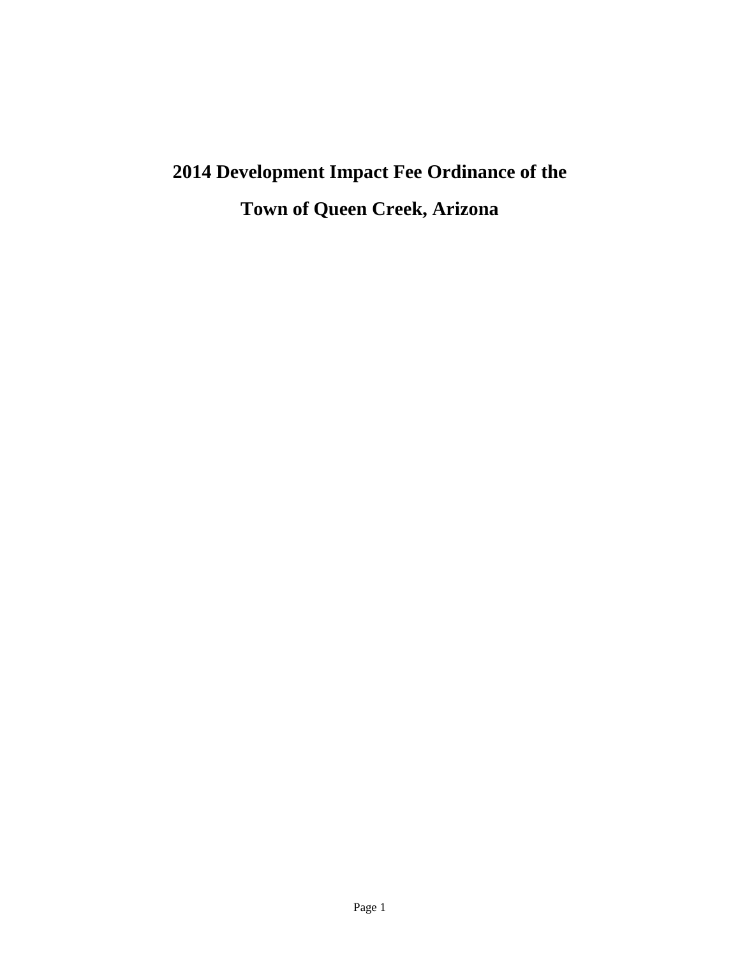# **2014 Development Impact Fee Ordinance of the Town of Queen Creek, Arizona**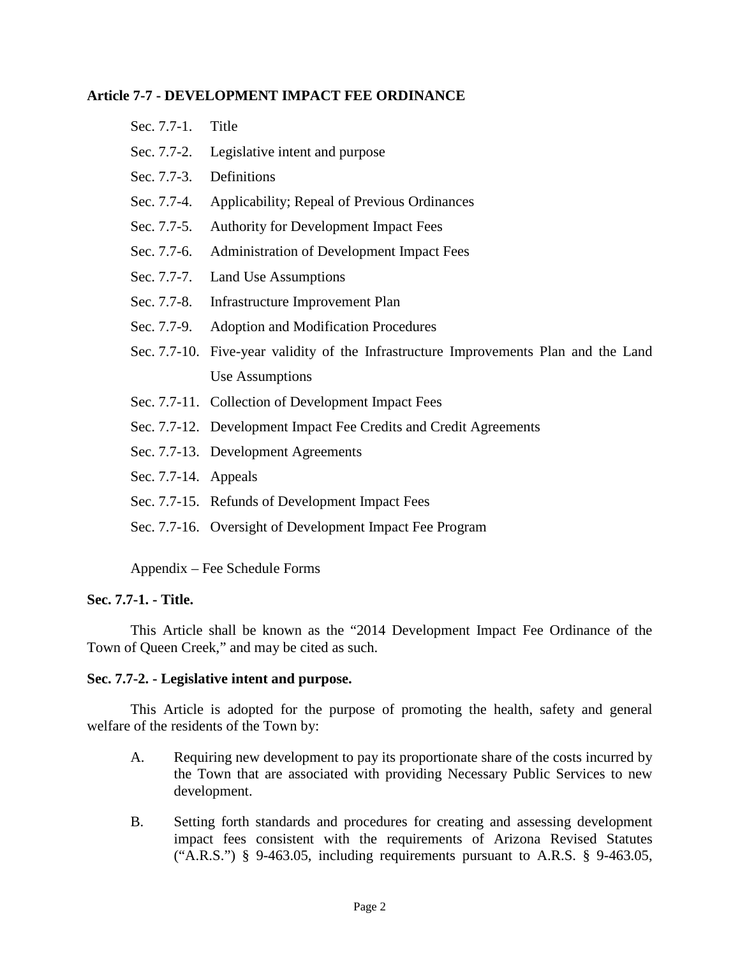#### **Article 7-7 - DEVELOPMENT IMPACT FEE ORDINANCE**

| Sec. 7.7-1. | Title |  |
|-------------|-------|--|
|             |       |  |

- Sec. 7.7-2. Legislative intent and purpose
- Sec. 7.7-3. Definitions
- Sec. 7.7-4. Applicability; Repeal of Previous Ordinances
- Sec. 7.7-5. Authority for Development Impact Fees
- Sec. 7.7-6. Administration of Development Impact Fees
- Sec. 7.7-7. Land Use Assumptions
- Sec. 7.7-8. Infrastructure Improvement Plan
- Sec. 7.7-9. Adoption and Modification Procedures
- Sec. 7.7-10. Five-year validity of the Infrastructure Improvements Plan and the Land Use Assumptions
- Sec. 7.7-11. Collection of Development Impact Fees
- Sec. 7.7-12. Development Impact Fee Credits and Credit Agreements
- Sec. 7.7-13. Development Agreements
- Sec. 7.7-14. Appeals
- Sec. 7.7-15. Refunds of Development Impact Fees
- Sec. 7.7-16. Oversight of Development Impact Fee Program

Appendix – Fee Schedule Forms

#### **Sec. 7.7-1. - Title.**

This Article shall be known as the "2014 Development Impact Fee Ordinance of the Town of Queen Creek," and may be cited as such.

#### **Sec. 7.7-2. - Legislative intent and purpose.**

This Article is adopted for the purpose of promoting the health, safety and general welfare of the residents of the Town by:

- A. Requiring new development to pay its proportionate share of the costs incurred by the Town that are associated with providing Necessary Public Services to new development.
- B. Setting forth standards and procedures for creating and assessing development impact fees consistent with the requirements of Arizona Revised Statutes ("A.R.S.") § 9-463.05, including requirements pursuant to A.R.S. § 9-463.05,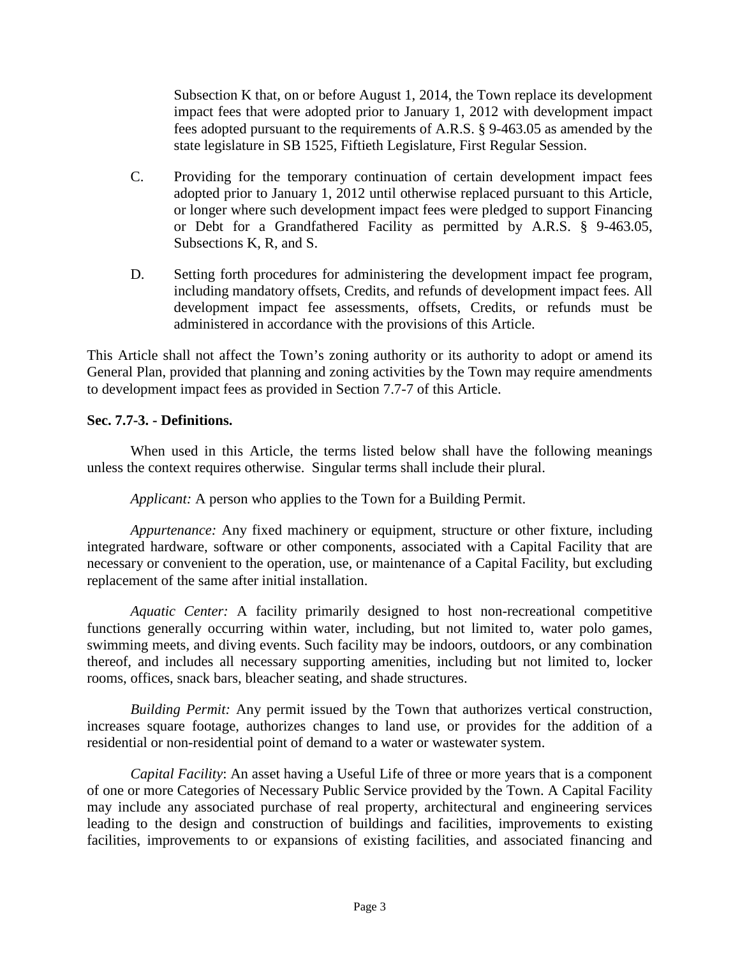Subsection K that, on or before August 1, 2014, the Town replace its development impact fees that were adopted prior to January 1, 2012 with development impact fees adopted pursuant to the requirements of A.R.S. § 9-463.05 as amended by the state legislature in SB 1525, Fiftieth Legislature, First Regular Session.

- C. Providing for the temporary continuation of certain development impact fees adopted prior to January 1, 2012 until otherwise replaced pursuant to this Article, or longer where such development impact fees were pledged to support Financing or Debt for a Grandfathered Facility as permitted by A.R.S. § 9-463.05, Subsections K, R, and S.
- D. Setting forth procedures for administering the development impact fee program, including mandatory offsets, Credits, and refunds of development impact fees*.* All development impact fee assessments, offsets, Credits, or refunds must be administered in accordance with the provisions of this Article.

This Article shall not affect the Town's zoning authority or its authority to adopt or amend its General Plan, provided that planning and zoning activities by the Town may require amendments to development impact fees as provided in Section 7.7-7 of this Article.

#### **Sec. 7.7-3. - Definitions.**

When used in this Article, the terms listed below shall have the following meanings unless the context requires otherwise. Singular terms shall include their plural.

*Applicant:* A person who applies to the Town for a Building Permit.

*Appurtenance:* Any fixed machinery or equipment, structure or other fixture, including integrated hardware, software or other components, associated with a Capital Facility that are necessary or convenient to the operation, use, or maintenance of a Capital Facility, but excluding replacement of the same after initial installation.

*Aquatic Center:* A facility primarily designed to host non-recreational competitive functions generally occurring within water, including, but not limited to, water polo games, swimming meets, and diving events. Such facility may be indoors, outdoors, or any combination thereof, and includes all necessary supporting amenities, including but not limited to, locker rooms, offices, snack bars, bleacher seating, and shade structures.

*Building Permit:* Any permit issued by the Town that authorizes vertical construction, increases square footage, authorizes changes to land use, or provides for the addition of a residential or non-residential point of demand to a water or wastewater system.

*Capital Facility*: An asset having a Useful Life of three or more years that is a component of one or more Categories of Necessary Public Service provided by the Town. A Capital Facility may include any associated purchase of real property, architectural and engineering services leading to the design and construction of buildings and facilities, improvements to existing facilities, improvements to or expansions of existing facilities, and associated financing and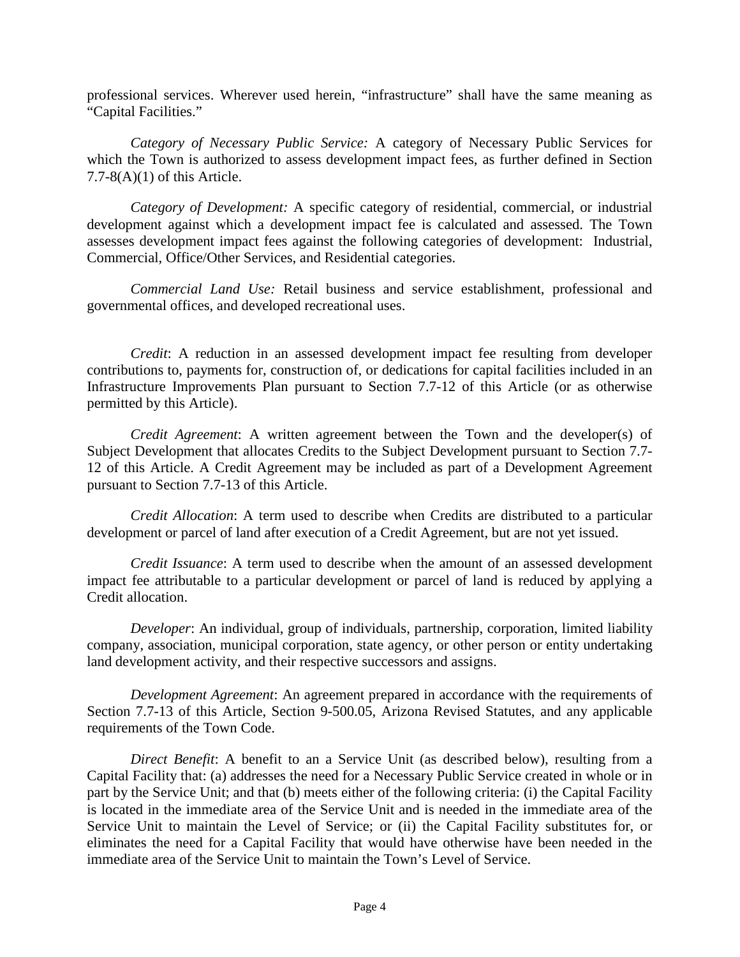professional services. Wherever used herein, "infrastructure" shall have the same meaning as "Capital Facilities."

*Category of Necessary Public Service:* A category of Necessary Public Services for which the Town is authorized to assess development impact fees, as further defined in Section  $7.7-8(A)(1)$  of this Article.

*Category of Development:* A specific category of residential, commercial, or industrial development against which a development impact fee is calculated and assessed. The Town assesses development impact fees against the following categories of development: Industrial, Commercial, Office/Other Services, and Residential categories.

*Commercial Land Use:* Retail business and service establishment, professional and governmental offices, and developed recreational uses.

*Credit*: A reduction in an assessed development impact fee resulting from developer contributions to, payments for, construction of, or dedications for capital facilities included in an Infrastructure Improvements Plan pursuant to Section 7.7-12 of this Article (or as otherwise permitted by this Article).

*Credit Agreement*: A written agreement between the Town and the developer(s) of Subject Development that allocates Credits to the Subject Development pursuant to Section 7.7- 12 of this Article. A Credit Agreement may be included as part of a Development Agreement pursuant to Section 7.7-13 of this Article.

*Credit Allocation*: A term used to describe when Credits are distributed to a particular development or parcel of land after execution of a Credit Agreement, but are not yet issued.

*Credit Issuance*: A term used to describe when the amount of an assessed development impact fee attributable to a particular development or parcel of land is reduced by applying a Credit allocation.

*Developer*: An individual, group of individuals, partnership, corporation, limited liability company, association, municipal corporation, state agency, or other person or entity undertaking land development activity, and their respective successors and assigns.

*Development Agreement*: An agreement prepared in accordance with the requirements of Section 7.7-13 of this Article, Section 9-500.05, Arizona Revised Statutes, and any applicable requirements of the Town Code.

*Direct Benefit*: A benefit to an a Service Unit (as described below), resulting from a Capital Facility that: (a) addresses the need for a Necessary Public Service created in whole or in part by the Service Unit; and that (b) meets either of the following criteria: (i) the Capital Facility is located in the immediate area of the Service Unit and is needed in the immediate area of the Service Unit to maintain the Level of Service; or (ii) the Capital Facility substitutes for, or eliminates the need for a Capital Facility that would have otherwise have been needed in the immediate area of the Service Unit to maintain the Town's Level of Service.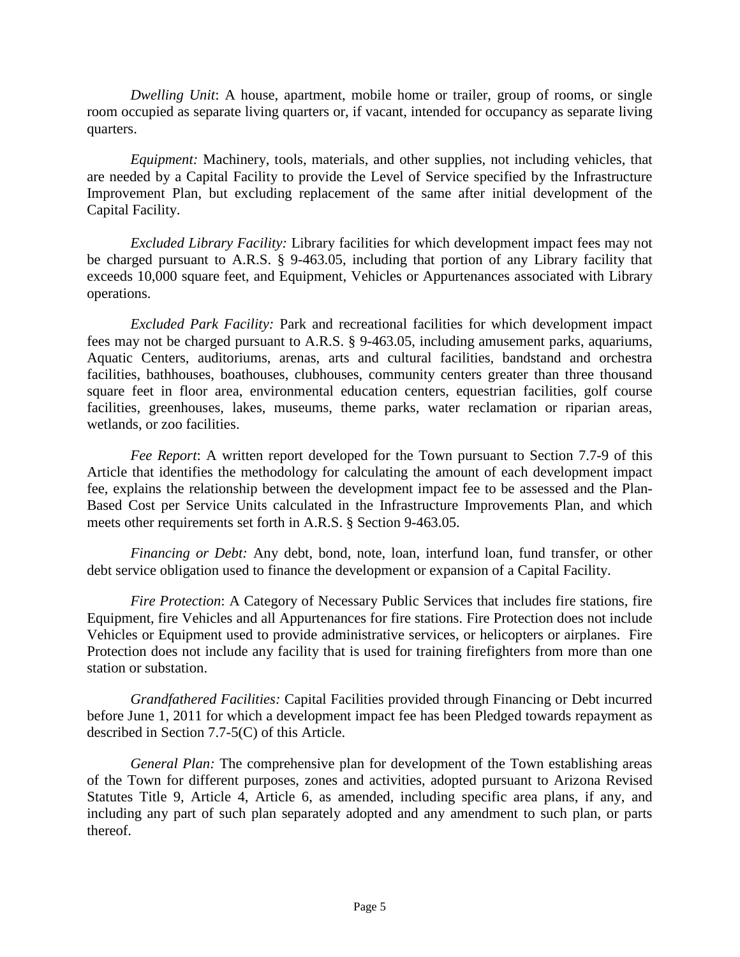*Dwelling Unit*: A house, apartment, mobile home or trailer, group of rooms, or single room occupied as separate living quarters or, if vacant, intended for occupancy as separate living quarters.

*Equipment:* Machinery, tools, materials, and other supplies, not including vehicles, that are needed by a Capital Facility to provide the Level of Service specified by the Infrastructure Improvement Plan, but excluding replacement of the same after initial development of the Capital Facility.

*Excluded Library Facility:* Library facilities for which development impact fees may not be charged pursuant to A.R.S. § 9-463.05, including that portion of any Library facility that exceeds 10,000 square feet, and Equipment, Vehicles or Appurtenances associated with Library operations.

*Excluded Park Facility:* Park and recreational facilities for which development impact fees may not be charged pursuant to A.R.S. § 9-463.05, including amusement parks, aquariums, Aquatic Centers, auditoriums, arenas, arts and cultural facilities, bandstand and orchestra facilities, bathhouses, boathouses, clubhouses, community centers greater than three thousand square feet in floor area, environmental education centers, equestrian facilities, golf course facilities, greenhouses, lakes, museums, theme parks, water reclamation or riparian areas, wetlands, or zoo facilities.

*Fee Report*: A written report developed for the Town pursuant to Section 7.7-9 of this Article that identifies the methodology for calculating the amount of each development impact fee, explains the relationship between the development impact fee to be assessed and the Plan-Based Cost per Service Units calculated in the Infrastructure Improvements Plan, and which meets other requirements set forth in A.R.S. § Section 9-463.05.

*Financing or Debt:* Any debt, bond, note, loan, interfund loan, fund transfer, or other debt service obligation used to finance the development or expansion of a Capital Facility.

*Fire Protection*: A Category of Necessary Public Services that includes fire stations, fire Equipment, fire Vehicles and all Appurtenances for fire stations. Fire Protection does not include Vehicles or Equipment used to provide administrative services, or helicopters or airplanes. Fire Protection does not include any facility that is used for training firefighters from more than one station or substation.

*Grandfathered Facilities:* Capital Facilities provided through Financing or Debt incurred before June 1, 2011 for which a development impact fee has been Pledged towards repayment as described in Section 7.7-5(C) of this Article.

*General Plan:* The comprehensive plan for development of the Town establishing areas of the Town for different purposes, zones and activities, adopted pursuant to Arizona Revised Statutes Title 9, Article 4, Article 6, as amended, including specific area plans, if any, and including any part of such plan separately adopted and any amendment to such plan, or parts thereof.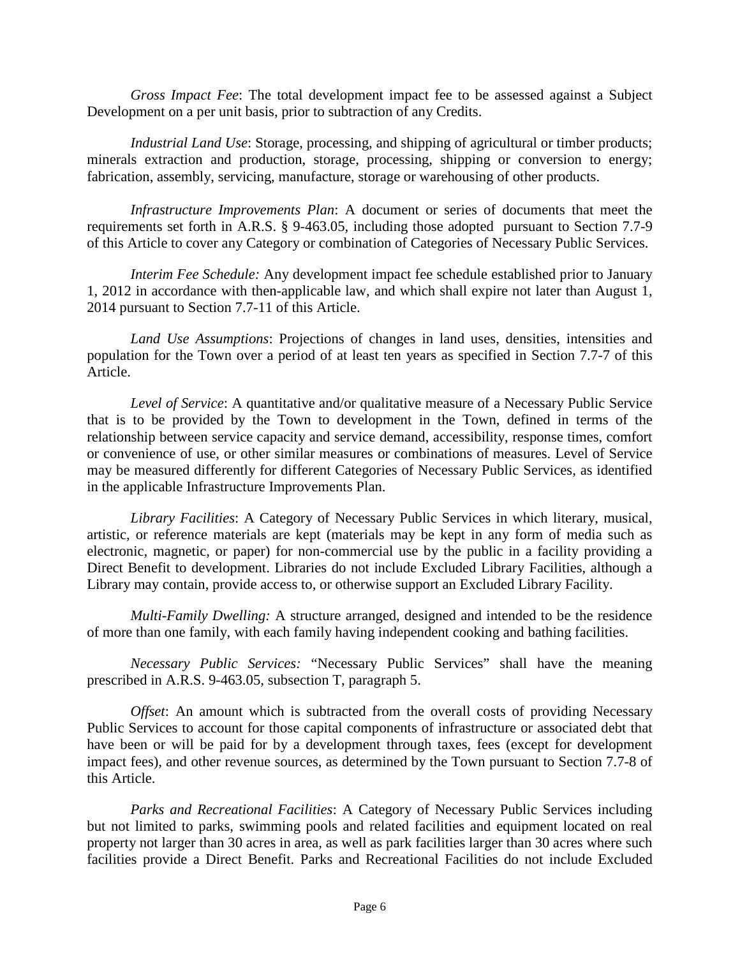*Gross Impact Fee*: The total development impact fee to be assessed against a Subject Development on a per unit basis, prior to subtraction of any Credits.

*Industrial Land Use*: Storage, processing, and shipping of agricultural or timber products; minerals extraction and production, storage, processing, shipping or conversion to energy; fabrication, assembly, servicing, manufacture, storage or warehousing of other products.

*Infrastructure Improvements Plan*: A document or series of documents that meet the requirements set forth in A.R.S. § 9-463.05, including those adopted pursuant to Section 7.7-9 of this Article to cover any Category or combination of Categories of Necessary Public Services.

*Interim Fee Schedule:* Any development impact fee schedule established prior to January 1, 2012 in accordance with then-applicable law, and which shall expire not later than August 1, 2014 pursuant to Section 7.7-11 of this Article.

*Land Use Assumptions*: Projections of changes in land uses, densities, intensities and population for the Town over a period of at least ten years as specified in Section 7.7-7 of this Article.

*Level of Service*: A quantitative and/or qualitative measure of a Necessary Public Service that is to be provided by the Town to development in the Town, defined in terms of the relationship between service capacity and service demand, accessibility, response times, comfort or convenience of use, or other similar measures or combinations of measures. Level of Service may be measured differently for different Categories of Necessary Public Services, as identified in the applicable Infrastructure Improvements Plan.

*Library Facilities*: A Category of Necessary Public Services in which literary, musical, artistic, or reference materials are kept (materials may be kept in any form of media such as electronic, magnetic, or paper) for non-commercial use by the public in a facility providing a Direct Benefit to development. Libraries do not include Excluded Library Facilities, although a Library may contain, provide access to, or otherwise support an Excluded Library Facility.

*Multi-Family Dwelling:* A structure arranged, designed and intended to be the residence of more than one family, with each family having independent cooking and bathing facilities.

*Necessary Public Services:* "Necessary Public Services" shall have the meaning prescribed in A.R.S. 9-463.05, subsection T, paragraph 5.

*Offset*: An amount which is subtracted from the overall costs of providing Necessary Public Services to account for those capital components of infrastructure or associated debt that have been or will be paid for by a development through taxes, fees (except for development impact fees), and other revenue sources, as determined by the Town pursuant to Section 7.7-8 of this Article.

*Parks and Recreational Facilities*: A Category of Necessary Public Services including but not limited to parks, swimming pools and related facilities and equipment located on real property not larger than 30 acres in area, as well as park facilities larger than 30 acres where such facilities provide a Direct Benefit. Parks and Recreational Facilities do not include Excluded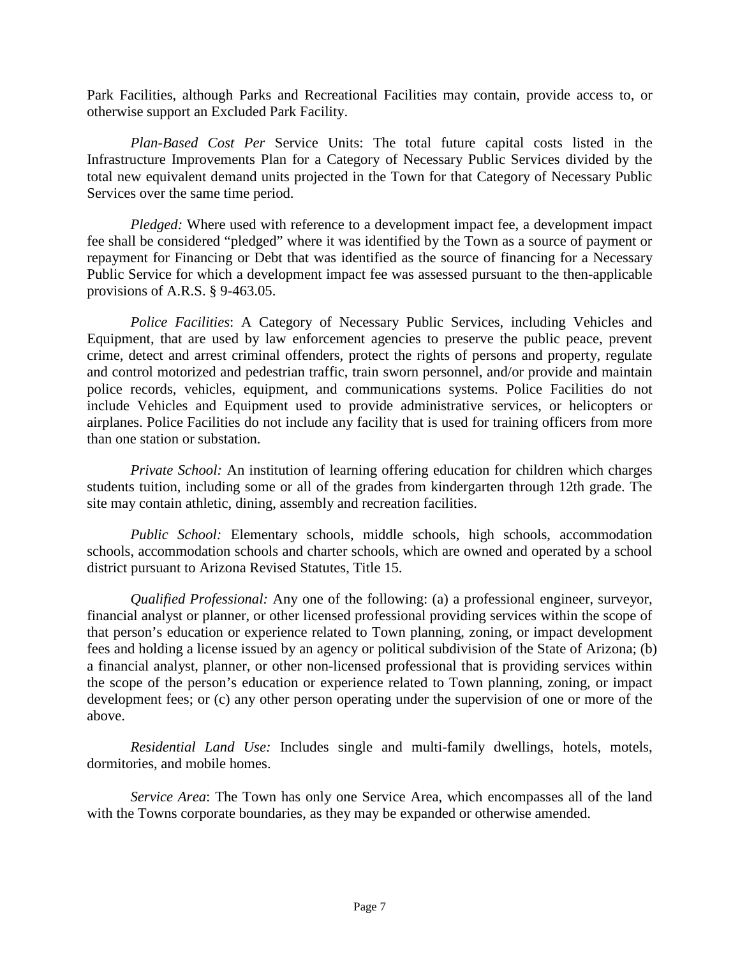Park Facilities, although Parks and Recreational Facilities may contain, provide access to, or otherwise support an Excluded Park Facility.

*Plan-Based Cost Per* Service Units: The total future capital costs listed in the Infrastructure Improvements Plan for a Category of Necessary Public Services divided by the total new equivalent demand units projected in the Town for that Category of Necessary Public Services over the same time period.

*Pledged:* Where used with reference to a development impact fee, a development impact fee shall be considered "pledged" where it was identified by the Town as a source of payment or repayment for Financing or Debt that was identified as the source of financing for a Necessary Public Service for which a development impact fee was assessed pursuant to the then-applicable provisions of A.R.S. § 9-463.05.

*Police Facilities*: A Category of Necessary Public Services, including Vehicles and Equipment, that are used by law enforcement agencies to preserve the public peace, prevent crime, detect and arrest criminal offenders, protect the rights of persons and property, regulate and control motorized and pedestrian traffic, train sworn personnel, and/or provide and maintain police records, vehicles, equipment, and communications systems. Police Facilities do not include Vehicles and Equipment used to provide administrative services, or helicopters or airplanes. Police Facilities do not include any facility that is used for training officers from more than one station or substation.

*Private School:* An institution of learning offering education for children which charges students tuition, including some or all of the grades from kindergarten through 12th grade. The site may contain athletic, dining, assembly and recreation facilities.

*Public School:* Elementary schools, middle schools, high schools, accommodation schools, accommodation schools and charter schools, which are owned and operated by a school district pursuant to Arizona Revised Statutes, Title 15.

*Qualified Professional:* Any one of the following: (a) a professional engineer, surveyor, financial analyst or planner, or other licensed professional providing services within the scope of that person's education or experience related to Town planning, zoning, or impact development fees and holding a license issued by an agency or political subdivision of the State of Arizona; (b) a financial analyst, planner, or other non-licensed professional that is providing services within the scope of the person's education or experience related to Town planning, zoning, or impact development fees; or (c) any other person operating under the supervision of one or more of the above.

*Residential Land Use:* Includes single and multi-family dwellings, hotels, motels, dormitories, and mobile homes.

*Service Area*: The Town has only one Service Area, which encompasses all of the land with the Towns corporate boundaries, as they may be expanded or otherwise amended.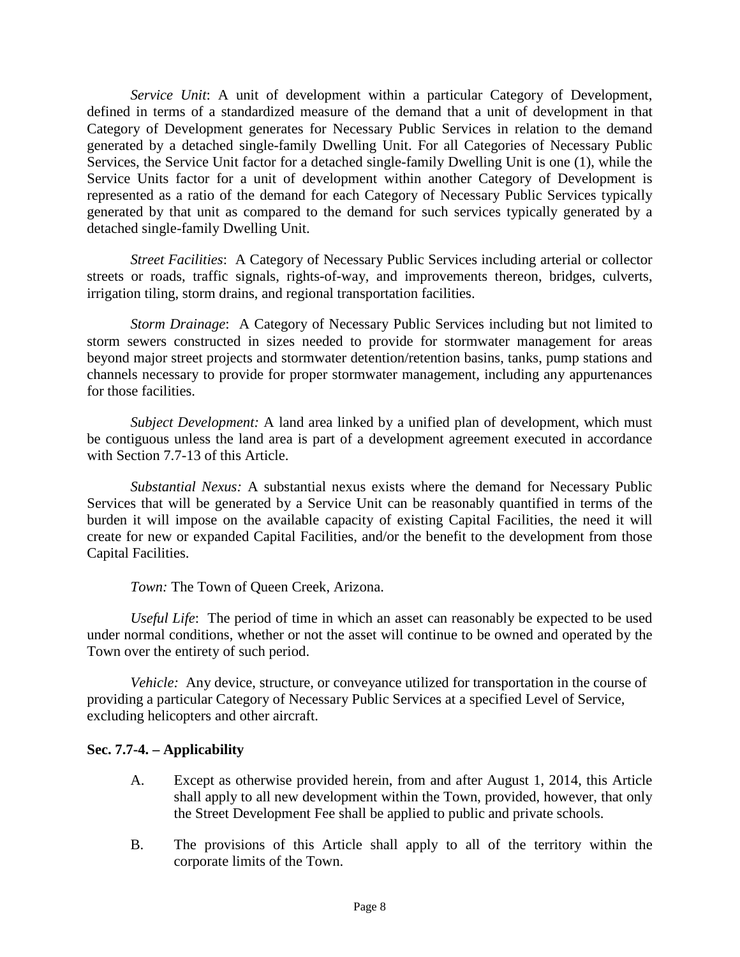*Service Unit*: A unit of development within a particular Category of Development, defined in terms of a standardized measure of the demand that a unit of development in that Category of Development generates for Necessary Public Services in relation to the demand generated by a detached single-family Dwelling Unit. For all Categories of Necessary Public Services, the Service Unit factor for a detached single-family Dwelling Unit is one (1), while the Service Units factor for a unit of development within another Category of Development is represented as a ratio of the demand for each Category of Necessary Public Services typically generated by that unit as compared to the demand for such services typically generated by a detached single-family Dwelling Unit.

*Street Facilities*: A Category of Necessary Public Services including arterial or collector streets or roads, traffic signals, rights-of-way, and improvements thereon, bridges, culverts, irrigation tiling, storm drains, and regional transportation facilities.

*Storm Drainage*: A Category of Necessary Public Services including but not limited to storm sewers constructed in sizes needed to provide for stormwater management for areas beyond major street projects and stormwater detention/retention basins, tanks, pump stations and channels necessary to provide for proper stormwater management, including any appurtenances for those facilities.

*Subject Development:* A land area linked by a unified plan of development, which must be contiguous unless the land area is part of a development agreement executed in accordance with Section 7.7-13 of this Article.

*Substantial Nexus:* A substantial nexus exists where the demand for Necessary Public Services that will be generated by a Service Unit can be reasonably quantified in terms of the burden it will impose on the available capacity of existing Capital Facilities, the need it will create for new or expanded Capital Facilities, and/or the benefit to the development from those Capital Facilities.

*Town:* The Town of Queen Creek, Arizona.

*Useful Life*: The period of time in which an asset can reasonably be expected to be used under normal conditions, whether or not the asset will continue to be owned and operated by the Town over the entirety of such period.

*Vehicle:* Any device, structure, or conveyance utilized for transportation in the course of providing a particular Category of Necessary Public Services at a specified Level of Service, excluding helicopters and other aircraft.

#### **Sec. 7.7-4. – Applicability**

- A. Except as otherwise provided herein, from and after August 1, 2014, this Article shall apply to all new development within the Town, provided, however, that only the Street Development Fee shall be applied to public and private schools.
- B. The provisions of this Article shall apply to all of the territory within the corporate limits of the Town.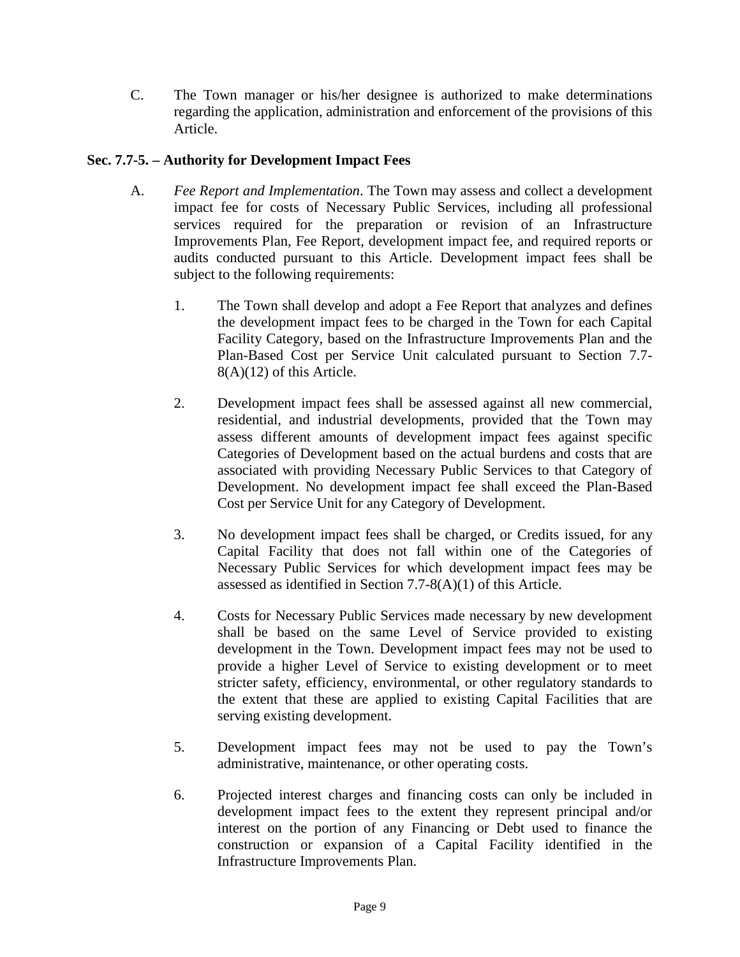C. The Town manager or his/her designee is authorized to make determinations regarding the application, administration and enforcement of the provisions of this Article.

#### **Sec. 7.7-5. – Authority for Development Impact Fees**

- A. *Fee Report and Implementation*. The Town may assess and collect a development impact fee for costs of Necessary Public Services, including all professional services required for the preparation or revision of an Infrastructure Improvements Plan, Fee Report, development impact fee, and required reports or audits conducted pursuant to this Article. Development impact fees shall be subject to the following requirements:
	- 1. The Town shall develop and adopt a Fee Report that analyzes and defines the development impact fees to be charged in the Town for each Capital Facility Category, based on the Infrastructure Improvements Plan and the Plan-Based Cost per Service Unit calculated pursuant to Section 7.7- 8(A)(12) of this Article.
	- 2. Development impact fees shall be assessed against all new commercial, residential, and industrial developments, provided that the Town may assess different amounts of development impact fees against specific Categories of Development based on the actual burdens and costs that are associated with providing Necessary Public Services to that Category of Development. No development impact fee shall exceed the Plan-Based Cost per Service Unit for any Category of Development.
	- 3. No development impact fees shall be charged, or Credits issued, for any Capital Facility that does not fall within one of the Categories of Necessary Public Services for which development impact fees may be assessed as identified in Section 7.7-8(A)(1) of this Article.
	- 4. Costs for Necessary Public Services made necessary by new development shall be based on the same Level of Service provided to existing development in the Town. Development impact fees may not be used to provide a higher Level of Service to existing development or to meet stricter safety, efficiency, environmental, or other regulatory standards to the extent that these are applied to existing Capital Facilities that are serving existing development.
	- 5. Development impact fees may not be used to pay the Town's administrative, maintenance, or other operating costs.
	- 6. Projected interest charges and financing costs can only be included in development impact fees to the extent they represent principal and/or interest on the portion of any Financing or Debt used to finance the construction or expansion of a Capital Facility identified in the Infrastructure Improvements Plan.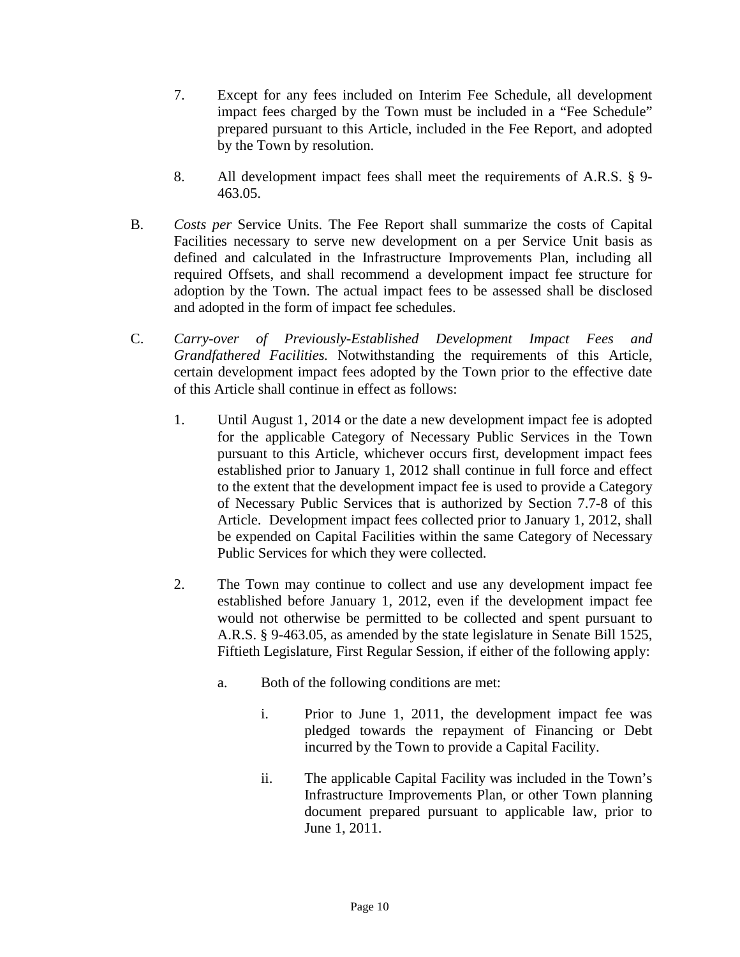- 7. Except for any fees included on Interim Fee Schedule, all development impact fees charged by the Town must be included in a "Fee Schedule" prepared pursuant to this Article, included in the Fee Report, and adopted by the Town by resolution.
- 8. All development impact fees shall meet the requirements of A.R.S. § 9- 463.05.
- B. *Costs per* Service Units*.* The Fee Report shall summarize the costs of Capital Facilities necessary to serve new development on a per Service Unit basis as defined and calculated in the Infrastructure Improvements Plan, including all required Offsets, and shall recommend a development impact fee structure for adoption by the Town. The actual impact fees to be assessed shall be disclosed and adopted in the form of impact fee schedules.
- C. *Carry-over of Previously-Established Development Impact Fees and Grandfathered Facilities.* Notwithstanding the requirements of this Article, certain development impact fees adopted by the Town prior to the effective date of this Article shall continue in effect as follows:
	- 1. Until August 1, 2014 or the date a new development impact fee is adopted for the applicable Category of Necessary Public Services in the Town pursuant to this Article, whichever occurs first, development impact fees established prior to January 1, 2012 shall continue in full force and effect to the extent that the development impact fee is used to provide a Category of Necessary Public Services that is authorized by Section 7.7-8 of this Article. Development impact fees collected prior to January 1, 2012, shall be expended on Capital Facilities within the same Category of Necessary Public Services for which they were collected.
	- 2. The Town may continue to collect and use any development impact fee established before January 1, 2012, even if the development impact fee would not otherwise be permitted to be collected and spent pursuant to A.R.S. § 9-463.05, as amended by the state legislature in Senate Bill 1525, Fiftieth Legislature, First Regular Session, if either of the following apply:
		- a. Both of the following conditions are met:
			- i. Prior to June 1, 2011, the development impact fee was pledged towards the repayment of Financing or Debt incurred by the Town to provide a Capital Facility.
			- ii. The applicable Capital Facility was included in the Town's Infrastructure Improvements Plan, or other Town planning document prepared pursuant to applicable law, prior to June 1, 2011.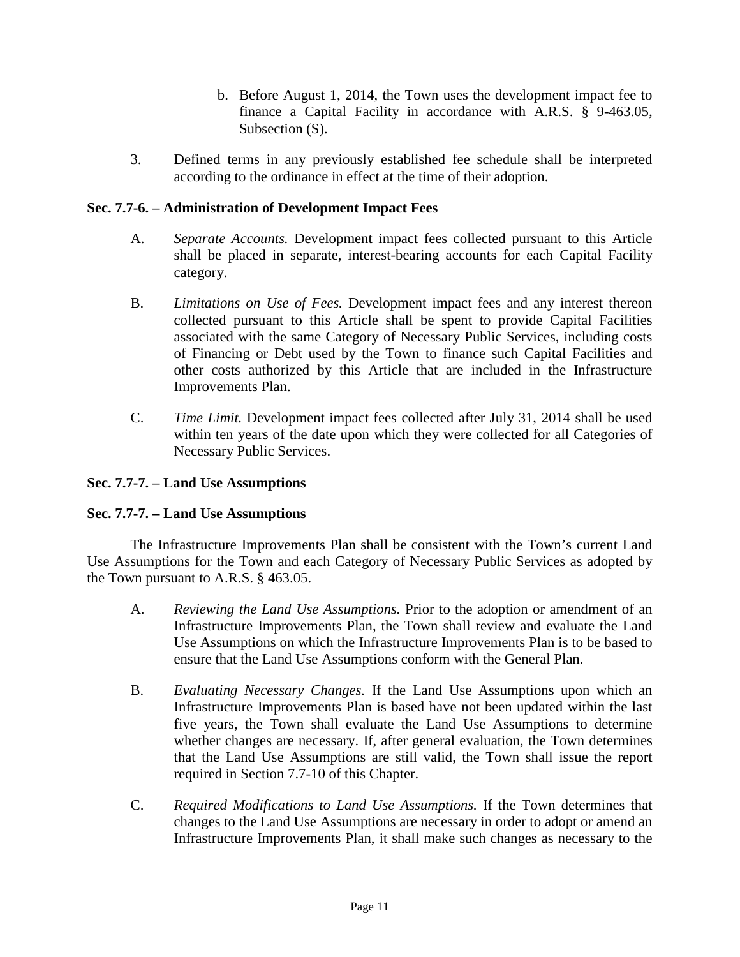- b. Before August 1, 2014, the Town uses the development impact fee to finance a Capital Facility in accordance with A.R.S. § 9-463.05, Subsection (S).
- 3. Defined terms in any previously established fee schedule shall be interpreted according to the ordinance in effect at the time of their adoption.

#### **Sec. 7.7-6. – Administration of Development Impact Fees**

- A. *Separate Accounts.* Development impact fees collected pursuant to this Article shall be placed in separate, interest-bearing accounts for each Capital Facility category.
- B. *Limitations on Use of Fees.* Development impact fees and any interest thereon collected pursuant to this Article shall be spent to provide Capital Facilities associated with the same Category of Necessary Public Services, including costs of Financing or Debt used by the Town to finance such Capital Facilities and other costs authorized by this Article that are included in the Infrastructure Improvements Plan.
- C. *Time Limit.* Development impact fees collected after July 31, 2014 shall be used within ten years of the date upon which they were collected for all Categories of Necessary Public Services.

#### **Sec. 7.7-7. – Land Use Assumptions**

#### **Sec. 7.7-7. – Land Use Assumptions**

The Infrastructure Improvements Plan shall be consistent with the Town's current Land Use Assumptions for the Town and each Category of Necessary Public Services as adopted by the Town pursuant to A.R.S. § 463.05.

- A. *Reviewing the Land Use Assumptions.* Prior to the adoption or amendment of an Infrastructure Improvements Plan, the Town shall review and evaluate the Land Use Assumptions on which the Infrastructure Improvements Plan is to be based to ensure that the Land Use Assumptions conform with the General Plan.
- B. *Evaluating Necessary Changes.* If the Land Use Assumptions upon which an Infrastructure Improvements Plan is based have not been updated within the last five years, the Town shall evaluate the Land Use Assumptions to determine whether changes are necessary. If, after general evaluation, the Town determines that the Land Use Assumptions are still valid, the Town shall issue the report required in Section 7.7-10 of this Chapter.
- C. *Required Modifications to Land Use Assumptions.* If the Town determines that changes to the Land Use Assumptions are necessary in order to adopt or amend an Infrastructure Improvements Plan, it shall make such changes as necessary to the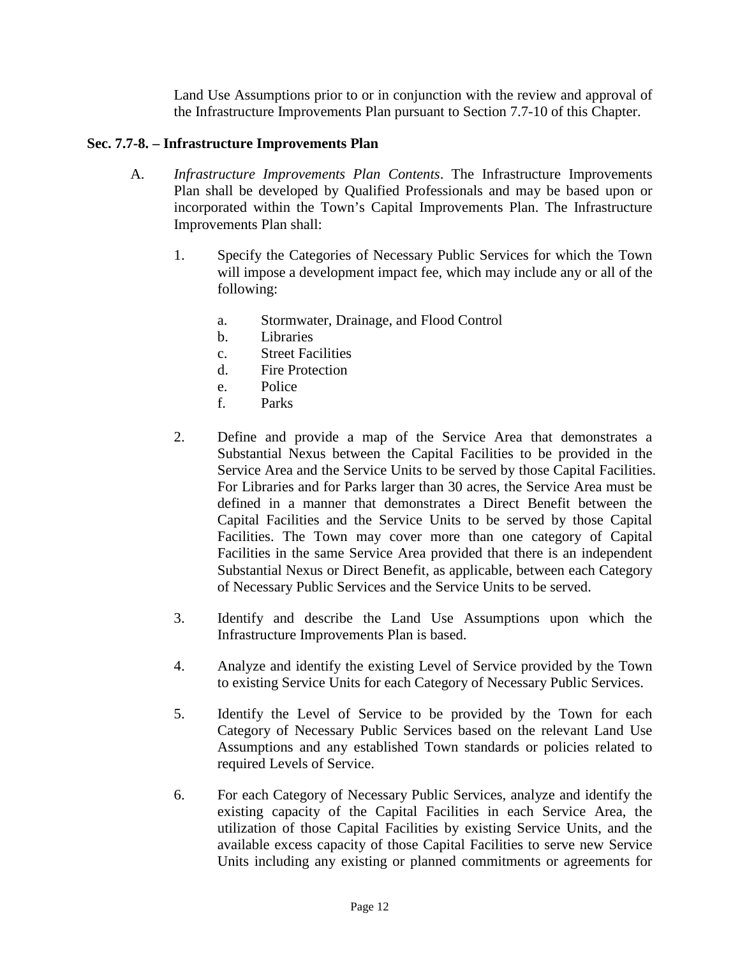Land Use Assumptions prior to or in conjunction with the review and approval of the Infrastructure Improvements Plan pursuant to Section 7.7-10 of this Chapter.

#### **Sec. 7.7-8. – Infrastructure Improvements Plan**

- A. *Infrastructure Improvements Plan Contents*. The Infrastructure Improvements Plan shall be developed by Qualified Professionals and may be based upon or incorporated within the Town's Capital Improvements Plan. The Infrastructure Improvements Plan shall:
	- 1. Specify the Categories of Necessary Public Services for which the Town will impose a development impact fee, which may include any or all of the following:
		- a. Stormwater, Drainage, and Flood Control
		- b. Libraries
		- c. Street Facilities
		- d. Fire Protection
		- e. Police
		- f. Parks
	- 2. Define and provide a map of the Service Area that demonstrates a Substantial Nexus between the Capital Facilities to be provided in the Service Area and the Service Units to be served by those Capital Facilities. For Libraries and for Parks larger than 30 acres, the Service Area must be defined in a manner that demonstrates a Direct Benefit between the Capital Facilities and the Service Units to be served by those Capital Facilities. The Town may cover more than one category of Capital Facilities in the same Service Area provided that there is an independent Substantial Nexus or Direct Benefit, as applicable, between each Category of Necessary Public Services and the Service Units to be served.
	- 3. Identify and describe the Land Use Assumptions upon which the Infrastructure Improvements Plan is based.
	- 4. Analyze and identify the existing Level of Service provided by the Town to existing Service Units for each Category of Necessary Public Services.
	- 5. Identify the Level of Service to be provided by the Town for each Category of Necessary Public Services based on the relevant Land Use Assumptions and any established Town standards or policies related to required Levels of Service.
	- 6. For each Category of Necessary Public Services, analyze and identify the existing capacity of the Capital Facilities in each Service Area, the utilization of those Capital Facilities by existing Service Units, and the available excess capacity of those Capital Facilities to serve new Service Units including any existing or planned commitments or agreements for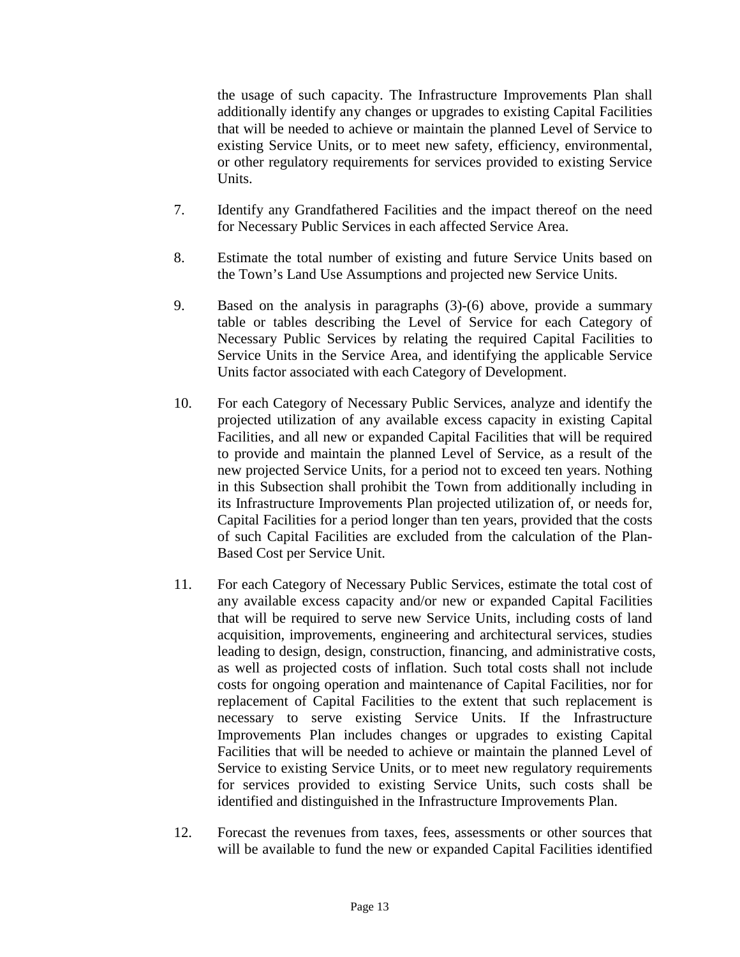the usage of such capacity. The Infrastructure Improvements Plan shall additionally identify any changes or upgrades to existing Capital Facilities that will be needed to achieve or maintain the planned Level of Service to existing Service Units, or to meet new safety, efficiency, environmental, or other regulatory requirements for services provided to existing Service Units.

- 7. Identify any Grandfathered Facilities and the impact thereof on the need for Necessary Public Services in each affected Service Area.
- 8. Estimate the total number of existing and future Service Units based on the Town's Land Use Assumptions and projected new Service Units.
- 9. Based on the analysis in paragraphs (3)-(6) above, provide a summary table or tables describing the Level of Service for each Category of Necessary Public Services by relating the required Capital Facilities to Service Units in the Service Area, and identifying the applicable Service Units factor associated with each Category of Development.
- 10. For each Category of Necessary Public Services, analyze and identify the projected utilization of any available excess capacity in existing Capital Facilities, and all new or expanded Capital Facilities that will be required to provide and maintain the planned Level of Service, as a result of the new projected Service Units, for a period not to exceed ten years. Nothing in this Subsection shall prohibit the Town from additionally including in its Infrastructure Improvements Plan projected utilization of, or needs for, Capital Facilities for a period longer than ten years, provided that the costs of such Capital Facilities are excluded from the calculation of the Plan-Based Cost per Service Unit.
- 11. For each Category of Necessary Public Services, estimate the total cost of any available excess capacity and/or new or expanded Capital Facilities that will be required to serve new Service Units, including costs of land acquisition, improvements, engineering and architectural services, studies leading to design, design, construction, financing, and administrative costs, as well as projected costs of inflation. Such total costs shall not include costs for ongoing operation and maintenance of Capital Facilities, nor for replacement of Capital Facilities to the extent that such replacement is necessary to serve existing Service Units. If the Infrastructure Improvements Plan includes changes or upgrades to existing Capital Facilities that will be needed to achieve or maintain the planned Level of Service to existing Service Units, or to meet new regulatory requirements for services provided to existing Service Units, such costs shall be identified and distinguished in the Infrastructure Improvements Plan.
- 12. Forecast the revenues from taxes, fees, assessments or other sources that will be available to fund the new or expanded Capital Facilities identified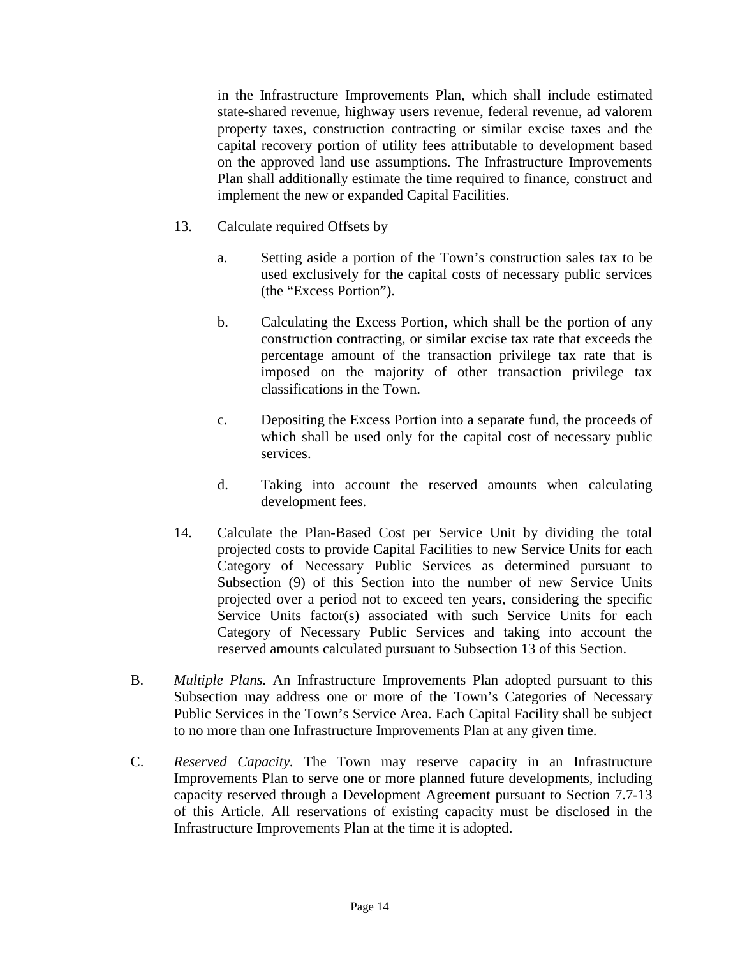in the Infrastructure Improvements Plan, which shall include estimated state-shared revenue, highway users revenue, federal revenue, ad valorem property taxes, construction contracting or similar excise taxes and the capital recovery portion of utility fees attributable to development based on the approved land use assumptions. The Infrastructure Improvements Plan shall additionally estimate the time required to finance, construct and implement the new or expanded Capital Facilities.

- 13. Calculate required Offsets by
	- a. Setting aside a portion of the Town's construction sales tax to be used exclusively for the capital costs of necessary public services (the "Excess Portion").
	- b. Calculating the Excess Portion, which shall be the portion of any construction contracting, or similar excise tax rate that exceeds the percentage amount of the transaction privilege tax rate that is imposed on the majority of other transaction privilege tax classifications in the Town.
	- c. Depositing the Excess Portion into a separate fund, the proceeds of which shall be used only for the capital cost of necessary public services.
	- d. Taking into account the reserved amounts when calculating development fees.
- 14. Calculate the Plan-Based Cost per Service Unit by dividing the total projected costs to provide Capital Facilities to new Service Units for each Category of Necessary Public Services as determined pursuant to Subsection (9) of this Section into the number of new Service Units projected over a period not to exceed ten years, considering the specific Service Units factor(s) associated with such Service Units for each Category of Necessary Public Services and taking into account the reserved amounts calculated pursuant to Subsection 13 of this Section.
- B. *Multiple Plans.* An Infrastructure Improvements Plan adopted pursuant to this Subsection may address one or more of the Town's Categories of Necessary Public Services in the Town's Service Area. Each Capital Facility shall be subject to no more than one Infrastructure Improvements Plan at any given time.
- C. *Reserved Capacity.* The Town may reserve capacity in an Infrastructure Improvements Plan to serve one or more planned future developments, including capacity reserved through a Development Agreement pursuant to Section 7.7-13 of this Article. All reservations of existing capacity must be disclosed in the Infrastructure Improvements Plan at the time it is adopted.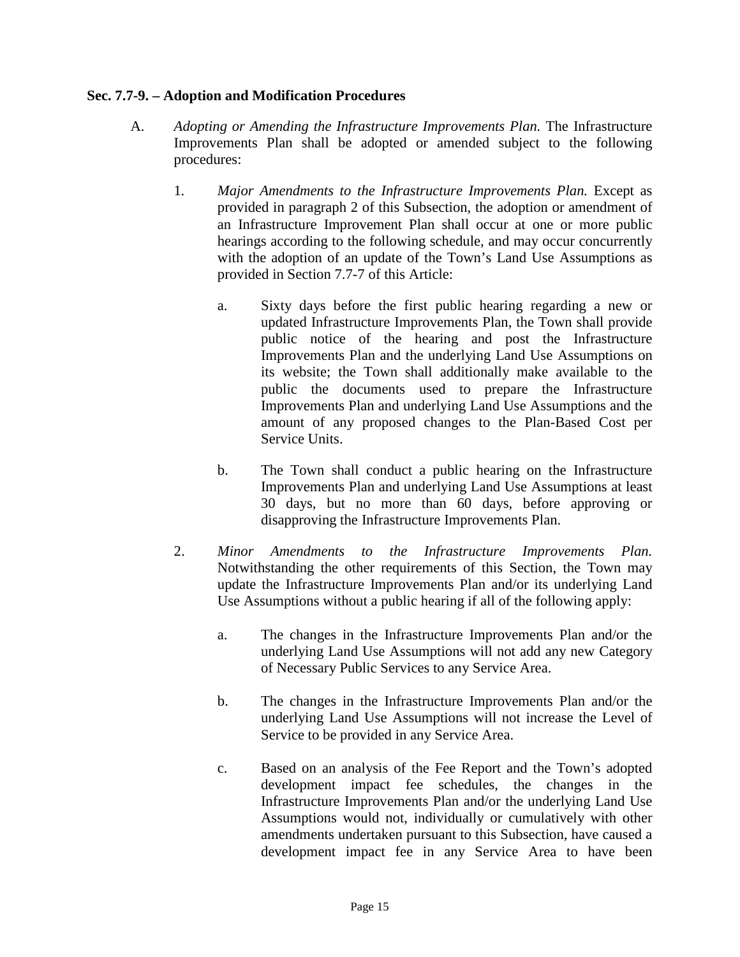#### **Sec. 7.7-9. – Adoption and Modification Procedures**

- A. *Adopting or Amending the Infrastructure Improvements Plan.* The Infrastructure Improvements Plan shall be adopted or amended subject to the following procedures:
	- 1*. Major Amendments to the Infrastructure Improvements Plan.* Except as provided in paragraph 2 of this Subsection, the adoption or amendment of an Infrastructure Improvement Plan shall occur at one or more public hearings according to the following schedule, and may occur concurrently with the adoption of an update of the Town's Land Use Assumptions as provided in Section 7.7-7 of this Article:
		- a. Sixty days before the first public hearing regarding a new or updated Infrastructure Improvements Plan, the Town shall provide public notice of the hearing and post the Infrastructure Improvements Plan and the underlying Land Use Assumptions on its website; the Town shall additionally make available to the public the documents used to prepare the Infrastructure Improvements Plan and underlying Land Use Assumptions and the amount of any proposed changes to the Plan-Based Cost per Service Units.
		- b. The Town shall conduct a public hearing on the Infrastructure Improvements Plan and underlying Land Use Assumptions at least 30 days, but no more than 60 days, before approving or disapproving the Infrastructure Improvements Plan.
	- 2. *Minor Amendments to the Infrastructure Improvements Plan.* Notwithstanding the other requirements of this Section, the Town may update the Infrastructure Improvements Plan and/or its underlying Land Use Assumptions without a public hearing if all of the following apply:
		- a. The changes in the Infrastructure Improvements Plan and/or the underlying Land Use Assumptions will not add any new Category of Necessary Public Services to any Service Area.
		- b. The changes in the Infrastructure Improvements Plan and/or the underlying Land Use Assumptions will not increase the Level of Service to be provided in any Service Area.
		- c. Based on an analysis of the Fee Report and the Town's adopted development impact fee schedules, the changes in the Infrastructure Improvements Plan and/or the underlying Land Use Assumptions would not, individually or cumulatively with other amendments undertaken pursuant to this Subsection, have caused a development impact fee in any Service Area to have been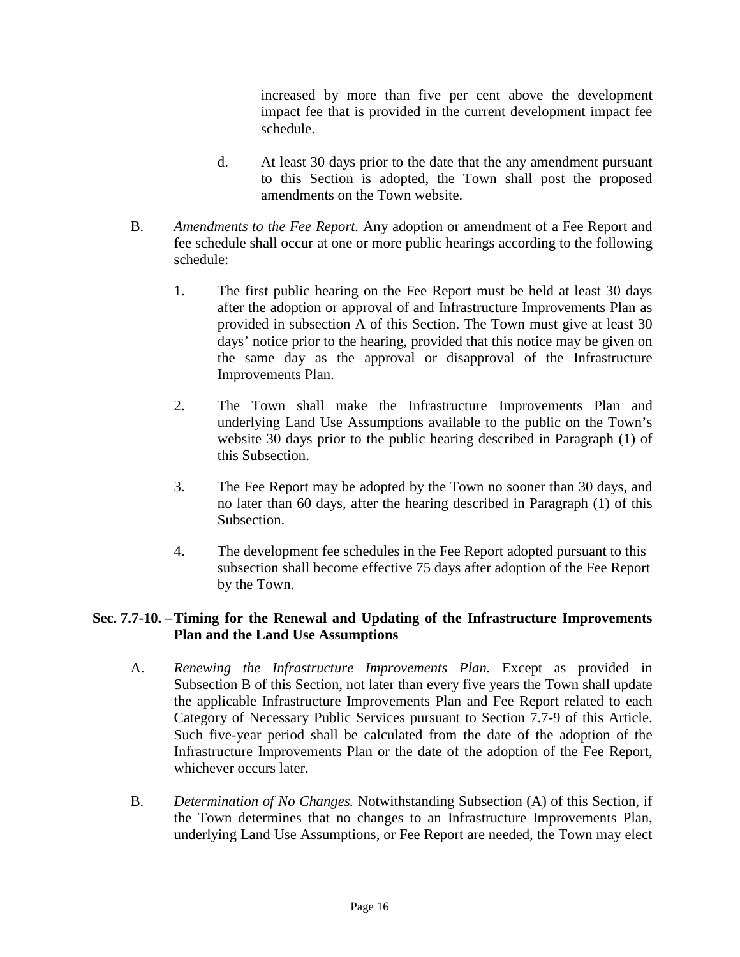increased by more than five per cent above the development impact fee that is provided in the current development impact fee schedule.

- d. At least 30 days prior to the date that the any amendment pursuant to this Section is adopted, the Town shall post the proposed amendments on the Town website.
- B. *Amendments to the Fee Report.* Any adoption or amendment of a Fee Report and fee schedule shall occur at one or more public hearings according to the following schedule:
	- 1. The first public hearing on the Fee Report must be held at least 30 days after the adoption or approval of and Infrastructure Improvements Plan as provided in subsection A of this Section. The Town must give at least 30 days' notice prior to the hearing, provided that this notice may be given on the same day as the approval or disapproval of the Infrastructure Improvements Plan.
	- 2. The Town shall make the Infrastructure Improvements Plan and underlying Land Use Assumptions available to the public on the Town's website 30 days prior to the public hearing described in Paragraph (1) of this Subsection.
	- 3. The Fee Report may be adopted by the Town no sooner than 30 days, and no later than 60 days, after the hearing described in Paragraph (1) of this Subsection.
	- 4. The development fee schedules in the Fee Report adopted pursuant to this subsection shall become effective 75 days after adoption of the Fee Report by the Town.

#### **Sec. 7.7-10. –Timing for the Renewal and Updating of the Infrastructure Improvements Plan and the Land Use Assumptions**

- A. *Renewing the Infrastructure Improvements Plan.* Except as provided in Subsection B of this Section, not later than every five years the Town shall update the applicable Infrastructure Improvements Plan and Fee Report related to each Category of Necessary Public Services pursuant to Section 7.7-9 of this Article. Such five-year period shall be calculated from the date of the adoption of the Infrastructure Improvements Plan or the date of the adoption of the Fee Report, whichever occurs later.
- B. *Determination of No Changes.* Notwithstanding Subsection (A) of this Section, if the Town determines that no changes to an Infrastructure Improvements Plan, underlying Land Use Assumptions, or Fee Report are needed, the Town may elect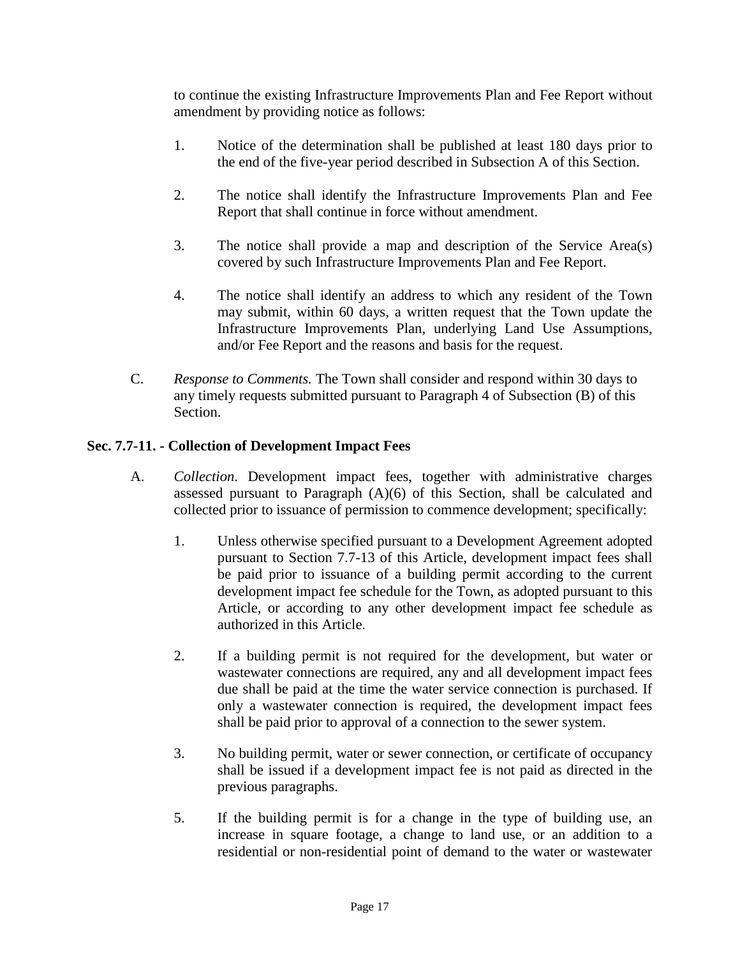to continue the existing Infrastructure Improvements Plan and Fee Report without amendment by providing notice as follows:

- 1. Notice of the determination shall be published at least 180 days prior to the end of the five-year period described in Subsection A of this Section.
- 2. The notice shall identify the Infrastructure Improvements Plan and Fee Report that shall continue in force without amendment.
- 3. The notice shall provide a map and description of the Service Area(s) covered by such Infrastructure Improvements Plan and Fee Report.
- 4. The notice shall identify an address to which any resident of the Town may submit, within 60 days, a written request that the Town update the Infrastructure Improvements Plan, underlying Land Use Assumptions, and/or Fee Report and the reasons and basis for the request.
- C. *Response to Comments.* The Town shall consider and respond within 30 days to any timely requests submitted pursuant to Paragraph 4 of Subsection (B) of this Section.

#### **Sec. 7.7-11. - Collection of Development Impact Fees**

- A. *Collection*. Development impact fees, together with administrative charges assessed pursuant to Paragraph (A)(6) of this Section, shall be calculated and collected prior to issuance of permission to commence development; specifically:
	- 1. Unless otherwise specified pursuant to a Development Agreement adopted pursuant to Section 7.7-13 of this Article, development impact fees shall be paid prior to issuance of a building permit according to the current development impact fee schedule for the Town, as adopted pursuant to this Article, or according to any other development impact fee schedule as authorized in this Article.
	- 2. If a building permit is not required for the development, but water or wastewater connections are required, any and all development impact fees due shall be paid at the time the water service connection is purchased. If only a wastewater connection is required, the development impact fees shall be paid prior to approval of a connection to the sewer system.
	- 3. No building permit, water or sewer connection, or certificate of occupancy shall be issued if a development impact fee is not paid as directed in the previous paragraphs.
	- 5. If the building permit is for a change in the type of building use, an increase in square footage, a change to land use, or an addition to a residential or non-residential point of demand to the water or wastewater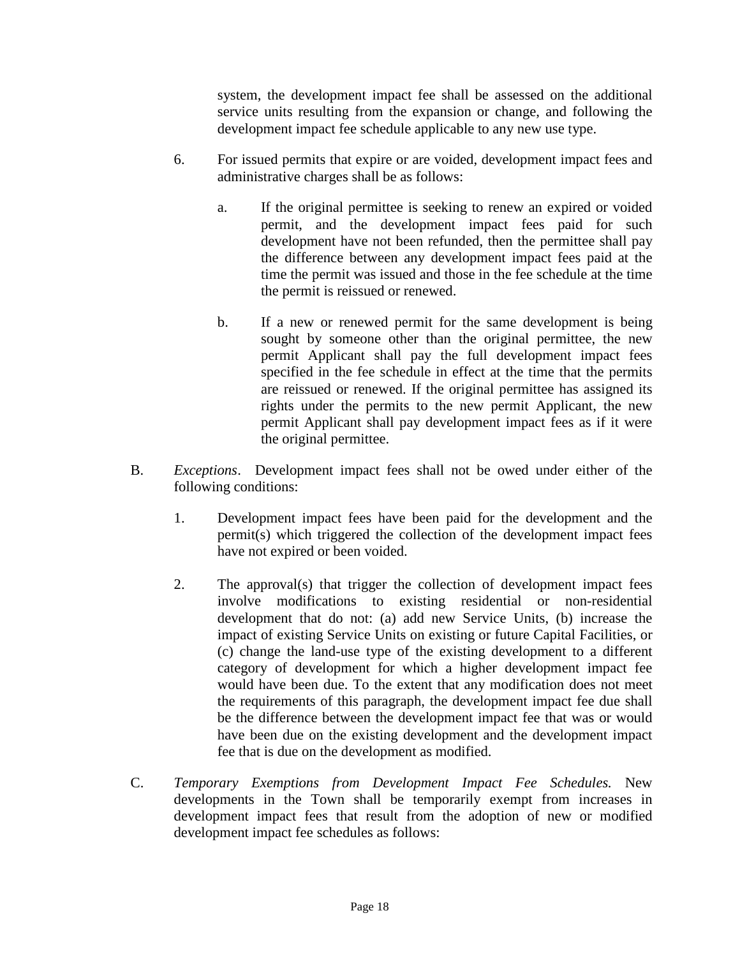system, the development impact fee shall be assessed on the additional service units resulting from the expansion or change, and following the development impact fee schedule applicable to any new use type.

- 6. For issued permits that expire or are voided, development impact fees and administrative charges shall be as follows:
	- a. If the original permittee is seeking to renew an expired or voided permit, and the development impact fees paid for such development have not been refunded, then the permittee shall pay the difference between any development impact fees paid at the time the permit was issued and those in the fee schedule at the time the permit is reissued or renewed.
	- b. If a new or renewed permit for the same development is being sought by someone other than the original permittee, the new permit Applicant shall pay the full development impact fees specified in the fee schedule in effect at the time that the permits are reissued or renewed. If the original permittee has assigned its rights under the permits to the new permit Applicant, the new permit Applicant shall pay development impact fees as if it were the original permittee.
- B. *Exceptions*. Development impact fees shall not be owed under either of the following conditions:
	- 1. Development impact fees have been paid for the development and the permit(s) which triggered the collection of the development impact fees have not expired or been voided.
	- 2. The approval(s) that trigger the collection of development impact fees involve modifications to existing residential or non-residential development that do not: (a) add new Service Units, (b) increase the impact of existing Service Units on existing or future Capital Facilities, or (c) change the land-use type of the existing development to a different category of development for which a higher development impact fee would have been due. To the extent that any modification does not meet the requirements of this paragraph, the development impact fee due shall be the difference between the development impact fee that was or would have been due on the existing development and the development impact fee that is due on the development as modified.
- C. *Temporary Exemptions from Development Impact Fee Schedules.* New developments in the Town shall be temporarily exempt from increases in development impact fees that result from the adoption of new or modified development impact fee schedules as follows: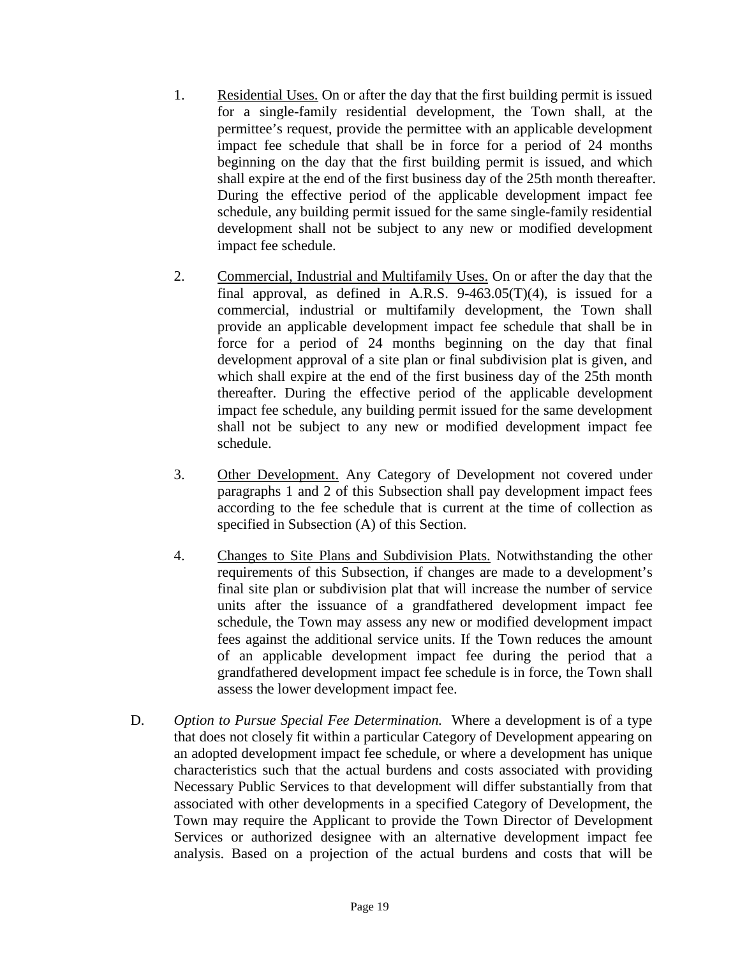- 1. Residential Uses. On or after the day that the first building permit is issued for a single-family residential development, the Town shall, at the permittee's request, provide the permittee with an applicable development impact fee schedule that shall be in force for a period of 24 months beginning on the day that the first building permit is issued, and which shall expire at the end of the first business day of the 25th month thereafter. During the effective period of the applicable development impact fee schedule, any building permit issued for the same single-family residential development shall not be subject to any new or modified development impact fee schedule.
- 2. Commercial, Industrial and Multifamily Uses. On or after the day that the final approval, as defined in A.R.S.  $9-463.05(T)(4)$ , is issued for a commercial, industrial or multifamily development, the Town shall provide an applicable development impact fee schedule that shall be in force for a period of 24 months beginning on the day that final development approval of a site plan or final subdivision plat is given, and which shall expire at the end of the first business day of the 25th month thereafter. During the effective period of the applicable development impact fee schedule, any building permit issued for the same development shall not be subject to any new or modified development impact fee schedule.
- 3. Other Development. Any Category of Development not covered under paragraphs 1 and 2 of this Subsection shall pay development impact fees according to the fee schedule that is current at the time of collection as specified in Subsection (A) of this Section.
- 4. Changes to Site Plans and Subdivision Plats. Notwithstanding the other requirements of this Subsection, if changes are made to a development's final site plan or subdivision plat that will increase the number of service units after the issuance of a grandfathered development impact fee schedule, the Town may assess any new or modified development impact fees against the additional service units. If the Town reduces the amount of an applicable development impact fee during the period that a grandfathered development impact fee schedule is in force, the Town shall assess the lower development impact fee.
- D. *Option to Pursue Special Fee Determination.* Where a development is of a type that does not closely fit within a particular Category of Development appearing on an adopted development impact fee schedule, or where a development has unique characteristics such that the actual burdens and costs associated with providing Necessary Public Services to that development will differ substantially from that associated with other developments in a specified Category of Development, the Town may require the Applicant to provide the Town Director of Development Services or authorized designee with an alternative development impact fee analysis. Based on a projection of the actual burdens and costs that will be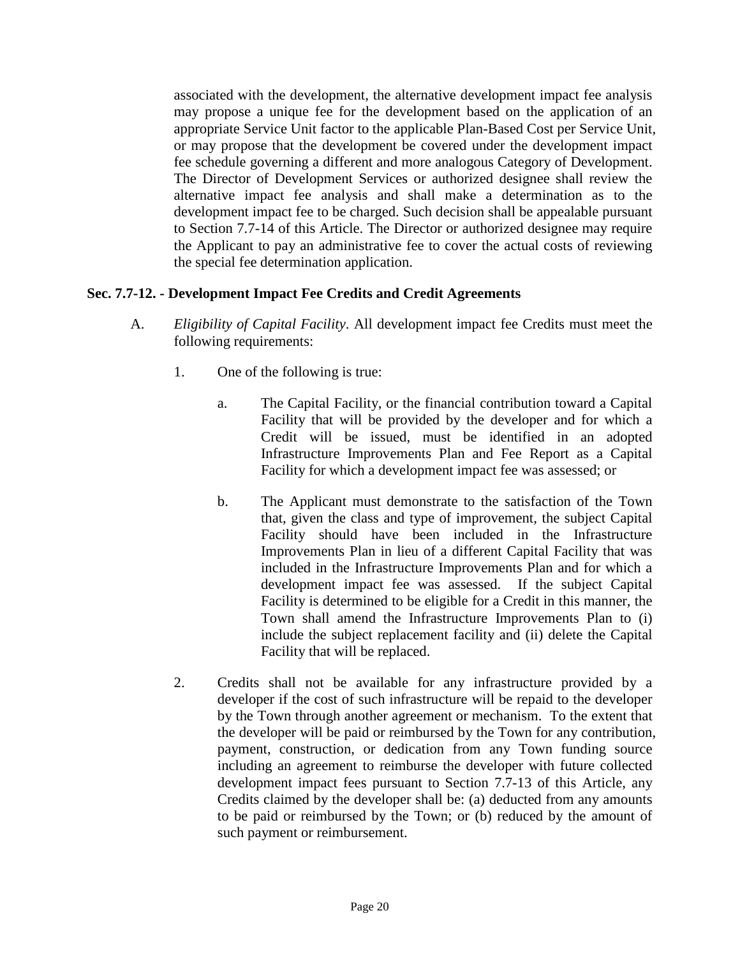associated with the development, the alternative development impact fee analysis may propose a unique fee for the development based on the application of an appropriate Service Unit factor to the applicable Plan-Based Cost per Service Unit, or may propose that the development be covered under the development impact fee schedule governing a different and more analogous Category of Development. The Director of Development Services or authorized designee shall review the alternative impact fee analysis and shall make a determination as to the development impact fee to be charged. Such decision shall be appealable pursuant to Section 7.7-14 of this Article. The Director or authorized designee may require the Applicant to pay an administrative fee to cover the actual costs of reviewing the special fee determination application.

#### **Sec. 7.7-12. - Development Impact Fee Credits and Credit Agreements**

- A. *Eligibility of Capital Facility*. All development impact fee Credits must meet the following requirements:
	- 1. One of the following is true:
		- a. The Capital Facility, or the financial contribution toward a Capital Facility that will be provided by the developer and for which a Credit will be issued, must be identified in an adopted Infrastructure Improvements Plan and Fee Report as a Capital Facility for which a development impact fee was assessed; or
		- b. The Applicant must demonstrate to the satisfaction of the Town that, given the class and type of improvement, the subject Capital Facility should have been included in the Infrastructure Improvements Plan in lieu of a different Capital Facility that was included in the Infrastructure Improvements Plan and for which a development impact fee was assessed. If the subject Capital Facility is determined to be eligible for a Credit in this manner, the Town shall amend the Infrastructure Improvements Plan to (i) include the subject replacement facility and (ii) delete the Capital Facility that will be replaced.
	- 2. Credits shall not be available for any infrastructure provided by a developer if the cost of such infrastructure will be repaid to the developer by the Town through another agreement or mechanism. To the extent that the developer will be paid or reimbursed by the Town for any contribution, payment, construction, or dedication from any Town funding source including an agreement to reimburse the developer with future collected development impact fees pursuant to Section 7.7-13 of this Article, any Credits claimed by the developer shall be: (a) deducted from any amounts to be paid or reimbursed by the Town; or (b) reduced by the amount of such payment or reimbursement.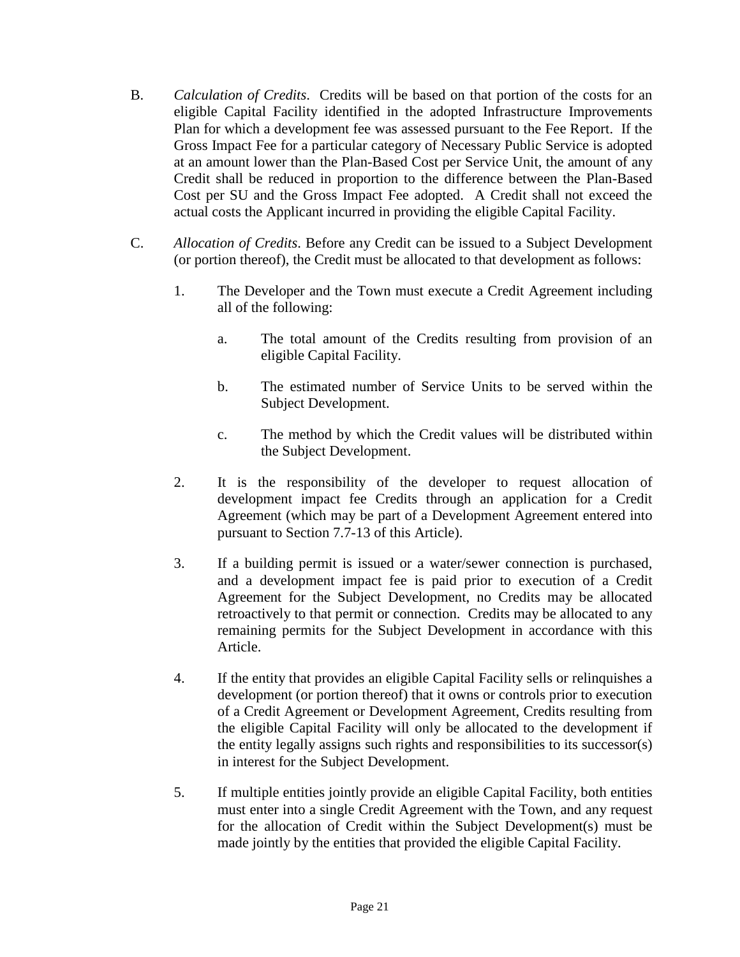- B. *Calculation of Credits*. Credits will be based on that portion of the costs for an eligible Capital Facility identified in the adopted Infrastructure Improvements Plan for which a development fee was assessed pursuant to the Fee Report. If the Gross Impact Fee for a particular category of Necessary Public Service is adopted at an amount lower than the Plan-Based Cost per Service Unit, the amount of any Credit shall be reduced in proportion to the difference between the Plan-Based Cost per SU and the Gross Impact Fee adopted. A Credit shall not exceed the actual costs the Applicant incurred in providing the eligible Capital Facility.
- C. *Allocation of Credits*. Before any Credit can be issued to a Subject Development (or portion thereof), the Credit must be allocated to that development as follows:
	- 1. The Developer and the Town must execute a Credit Agreement including all of the following:
		- a. The total amount of the Credits resulting from provision of an eligible Capital Facility.
		- b. The estimated number of Service Units to be served within the Subject Development.
		- c. The method by which the Credit values will be distributed within the Subject Development.
	- 2. It is the responsibility of the developer to request allocation of development impact fee Credits through an application for a Credit Agreement (which may be part of a Development Agreement entered into pursuant to Section 7.7-13 of this Article).
	- 3. If a building permit is issued or a water/sewer connection is purchased, and a development impact fee is paid prior to execution of a Credit Agreement for the Subject Development, no Credits may be allocated retroactively to that permit or connection. Credits may be allocated to any remaining permits for the Subject Development in accordance with this Article.
	- 4. If the entity that provides an eligible Capital Facility sells or relinquishes a development (or portion thereof) that it owns or controls prior to execution of a Credit Agreement or Development Agreement, Credits resulting from the eligible Capital Facility will only be allocated to the development if the entity legally assigns such rights and responsibilities to its successor(s) in interest for the Subject Development.
	- 5. If multiple entities jointly provide an eligible Capital Facility, both entities must enter into a single Credit Agreement with the Town, and any request for the allocation of Credit within the Subject Development(s) must be made jointly by the entities that provided the eligible Capital Facility.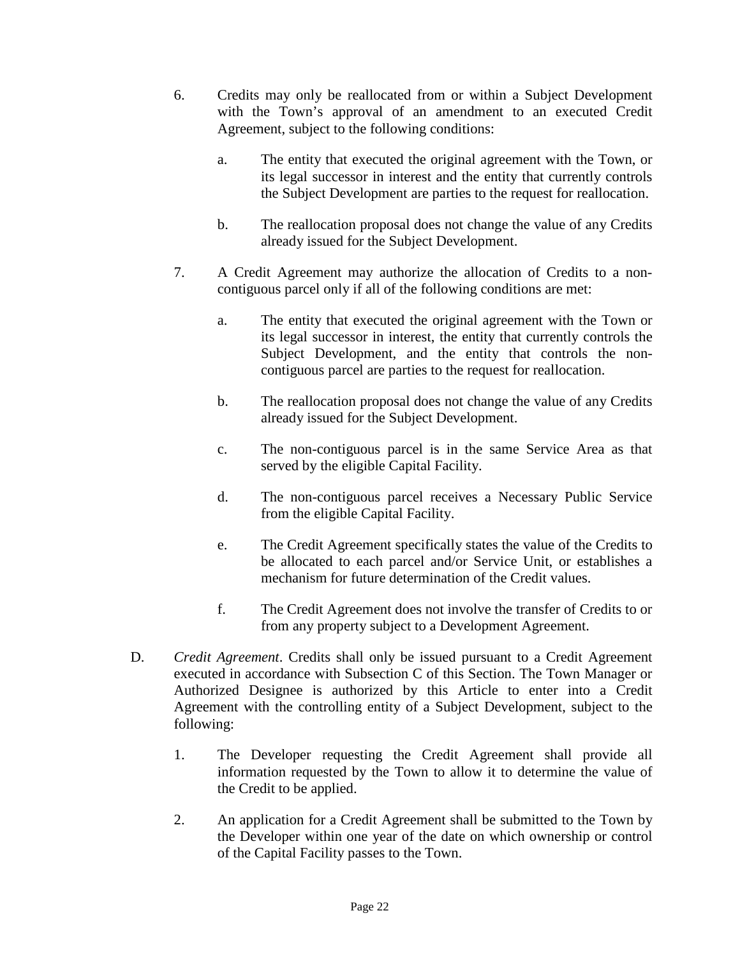- 6. Credits may only be reallocated from or within a Subject Development with the Town's approval of an amendment to an executed Credit Agreement, subject to the following conditions:
	- a. The entity that executed the original agreement with the Town, or its legal successor in interest and the entity that currently controls the Subject Development are parties to the request for reallocation.
	- b. The reallocation proposal does not change the value of any Credits already issued for the Subject Development.
- 7. A Credit Agreement may authorize the allocation of Credits to a noncontiguous parcel only if all of the following conditions are met:
	- a. The entity that executed the original agreement with the Town or its legal successor in interest, the entity that currently controls the Subject Development, and the entity that controls the noncontiguous parcel are parties to the request for reallocation.
	- b. The reallocation proposal does not change the value of any Credits already issued for the Subject Development.
	- c. The non-contiguous parcel is in the same Service Area as that served by the eligible Capital Facility.
	- d. The non-contiguous parcel receives a Necessary Public Service from the eligible Capital Facility.
	- e. The Credit Agreement specifically states the value of the Credits to be allocated to each parcel and/or Service Unit, or establishes a mechanism for future determination of the Credit values.
	- f. The Credit Agreement does not involve the transfer of Credits to or from any property subject to a Development Agreement.
- D. *Credit Agreement*. Credits shall only be issued pursuant to a Credit Agreement executed in accordance with Subsection C of this Section. The Town Manager or Authorized Designee is authorized by this Article to enter into a Credit Agreement with the controlling entity of a Subject Development, subject to the following:
	- 1. The Developer requesting the Credit Agreement shall provide all information requested by the Town to allow it to determine the value of the Credit to be applied.
	- 2. An application for a Credit Agreement shall be submitted to the Town by the Developer within one year of the date on which ownership or control of the Capital Facility passes to the Town.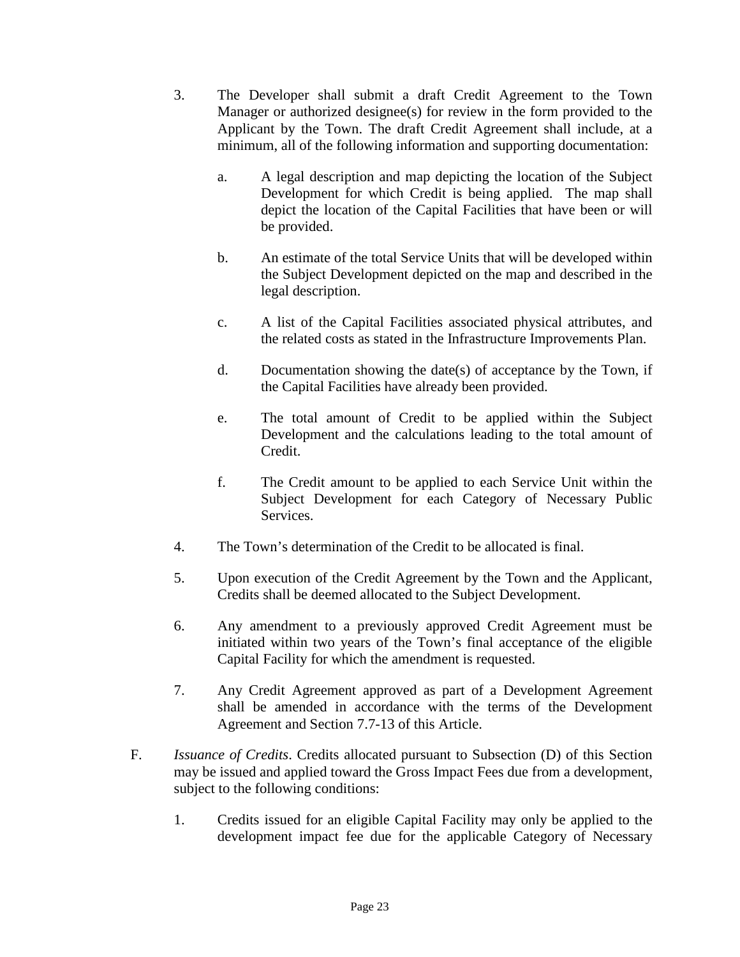- 3. The Developer shall submit a draft Credit Agreement to the Town Manager or authorized designee(s) for review in the form provided to the Applicant by the Town. The draft Credit Agreement shall include, at a minimum, all of the following information and supporting documentation:
	- a. A legal description and map depicting the location of the Subject Development for which Credit is being applied. The map shall depict the location of the Capital Facilities that have been or will be provided.
	- b. An estimate of the total Service Units that will be developed within the Subject Development depicted on the map and described in the legal description.
	- c. A list of the Capital Facilities associated physical attributes, and the related costs as stated in the Infrastructure Improvements Plan.
	- d. Documentation showing the date(s) of acceptance by the Town, if the Capital Facilities have already been provided.
	- e. The total amount of Credit to be applied within the Subject Development and the calculations leading to the total amount of Credit.
	- f. The Credit amount to be applied to each Service Unit within the Subject Development for each Category of Necessary Public Services.
- 4. The Town's determination of the Credit to be allocated is final.
- 5. Upon execution of the Credit Agreement by the Town and the Applicant, Credits shall be deemed allocated to the Subject Development.
- 6. Any amendment to a previously approved Credit Agreement must be initiated within two years of the Town's final acceptance of the eligible Capital Facility for which the amendment is requested.
- 7. Any Credit Agreement approved as part of a Development Agreement shall be amended in accordance with the terms of the Development Agreement and Section 7.7-13 of this Article.
- F. *Issuance of Credits*. Credits allocated pursuant to Subsection (D) of this Section may be issued and applied toward the Gross Impact Fees due from a development, subject to the following conditions:
	- 1. Credits issued for an eligible Capital Facility may only be applied to the development impact fee due for the applicable Category of Necessary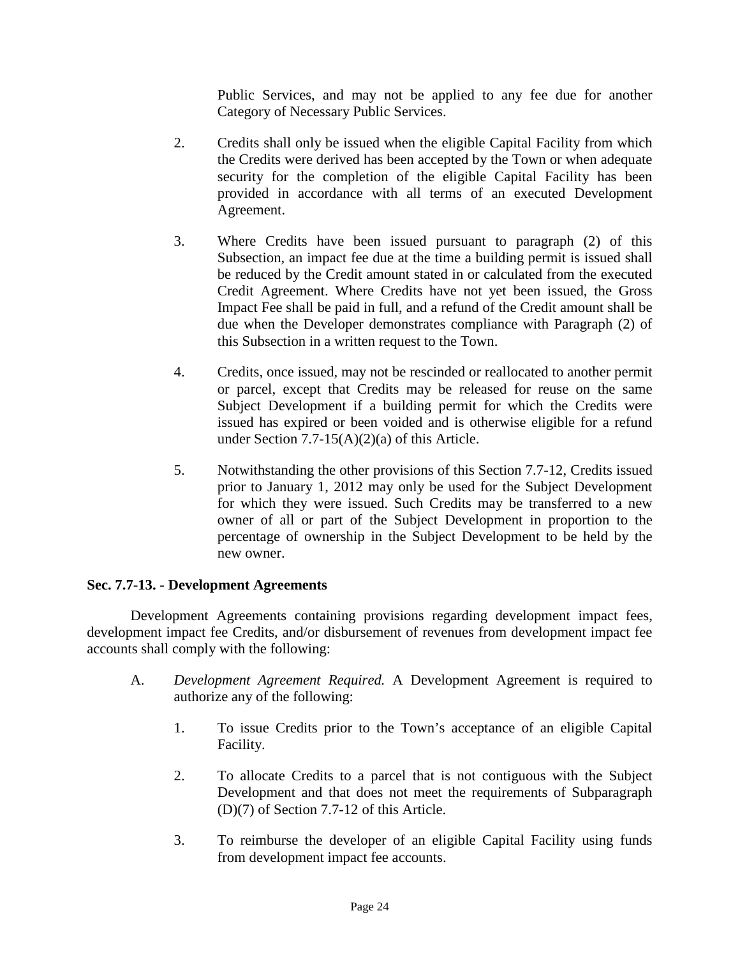Public Services, and may not be applied to any fee due for another Category of Necessary Public Services.

- 2. Credits shall only be issued when the eligible Capital Facility from which the Credits were derived has been accepted by the Town or when adequate security for the completion of the eligible Capital Facility has been provided in accordance with all terms of an executed Development Agreement.
- 3. Where Credits have been issued pursuant to paragraph (2) of this Subsection, an impact fee due at the time a building permit is issued shall be reduced by the Credit amount stated in or calculated from the executed Credit Agreement. Where Credits have not yet been issued, the Gross Impact Fee shall be paid in full, and a refund of the Credit amount shall be due when the Developer demonstrates compliance with Paragraph (2) of this Subsection in a written request to the Town.
- 4. Credits, once issued, may not be rescinded or reallocated to another permit or parcel, except that Credits may be released for reuse on the same Subject Development if a building permit for which the Credits were issued has expired or been voided and is otherwise eligible for a refund under Section 7.7-15(A)(2)(a) of this Article.
- 5. Notwithstanding the other provisions of this Section 7.7-12, Credits issued prior to January 1, 2012 may only be used for the Subject Development for which they were issued. Such Credits may be transferred to a new owner of all or part of the Subject Development in proportion to the percentage of ownership in the Subject Development to be held by the new owner.

#### **Sec. 7.7-13. - Development Agreements**

Development Agreements containing provisions regarding development impact fees, development impact fee Credits, and/or disbursement of revenues from development impact fee accounts shall comply with the following:

- A. *Development Agreement Required.* A Development Agreement is required to authorize any of the following:
	- 1. To issue Credits prior to the Town's acceptance of an eligible Capital Facility.
	- 2. To allocate Credits to a parcel that is not contiguous with the Subject Development and that does not meet the requirements of Subparagraph (D)(7) of Section 7.7-12 of this Article.
	- 3. To reimburse the developer of an eligible Capital Facility using funds from development impact fee accounts.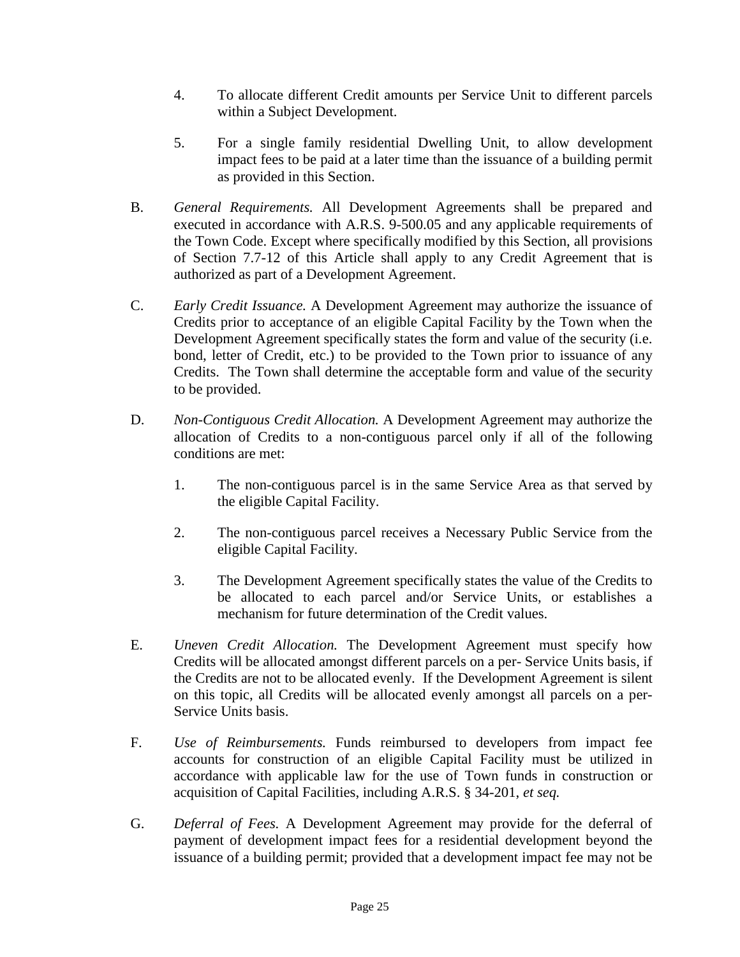- 4. To allocate different Credit amounts per Service Unit to different parcels within a Subject Development.
- 5. For a single family residential Dwelling Unit, to allow development impact fees to be paid at a later time than the issuance of a building permit as provided in this Section.
- B. *General Requirements.* All Development Agreements shall be prepared and executed in accordance with A.R.S. 9-500.05 and any applicable requirements of the Town Code. Except where specifically modified by this Section, all provisions of Section 7.7-12 of this Article shall apply to any Credit Agreement that is authorized as part of a Development Agreement.
- C. *Early Credit Issuance.* A Development Agreement may authorize the issuance of Credits prior to acceptance of an eligible Capital Facility by the Town when the Development Agreement specifically states the form and value of the security (i.e. bond, letter of Credit, etc.) to be provided to the Town prior to issuance of any Credits. The Town shall determine the acceptable form and value of the security to be provided.
- D. *Non-Contiguous Credit Allocation.* A Development Agreement may authorize the allocation of Credits to a non-contiguous parcel only if all of the following conditions are met:
	- 1. The non-contiguous parcel is in the same Service Area as that served by the eligible Capital Facility.
	- 2. The non-contiguous parcel receives a Necessary Public Service from the eligible Capital Facility.
	- 3. The Development Agreement specifically states the value of the Credits to be allocated to each parcel and/or Service Units, or establishes a mechanism for future determination of the Credit values.
- E. *Uneven Credit Allocation.* The Development Agreement must specify how Credits will be allocated amongst different parcels on a per- Service Units basis, if the Credits are not to be allocated evenly. If the Development Agreement is silent on this topic, all Credits will be allocated evenly amongst all parcels on a per-Service Units basis.
- F. *Use of Reimbursements.* Funds reimbursed to developers from impact fee accounts for construction of an eligible Capital Facility must be utilized in accordance with applicable law for the use of Town funds in construction or acquisition of Capital Facilities, including A.R.S. § 34-201, *et seq.*
- G. *Deferral of Fees.* A Development Agreement may provide for the deferral of payment of development impact fees for a residential development beyond the issuance of a building permit; provided that a development impact fee may not be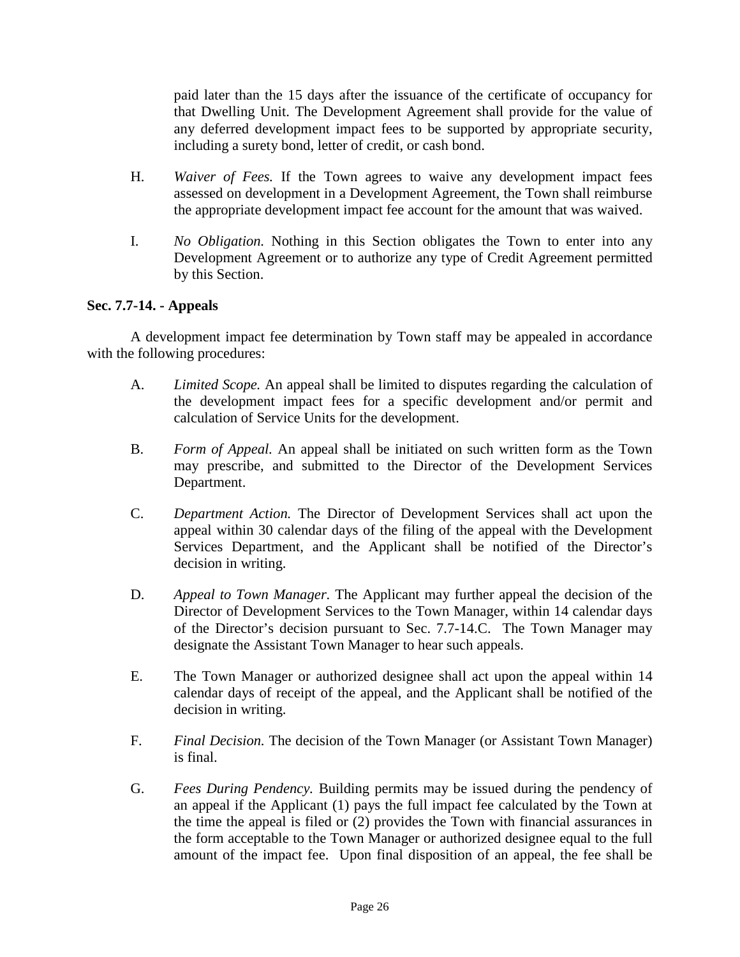paid later than the 15 days after the issuance of the certificate of occupancy for that Dwelling Unit. The Development Agreement shall provide for the value of any deferred development impact fees to be supported by appropriate security, including a surety bond, letter of credit, or cash bond.

- H. *Waiver of Fees.* If the Town agrees to waive any development impact fees assessed on development in a Development Agreement, the Town shall reimburse the appropriate development impact fee account for the amount that was waived.
- I. *No Obligation.* Nothing in this Section obligates the Town to enter into any Development Agreement or to authorize any type of Credit Agreement permitted by this Section.

#### **Sec. 7.7-14. - Appeals**

A development impact fee determination by Town staff may be appealed in accordance with the following procedures:

- A. *Limited Scope.* An appeal shall be limited to disputes regarding the calculation of the development impact fees for a specific development and/or permit and calculation of Service Units for the development.
- B. *Form of Appeal.* An appeal shall be initiated on such written form as the Town may prescribe, and submitted to the Director of the Development Services Department.
- C. *Department Action.* The Director of Development Services shall act upon the appeal within 30 calendar days of the filing of the appeal with the Development Services Department, and the Applicant shall be notified of the Director's decision in writing.
- D. *Appeal to Town Manager.* The Applicant may further appeal the decision of the Director of Development Services to the Town Manager, within 14 calendar days of the Director's decision pursuant to Sec. 7.7-14.C. The Town Manager may designate the Assistant Town Manager to hear such appeals.
- E. The Town Manager or authorized designee shall act upon the appeal within 14 calendar days of receipt of the appeal, and the Applicant shall be notified of the decision in writing.
- F. *Final Decision.* The decision of the Town Manager (or Assistant Town Manager) is final.
- G. *Fees During Pendency.* Building permits may be issued during the pendency of an appeal if the Applicant (1) pays the full impact fee calculated by the Town at the time the appeal is filed or (2) provides the Town with financial assurances in the form acceptable to the Town Manager or authorized designee equal to the full amount of the impact fee. Upon final disposition of an appeal, the fee shall be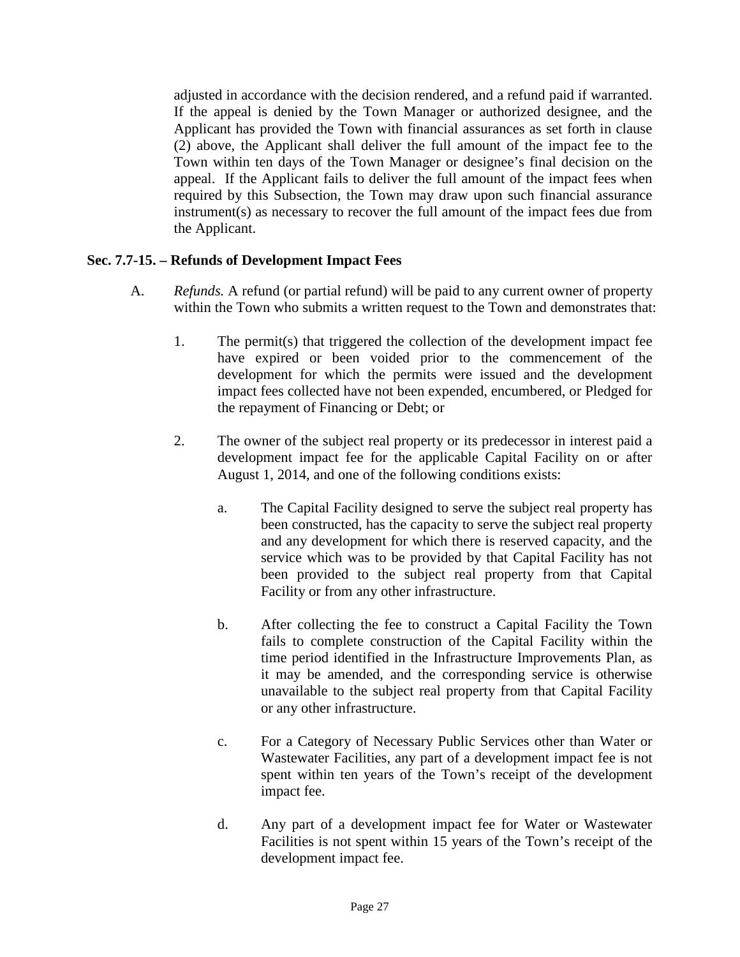adjusted in accordance with the decision rendered, and a refund paid if warranted. If the appeal is denied by the Town Manager or authorized designee, and the Applicant has provided the Town with financial assurances as set forth in clause (2) above, the Applicant shall deliver the full amount of the impact fee to the Town within ten days of the Town Manager or designee's final decision on the appeal. If the Applicant fails to deliver the full amount of the impact fees when required by this Subsection, the Town may draw upon such financial assurance instrument(s) as necessary to recover the full amount of the impact fees due from the Applicant.

#### **Sec. 7.7-15. – Refunds of Development Impact Fees**

- A. *Refunds.* A refund (or partial refund) will be paid to any current owner of property within the Town who submits a written request to the Town and demonstrates that:
	- 1. The permit(s) that triggered the collection of the development impact fee have expired or been voided prior to the commencement of the development for which the permits were issued and the development impact fees collected have not been expended, encumbered, or Pledged for the repayment of Financing or Debt; or
	- 2. The owner of the subject real property or its predecessor in interest paid a development impact fee for the applicable Capital Facility on or after August 1, 2014, and one of the following conditions exists:
		- a. The Capital Facility designed to serve the subject real property has been constructed, has the capacity to serve the subject real property and any development for which there is reserved capacity, and the service which was to be provided by that Capital Facility has not been provided to the subject real property from that Capital Facility or from any other infrastructure.
		- b. After collecting the fee to construct a Capital Facility the Town fails to complete construction of the Capital Facility within the time period identified in the Infrastructure Improvements Plan, as it may be amended, and the corresponding service is otherwise unavailable to the subject real property from that Capital Facility or any other infrastructure.
		- c. For a Category of Necessary Public Services other than Water or Wastewater Facilities, any part of a development impact fee is not spent within ten years of the Town's receipt of the development impact fee.
		- d. Any part of a development impact fee for Water or Wastewater Facilities is not spent within 15 years of the Town's receipt of the development impact fee.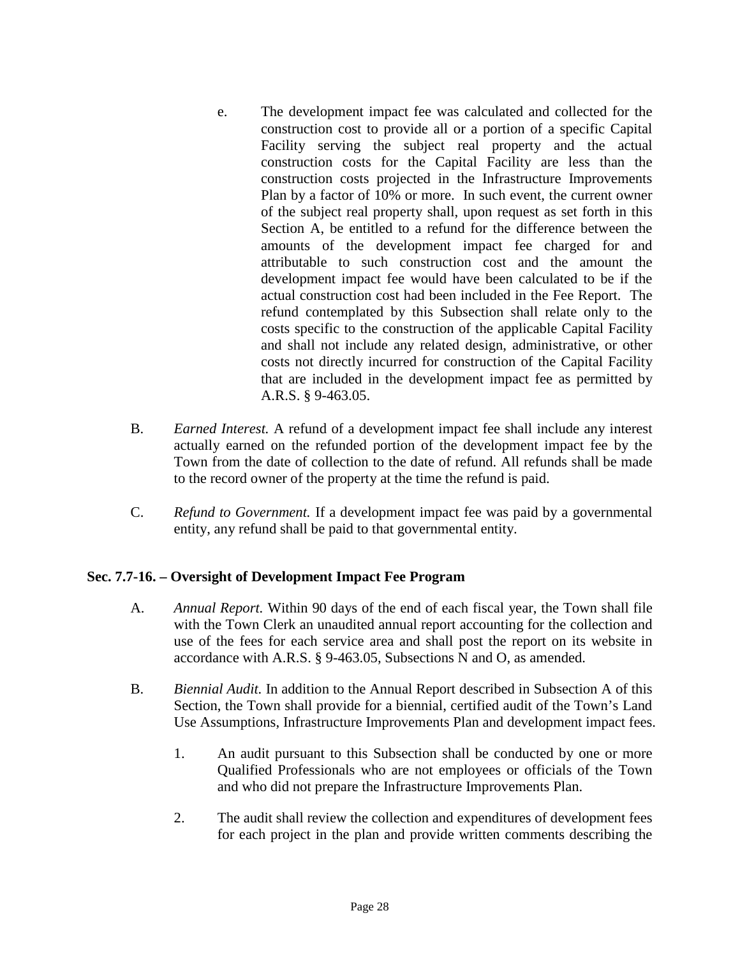- e. The development impact fee was calculated and collected for the construction cost to provide all or a portion of a specific Capital Facility serving the subject real property and the actual construction costs for the Capital Facility are less than the construction costs projected in the Infrastructure Improvements Plan by a factor of 10% or more. In such event, the current owner of the subject real property shall, upon request as set forth in this Section A, be entitled to a refund for the difference between the amounts of the development impact fee charged for and attributable to such construction cost and the amount the development impact fee would have been calculated to be if the actual construction cost had been included in the Fee Report. The refund contemplated by this Subsection shall relate only to the costs specific to the construction of the applicable Capital Facility and shall not include any related design, administrative, or other costs not directly incurred for construction of the Capital Facility that are included in the development impact fee as permitted by A.R.S. § 9-463.05.
- B. *Earned Interest.* A refund of a development impact fee shall include any interest actually earned on the refunded portion of the development impact fee by the Town from the date of collection to the date of refund. All refunds shall be made to the record owner of the property at the time the refund is paid.
- C. *Refund to Government.* If a development impact fee was paid by a governmental entity, any refund shall be paid to that governmental entity.

#### **Sec. 7.7-16. – Oversight of Development Impact Fee Program**

- A. *Annual Report.* Within 90 days of the end of each fiscal year, the Town shall file with the Town Clerk an unaudited annual report accounting for the collection and use of the fees for each service area and shall post the report on its website in accordance with A.R.S. § 9-463.05, Subsections N and O, as amended.
- B. *Biennial Audit.* In addition to the Annual Report described in Subsection A of this Section, the Town shall provide for a biennial, certified audit of the Town's Land Use Assumptions, Infrastructure Improvements Plan and development impact fees.
	- 1. An audit pursuant to this Subsection shall be conducted by one or more Qualified Professionals who are not employees or officials of the Town and who did not prepare the Infrastructure Improvements Plan.
	- 2. The audit shall review the collection and expenditures of development fees for each project in the plan and provide written comments describing the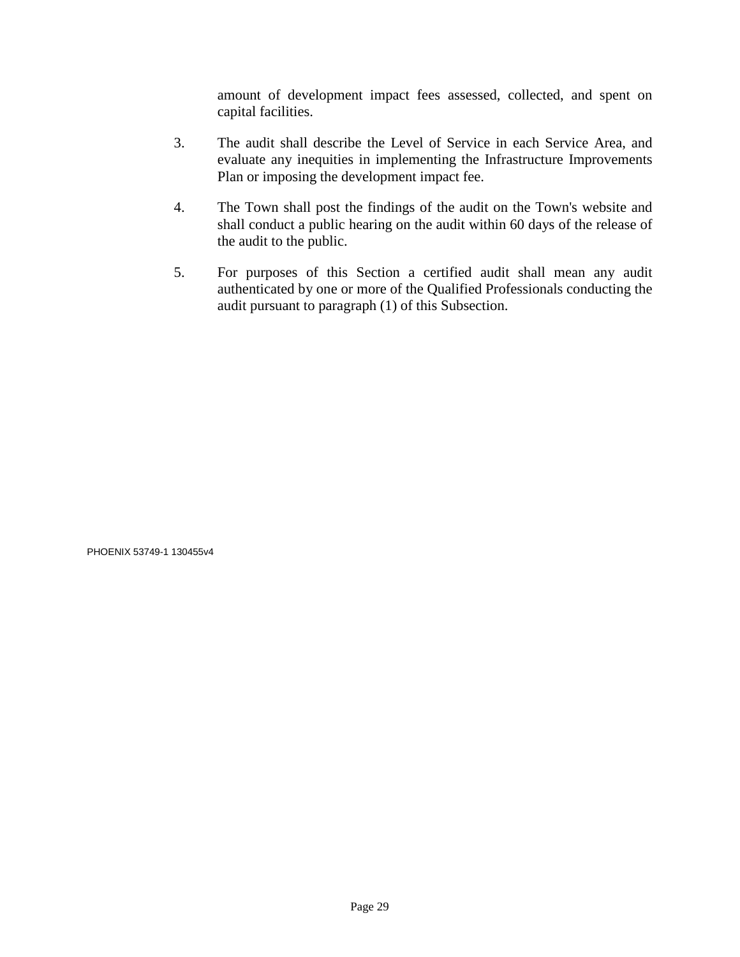amount of development impact fees assessed, collected, and spent on capital facilities.

- 3. The audit shall describe the Level of Service in each Service Area, and evaluate any inequities in implementing the Infrastructure Improvements Plan or imposing the development impact fee.
- 4. The Town shall post the findings of the audit on the Town's website and shall conduct a public hearing on the audit within 60 days of the release of the audit to the public.
- 5. For purposes of this Section a certified audit shall mean any audit authenticated by one or more of the Qualified Professionals conducting the audit pursuant to paragraph (1) of this Subsection.

PHOENIX 53749-1 130455v4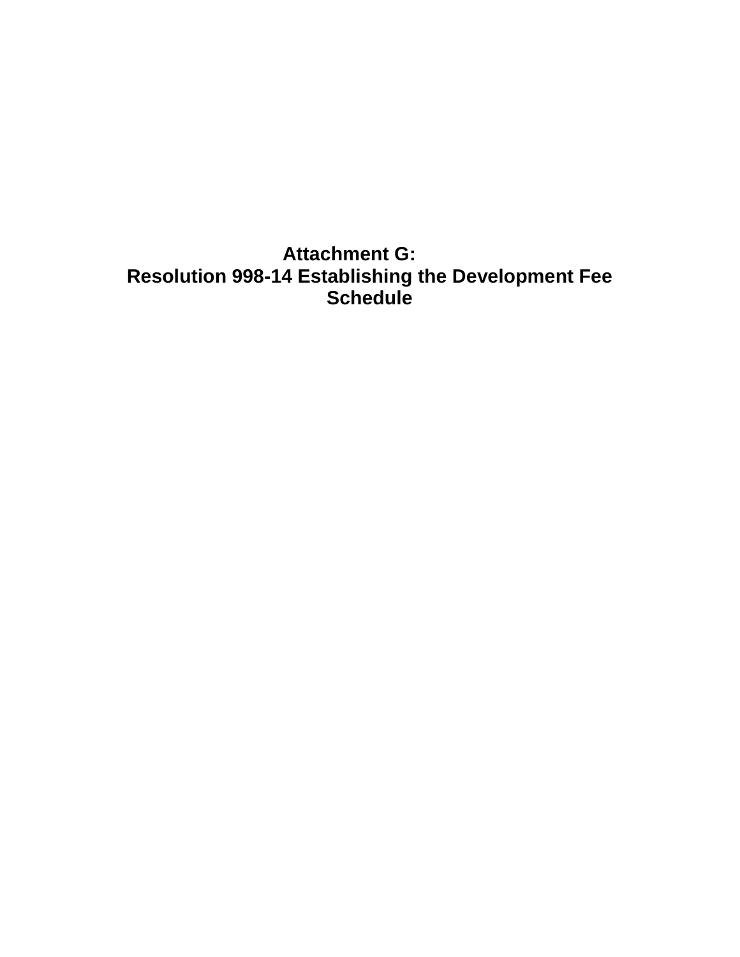**Attachment G: Resolution 998-14 Establishing the Development Fee Schedule**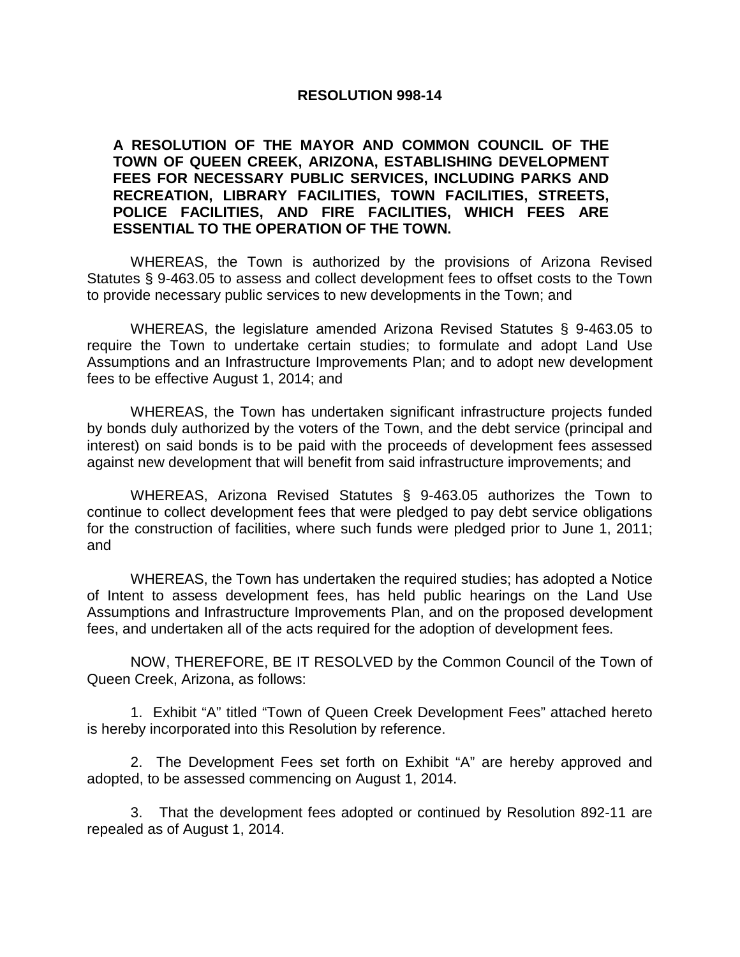#### **RESOLUTION 998-14**

#### **A RESOLUTION OF THE MAYOR AND COMMON COUNCIL OF THE TOWN OF QUEEN CREEK, ARIZONA, ESTABLISHING DEVELOPMENT FEES FOR NECESSARY PUBLIC SERVICES, INCLUDING PARKS AND RECREATION, LIBRARY FACILITIES, TOWN FACILITIES, STREETS, POLICE FACILITIES, AND FIRE FACILITIES, WHICH FEES ARE ESSENTIAL TO THE OPERATION OF THE TOWN.**

WHEREAS, the Town is authorized by the provisions of Arizona Revised Statutes § 9-463.05 to assess and collect development fees to offset costs to the Town to provide necessary public services to new developments in the Town; and

WHEREAS, the legislature amended Arizona Revised Statutes § 9-463.05 to require the Town to undertake certain studies; to formulate and adopt Land Use Assumptions and an Infrastructure Improvements Plan; and to adopt new development fees to be effective August 1, 2014; and

WHEREAS, the Town has undertaken significant infrastructure projects funded by bonds duly authorized by the voters of the Town, and the debt service (principal and interest) on said bonds is to be paid with the proceeds of development fees assessed against new development that will benefit from said infrastructure improvements; and

WHEREAS, Arizona Revised Statutes § 9-463.05 authorizes the Town to continue to collect development fees that were pledged to pay debt service obligations for the construction of facilities, where such funds were pledged prior to June 1, 2011; and

WHEREAS, the Town has undertaken the required studies; has adopted a Notice of Intent to assess development fees, has held public hearings on the Land Use Assumptions and Infrastructure Improvements Plan, and on the proposed development fees, and undertaken all of the acts required for the adoption of development fees.

NOW, THEREFORE, BE IT RESOLVED by the Common Council of the Town of Queen Creek, Arizona, as follows:

1. Exhibit "A" titled "Town of Queen Creek Development Fees" attached hereto is hereby incorporated into this Resolution by reference.

2. The Development Fees set forth on Exhibit "A" are hereby approved and adopted, to be assessed commencing on August 1, 2014.

3. That the development fees adopted or continued by Resolution 892-11 are repealed as of August 1, 2014.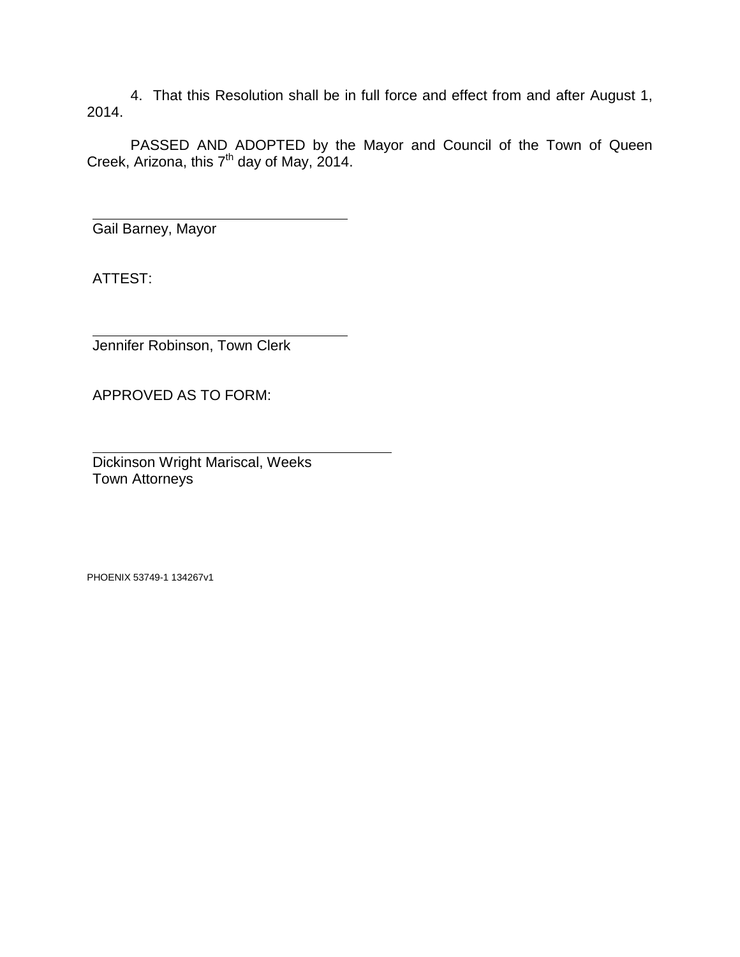4. That this Resolution shall be in full force and effect from and after August 1, 2014.

PASSED AND ADOPTED by the Mayor and Council of the Town of Queen Creek, Arizona, this 7<sup>th</sup> day of May, 2014.

Gail Barney, Mayor

ATTEST:

Jennifer Robinson, Town Clerk

APPROVED AS TO FORM:

Dickinson Wright Mariscal, Weeks Town Attorneys

PHOENIX 53749-1 134267v1